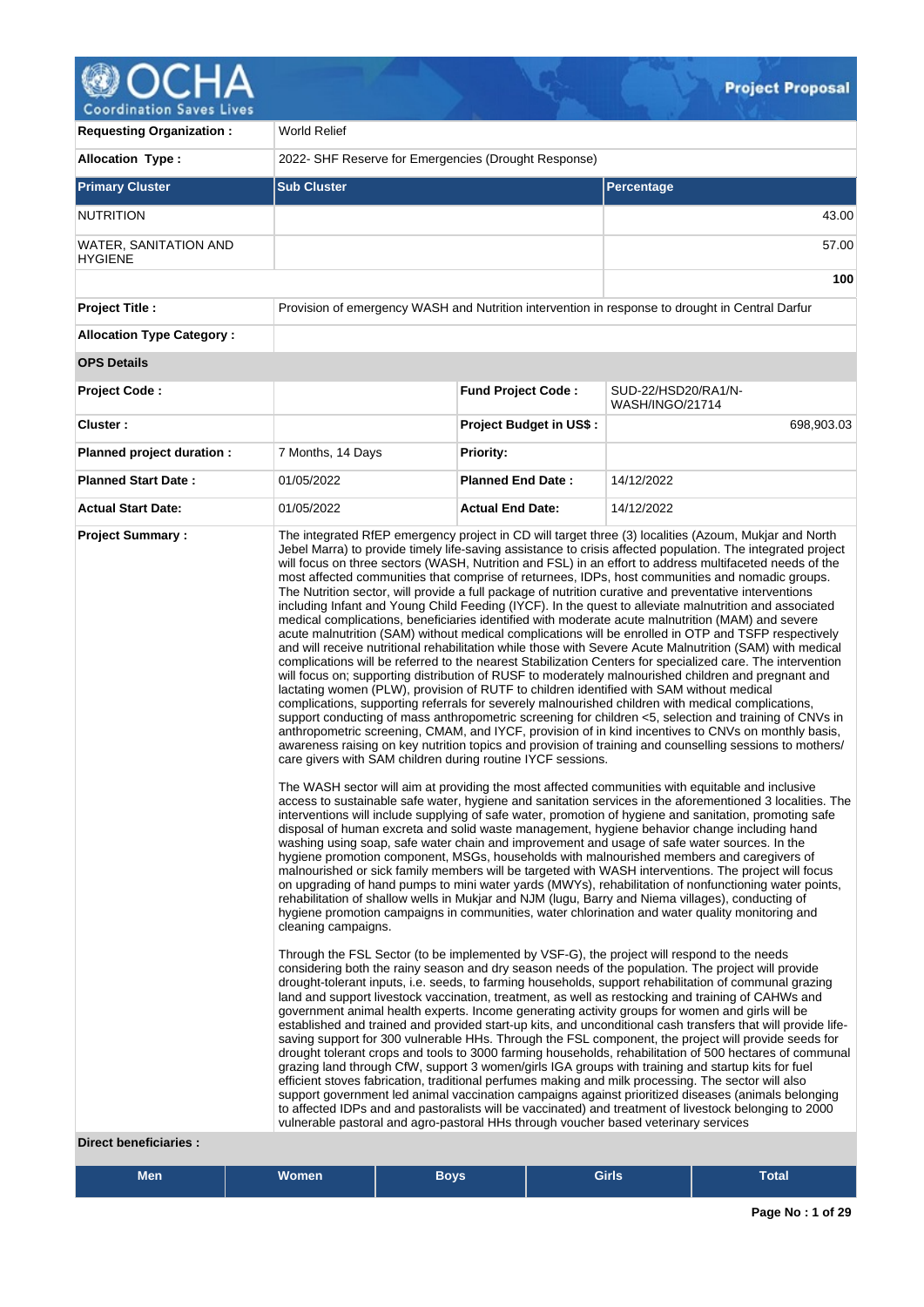# OCH, Δ Q

Coordination Saves Lives

| <b>Requesting Organization:</b>         | World Relief                                                                                                                                                                                                                                                                                                                                           |                                                                                                                                                                                                                                                                                                                                                                                                                                                                                                                                                                                                                                                                                                                                                                                                                                                                                                                                                                                                                                                                                                                                                                                                                                                                                                                                                                                                                                                                                                                                                                                                                                                                                                                                                                                                                                                                                                                                                                                                                                                                                                                                                                                                                                                                                                                                                                                                                                                                                                                                                                                                                                                                                                                                                                                                                                                                                                                                                                                                                                                                                                                                                                                                                                                                                                                                                                               |                                                                                                                                                                                                                                                                                                                                                                                                                            |  |  |  |
|-----------------------------------------|--------------------------------------------------------------------------------------------------------------------------------------------------------------------------------------------------------------------------------------------------------------------------------------------------------------------------------------------------------|-------------------------------------------------------------------------------------------------------------------------------------------------------------------------------------------------------------------------------------------------------------------------------------------------------------------------------------------------------------------------------------------------------------------------------------------------------------------------------------------------------------------------------------------------------------------------------------------------------------------------------------------------------------------------------------------------------------------------------------------------------------------------------------------------------------------------------------------------------------------------------------------------------------------------------------------------------------------------------------------------------------------------------------------------------------------------------------------------------------------------------------------------------------------------------------------------------------------------------------------------------------------------------------------------------------------------------------------------------------------------------------------------------------------------------------------------------------------------------------------------------------------------------------------------------------------------------------------------------------------------------------------------------------------------------------------------------------------------------------------------------------------------------------------------------------------------------------------------------------------------------------------------------------------------------------------------------------------------------------------------------------------------------------------------------------------------------------------------------------------------------------------------------------------------------------------------------------------------------------------------------------------------------------------------------------------------------------------------------------------------------------------------------------------------------------------------------------------------------------------------------------------------------------------------------------------------------------------------------------------------------------------------------------------------------------------------------------------------------------------------------------------------------------------------------------------------------------------------------------------------------------------------------------------------------------------------------------------------------------------------------------------------------------------------------------------------------------------------------------------------------------------------------------------------------------------------------------------------------------------------------------------------------------------------------------------------------------------------------------------------------|----------------------------------------------------------------------------------------------------------------------------------------------------------------------------------------------------------------------------------------------------------------------------------------------------------------------------------------------------------------------------------------------------------------------------|--|--|--|
| <b>Allocation Type:</b>                 | 2022- SHF Reserve for Emergencies (Drought Response)                                                                                                                                                                                                                                                                                                   |                                                                                                                                                                                                                                                                                                                                                                                                                                                                                                                                                                                                                                                                                                                                                                                                                                                                                                                                                                                                                                                                                                                                                                                                                                                                                                                                                                                                                                                                                                                                                                                                                                                                                                                                                                                                                                                                                                                                                                                                                                                                                                                                                                                                                                                                                                                                                                                                                                                                                                                                                                                                                                                                                                                                                                                                                                                                                                                                                                                                                                                                                                                                                                                                                                                                                                                                                                               |                                                                                                                                                                                                                                                                                                                                                                                                                            |  |  |  |
| <b>Primary Cluster</b>                  | <b>Sub Cluster</b>                                                                                                                                                                                                                                                                                                                                     |                                                                                                                                                                                                                                                                                                                                                                                                                                                                                                                                                                                                                                                                                                                                                                                                                                                                                                                                                                                                                                                                                                                                                                                                                                                                                                                                                                                                                                                                                                                                                                                                                                                                                                                                                                                                                                                                                                                                                                                                                                                                                                                                                                                                                                                                                                                                                                                                                                                                                                                                                                                                                                                                                                                                                                                                                                                                                                                                                                                                                                                                                                                                                                                                                                                                                                                                                                               | Percentage                                                                                                                                                                                                                                                                                                                                                                                                                 |  |  |  |
| <b>NUTRITION</b>                        |                                                                                                                                                                                                                                                                                                                                                        |                                                                                                                                                                                                                                                                                                                                                                                                                                                                                                                                                                                                                                                                                                                                                                                                                                                                                                                                                                                                                                                                                                                                                                                                                                                                                                                                                                                                                                                                                                                                                                                                                                                                                                                                                                                                                                                                                                                                                                                                                                                                                                                                                                                                                                                                                                                                                                                                                                                                                                                                                                                                                                                                                                                                                                                                                                                                                                                                                                                                                                                                                                                                                                                                                                                                                                                                                                               | 43.00                                                                                                                                                                                                                                                                                                                                                                                                                      |  |  |  |
| WATER, SANITATION AND<br><b>HYGIENE</b> |                                                                                                                                                                                                                                                                                                                                                        |                                                                                                                                                                                                                                                                                                                                                                                                                                                                                                                                                                                                                                                                                                                                                                                                                                                                                                                                                                                                                                                                                                                                                                                                                                                                                                                                                                                                                                                                                                                                                                                                                                                                                                                                                                                                                                                                                                                                                                                                                                                                                                                                                                                                                                                                                                                                                                                                                                                                                                                                                                                                                                                                                                                                                                                                                                                                                                                                                                                                                                                                                                                                                                                                                                                                                                                                                                               | 57.00                                                                                                                                                                                                                                                                                                                                                                                                                      |  |  |  |
|                                         |                                                                                                                                                                                                                                                                                                                                                        |                                                                                                                                                                                                                                                                                                                                                                                                                                                                                                                                                                                                                                                                                                                                                                                                                                                                                                                                                                                                                                                                                                                                                                                                                                                                                                                                                                                                                                                                                                                                                                                                                                                                                                                                                                                                                                                                                                                                                                                                                                                                                                                                                                                                                                                                                                                                                                                                                                                                                                                                                                                                                                                                                                                                                                                                                                                                                                                                                                                                                                                                                                                                                                                                                                                                                                                                                                               | 100                                                                                                                                                                                                                                                                                                                                                                                                                        |  |  |  |
| <b>Project Title:</b>                   |                                                                                                                                                                                                                                                                                                                                                        |                                                                                                                                                                                                                                                                                                                                                                                                                                                                                                                                                                                                                                                                                                                                                                                                                                                                                                                                                                                                                                                                                                                                                                                                                                                                                                                                                                                                                                                                                                                                                                                                                                                                                                                                                                                                                                                                                                                                                                                                                                                                                                                                                                                                                                                                                                                                                                                                                                                                                                                                                                                                                                                                                                                                                                                                                                                                                                                                                                                                                                                                                                                                                                                                                                                                                                                                                                               | Provision of emergency WASH and Nutrition intervention in response to drought in Central Darfur                                                                                                                                                                                                                                                                                                                            |  |  |  |
| <b>Allocation Type Category:</b>        |                                                                                                                                                                                                                                                                                                                                                        |                                                                                                                                                                                                                                                                                                                                                                                                                                                                                                                                                                                                                                                                                                                                                                                                                                                                                                                                                                                                                                                                                                                                                                                                                                                                                                                                                                                                                                                                                                                                                                                                                                                                                                                                                                                                                                                                                                                                                                                                                                                                                                                                                                                                                                                                                                                                                                                                                                                                                                                                                                                                                                                                                                                                                                                                                                                                                                                                                                                                                                                                                                                                                                                                                                                                                                                                                                               |                                                                                                                                                                                                                                                                                                                                                                                                                            |  |  |  |
| <b>OPS Details</b>                      |                                                                                                                                                                                                                                                                                                                                                        |                                                                                                                                                                                                                                                                                                                                                                                                                                                                                                                                                                                                                                                                                                                                                                                                                                                                                                                                                                                                                                                                                                                                                                                                                                                                                                                                                                                                                                                                                                                                                                                                                                                                                                                                                                                                                                                                                                                                                                                                                                                                                                                                                                                                                                                                                                                                                                                                                                                                                                                                                                                                                                                                                                                                                                                                                                                                                                                                                                                                                                                                                                                                                                                                                                                                                                                                                                               |                                                                                                                                                                                                                                                                                                                                                                                                                            |  |  |  |
| <b>Project Code:</b>                    |                                                                                                                                                                                                                                                                                                                                                        | <b>Fund Project Code:</b>                                                                                                                                                                                                                                                                                                                                                                                                                                                                                                                                                                                                                                                                                                                                                                                                                                                                                                                                                                                                                                                                                                                                                                                                                                                                                                                                                                                                                                                                                                                                                                                                                                                                                                                                                                                                                                                                                                                                                                                                                                                                                                                                                                                                                                                                                                                                                                                                                                                                                                                                                                                                                                                                                                                                                                                                                                                                                                                                                                                                                                                                                                                                                                                                                                                                                                                                                     | SUD-22/HSD20/RA1/N-<br>WASH/INGO/21714                                                                                                                                                                                                                                                                                                                                                                                     |  |  |  |
| Cluster:                                |                                                                                                                                                                                                                                                                                                                                                        | <b>Project Budget in US\$:</b>                                                                                                                                                                                                                                                                                                                                                                                                                                                                                                                                                                                                                                                                                                                                                                                                                                                                                                                                                                                                                                                                                                                                                                                                                                                                                                                                                                                                                                                                                                                                                                                                                                                                                                                                                                                                                                                                                                                                                                                                                                                                                                                                                                                                                                                                                                                                                                                                                                                                                                                                                                                                                                                                                                                                                                                                                                                                                                                                                                                                                                                                                                                                                                                                                                                                                                                                                | 698,903.03                                                                                                                                                                                                                                                                                                                                                                                                                 |  |  |  |
| Planned project duration :              | 7 Months, 14 Days                                                                                                                                                                                                                                                                                                                                      | <b>Priority:</b>                                                                                                                                                                                                                                                                                                                                                                                                                                                                                                                                                                                                                                                                                                                                                                                                                                                                                                                                                                                                                                                                                                                                                                                                                                                                                                                                                                                                                                                                                                                                                                                                                                                                                                                                                                                                                                                                                                                                                                                                                                                                                                                                                                                                                                                                                                                                                                                                                                                                                                                                                                                                                                                                                                                                                                                                                                                                                                                                                                                                                                                                                                                                                                                                                                                                                                                                                              |                                                                                                                                                                                                                                                                                                                                                                                                                            |  |  |  |
| <b>Planned Start Date:</b>              | 01/05/2022                                                                                                                                                                                                                                                                                                                                             | <b>Planned End Date:</b>                                                                                                                                                                                                                                                                                                                                                                                                                                                                                                                                                                                                                                                                                                                                                                                                                                                                                                                                                                                                                                                                                                                                                                                                                                                                                                                                                                                                                                                                                                                                                                                                                                                                                                                                                                                                                                                                                                                                                                                                                                                                                                                                                                                                                                                                                                                                                                                                                                                                                                                                                                                                                                                                                                                                                                                                                                                                                                                                                                                                                                                                                                                                                                                                                                                                                                                                                      | 14/12/2022                                                                                                                                                                                                                                                                                                                                                                                                                 |  |  |  |
| <b>Actual Start Date:</b>               | 01/05/2022                                                                                                                                                                                                                                                                                                                                             | <b>Actual End Date:</b>                                                                                                                                                                                                                                                                                                                                                                                                                                                                                                                                                                                                                                                                                                                                                                                                                                                                                                                                                                                                                                                                                                                                                                                                                                                                                                                                                                                                                                                                                                                                                                                                                                                                                                                                                                                                                                                                                                                                                                                                                                                                                                                                                                                                                                                                                                                                                                                                                                                                                                                                                                                                                                                                                                                                                                                                                                                                                                                                                                                                                                                                                                                                                                                                                                                                                                                                                       | 14/12/2022                                                                                                                                                                                                                                                                                                                                                                                                                 |  |  |  |
|                                         | cleaning campaigns.<br>established and trained and provided start-up kits, and unconditional cash transfers that will provide life-<br>saving support for 300 vulnerable HHs. Through the FSL component, the project will provide seeds for<br>drought tolerant crops and tools to 3000 farming households, rehabilitation of 500 hectares of communal | The integrated RfEP emergency project in CD will target three (3) localities (Azoum, Mukjar and North<br>Jebel Marra) to provide timely life-saving assistance to crisis affected population. The integrated project<br>will focus on three sectors (WASH, Nutrition and FSL) in an effort to address multifaceted needs of the<br>most affected communities that comprise of returnees, IDPs, host communities and nomadic groups.<br>The Nutrition sector, will provide a full package of nutrition curative and preventative interventions<br>including Infant and Young Child Feeding (IYCF). In the quest to alleviate malnutrition and associated<br>medical complications, beneficiaries identified with moderate acute malnutrition (MAM) and severe<br>acute malnutrition (SAM) without medical complications will be enrolled in OTP and TSFP respectively<br>and will receive nutritional rehabilitation while those with Severe Acute Malnutrition (SAM) with medical<br>complications will be referred to the nearest Stabilization Centers for specialized care. The intervention<br>will focus on; supporting distribution of RUSF to moderately malnourished children and pregnant and<br>lactating women (PLW), provision of RUTF to children identified with SAM without medical<br>complications, supporting referrals for severely malnourished children with medical complications,<br>support conducting of mass anthropometric screening for children <5, selection and training of CNVs in<br>anthropometric screening, CMAM, and IYCF, provision of in kind incentives to CNVs on monthly basis,<br>awareness raising on key nutrition topics and provision of training and counselling sessions to mothers/<br>care givers with SAM children during routine IYCF sessions.<br>The WASH sector will aim at providing the most affected communities with equitable and inclusive<br>access to sustainable safe water, hygiene and sanitation services in the aforementioned 3 localities. The<br>interventions will include supplying of safe water, promotion of hygiene and sanitation, promoting safe<br>disposal of human excreta and solid waste management, hygiene behavior change including hand<br>washing using soap, safe water chain and improvement and usage of safe water sources. In the<br>hygiene promotion component, MSGs, households with malnourished members and caregivers of<br>malnourished or sick family members will be targeted with WASH interventions. The project will focus<br>on upgrading of hand pumps to mini water yards (MWYs), rehabilitation of nonfunctioning water points,<br>rehabilitation of shallow wells in Mukjar and NJM (lugu, Barry and Niema villages), conducting of<br>hygiene promotion campaigns in communities, water chlorination and water quality monitoring and<br>Through the FSL Sector (to be implemented by VSF-G), the project will respond to the needs<br>considering both the rainy season and dry season needs of the population. The project will provide<br>drought-tolerant inputs, i.e. seeds, to farming households, support rehabilitation of communal grazing<br>land and support livestock vaccination, treatment, as well as restocking and training of CAHWs and<br>government animal health experts. Income generating activity groups for women and girls will be |                                                                                                                                                                                                                                                                                                                                                                                                                            |  |  |  |
|                                         | vulnerable pastoral and agro-pastoral HHs through voucher based veterinary services                                                                                                                                                                                                                                                                    |                                                                                                                                                                                                                                                                                                                                                                                                                                                                                                                                                                                                                                                                                                                                                                                                                                                                                                                                                                                                                                                                                                                                                                                                                                                                                                                                                                                                                                                                                                                                                                                                                                                                                                                                                                                                                                                                                                                                                                                                                                                                                                                                                                                                                                                                                                                                                                                                                                                                                                                                                                                                                                                                                                                                                                                                                                                                                                                                                                                                                                                                                                                                                                                                                                                                                                                                                                               | grazing land through CfW, support 3 women/girls IGA groups with training and startup kits for fuel<br>efficient stoves fabrication, traditional perfumes making and milk processing. The sector will also<br>support government led animal vaccination campaigns against prioritized diseases (animals belonging<br>to affected IDPs and and pastoralists will be vaccinated) and treatment of livestock belonging to 2000 |  |  |  |
| <b>Direct beneficiaries:</b>            |                                                                                                                                                                                                                                                                                                                                                        |                                                                                                                                                                                                                                                                                                                                                                                                                                                                                                                                                                                                                                                                                                                                                                                                                                                                                                                                                                                                                                                                                                                                                                                                                                                                                                                                                                                                                                                                                                                                                                                                                                                                                                                                                                                                                                                                                                                                                                                                                                                                                                                                                                                                                                                                                                                                                                                                                                                                                                                                                                                                                                                                                                                                                                                                                                                                                                                                                                                                                                                                                                                                                                                                                                                                                                                                                                               |                                                                                                                                                                                                                                                                                                                                                                                                                            |  |  |  |

| <b>Women</b><br><b>Girls</b><br>Men<br>Bovs | <b>Total</b> |
|---------------------------------------------|--------------|
|---------------------------------------------|--------------|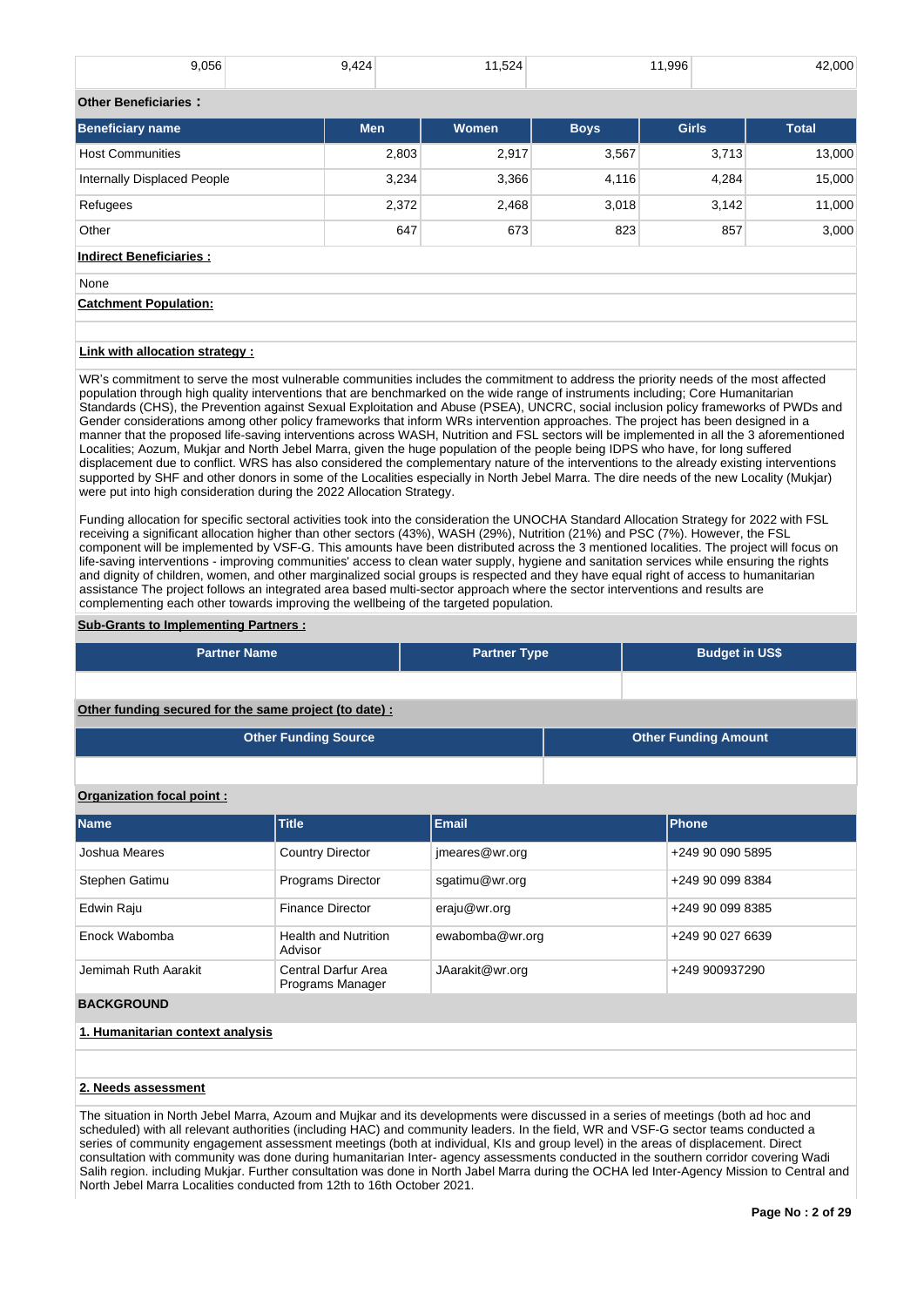| 9,056                          | 9,424      | 11,524       |             | 11,996       | 42,000       |
|--------------------------------|------------|--------------|-------------|--------------|--------------|
| <b>Other Beneficiaries:</b>    |            |              |             |              |              |
| <b>Beneficiary name</b>        | <b>Men</b> | <b>Women</b> | <b>Boys</b> | <b>Girls</b> | <b>Total</b> |
| <b>Host Communities</b>        | 2,803      | 2,917        | 3,567       | 3,713        | 13,000       |
| Internally Displaced People    | 3,234      | 3,366        | 4,116       | 4,284        | 15,000       |
| Refugees                       | 2,372      | 2,468        | 3,018       | 3,142        | 11,000       |
| Other                          | 647        | 673          | 823         | 857          | 3,000        |
| <b>Indirect Beneficiaries:</b> |            |              |             |              |              |

None **Catchment Population:**

#### **Link with allocation strategy :**

WR's commitment to serve the most vulnerable communities includes the commitment to address the priority needs of the most affected population through high quality interventions that are benchmarked on the wide range of instruments including; Core Humanitarian Standards (CHS), the Prevention against Sexual Exploitation and Abuse (PSEA), UNCRC, social inclusion policy frameworks of PWDs and Gender considerations among other policy frameworks that inform WRs intervention approaches. The project has been designed in a manner that the proposed life-saving interventions across WASH, Nutrition and FSL sectors will be implemented in all the 3 aforementioned Localities; Aozum, Mukjar and North Jebel Marra, given the huge population of the people being IDPS who have, for long suffered displacement due to conflict. WRS has also considered the complementary nature of the interventions to the already existing interventions supported by SHF and other donors in some of the Localities especially in North Jebel Marra. The dire needs of the new Locality (Mukjar) were put into high consideration during the 2022 Allocation Strategy.

Funding allocation for specific sectoral activities took into the consideration the UNOCHA Standard Allocation Strategy for 2022 with FSL receiving a significant allocation higher than other sectors (43%), WASH (29%), Nutrition (21%) and PSC (7%). However, the FSL component will be implemented by VSF-G. This amounts have been distributed across the 3 mentioned localities. The project will focus on life-saving interventions - improving communities' access to clean water supply, hygiene and sanitation services while ensuring the rights and dignity of children, women, and other marginalized social groups is respected and they have equal right of access to humanitarian assistance The project follows an integrated area based multi-sector approach where the sector interventions and results are complementing each other towards improving the wellbeing of the targeted population.

#### **Sub-Grants to Implementing Partners :**

| <b>Partner Name</b>                                   | <b>Partner Type</b> |  | <b>Budget in US\$</b>       |  |  |
|-------------------------------------------------------|---------------------|--|-----------------------------|--|--|
|                                                       |                     |  |                             |  |  |
| Other funding secured for the same project (to date): |                     |  |                             |  |  |
| <b>Other Funding Source</b>                           |                     |  | <b>Other Funding Amount</b> |  |  |

#### **Organization focal point :**

| <b>Name</b>          | <b>Title</b>                            | Email           | <b>Phone</b>     |
|----------------------|-----------------------------------------|-----------------|------------------|
| Joshua Meares        | <b>Country Director</b>                 | jmeares@wr.org  | +249 90 090 5895 |
| Stephen Gatimu       | Programs Director                       | sgatimu@wr.org  | +249 90 099 8384 |
| Edwin Raju           | <b>Finance Director</b>                 | eraju@wr.org    | +249 90 099 8385 |
| Enock Wabomba        | <b>Health and Nutrition</b><br>Advisor  | ewabomba@wr.org | +249 90 027 6639 |
| Jemimah Ruth Aarakit | Central Darfur Area<br>Programs Manager | JAarakit@wr.org | +249 900937290   |
| <b>BACKGROUND</b>    |                                         |                 |                  |

# **1. Humanitarian context analysis**

#### **2. Needs assessment**

The situation in North Jebel Marra, Azoum and Mujkar and its developments were discussed in a series of meetings (both ad hoc and scheduled) with all relevant authorities (including HAC) and community leaders. In the field, WR and VSF-G sector teams conducted a series of community engagement assessment meetings (both at individual, KIs and group level) in the areas of displacement. Direct consultation with community was done during humanitarian Inter- agency assessments conducted in the southern corridor covering Wadi Salih region. including Mukjar. Further consultation was done in North Jabel Marra during the OCHA led Inter-Agency Mission to Central and North Jebel Marra Localities conducted from 12th to 16th October 2021.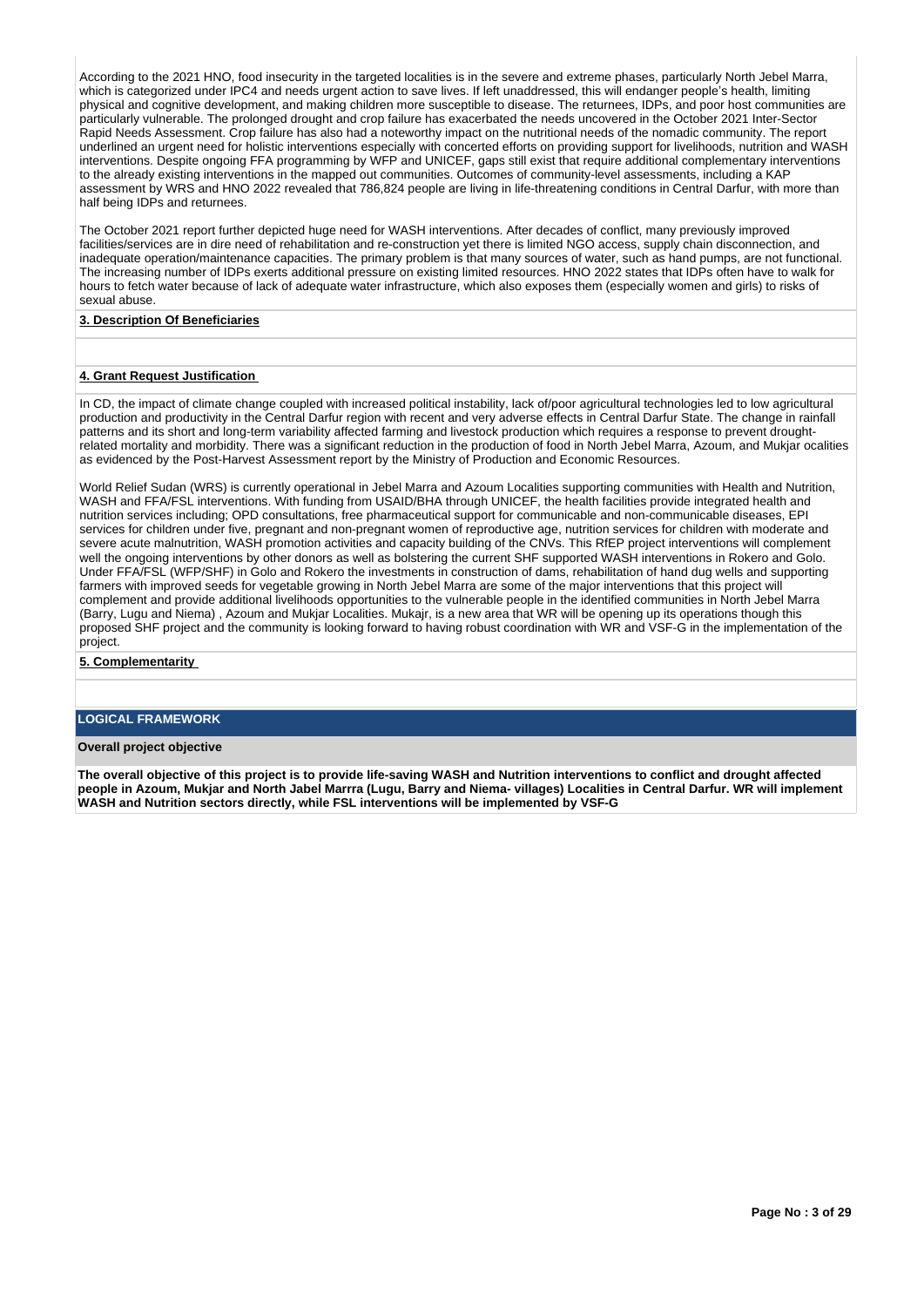According to the 2021 HNO, food insecurity in the targeted localities is in the severe and extreme phases, particularly North Jebel Marra, which is categorized under IPC4 and needs urgent action to save lives. If left unaddressed, this will endanger people's health, limiting physical and cognitive development, and making children more susceptible to disease. The returnees, IDPs, and poor host communities are particularly vulnerable. The prolonged drought and crop failure has exacerbated the needs uncovered in the October 2021 Inter-Sector Rapid Needs Assessment. Crop failure has also had a noteworthy impact on the nutritional needs of the nomadic community. The report underlined an urgent need for holistic interventions especially with concerted efforts on providing support for livelihoods, nutrition and WASH interventions. Despite ongoing FFA programming by WFP and UNICEF, gaps still exist that require additional complementary interventions to the already existing interventions in the mapped out communities. Outcomes of community-level assessments, including a KAP assessment by WRS and HNO 2022 revealed that 786,824 people are living in life-threatening conditions in Central Darfur, with more than half being IDPs and returnees.

The October 2021 report further depicted huge need for WASH interventions. After decades of conflict, many previously improved facilities/services are in dire need of rehabilitation and re-construction yet there is limited NGO access, supply chain disconnection, and inadequate operation/maintenance capacities. The primary problem is that many sources of water, such as hand pumps, are not functional. The increasing number of IDPs exerts additional pressure on existing limited resources. HNO 2022 states that IDPs often have to walk for hours to fetch water because of lack of adequate water infrastructure, which also exposes them (especially women and girls) to risks of sexual abuse.

#### **3. Description Of Beneficiaries**

### **4. Grant Request Justification**

In CD, the impact of climate change coupled with increased political instability, lack of/poor agricultural technologies led to low agricultural production and productivity in the Central Darfur region with recent and very adverse effects in Central Darfur State. The change in rainfall patterns and its short and long-term variability affected farming and livestock production which requires a response to prevent droughtrelated mortality and morbidity. There was a significant reduction in the production of food in North Jebel Marra, Azoum, and Mukjar ocalities as evidenced by the Post-Harvest Assessment report by the Ministry of Production and Economic Resources.

World Relief Sudan (WRS) is currently operational in Jebel Marra and Azoum Localities supporting communities with Health and Nutrition, WASH and FFA/FSL interventions. With funding from USAID/BHA through UNICEF, the health facilities provide integrated health and nutrition services including; OPD consultations, free pharmaceutical support for communicable and non-communicable diseases, EPI services for children under five, pregnant and non-pregnant women of reproductive age, nutrition services for children with moderate and severe acute malnutrition, WASH promotion activities and capacity building of the CNVs. This RfEP project interventions will complement well the ongoing interventions by other donors as well as bolstering the current SHF supported WASH interventions in Rokero and Golo. Under FFA/FSL (WFP/SHF) in Golo and Rokero the investments in construction of dams, rehabilitation of hand dug wells and supporting farmers with improved seeds for vegetable growing in North Jebel Marra are some of the major interventions that this project will complement and provide additional livelihoods opportunities to the vulnerable people in the identified communities in North Jebel Marra (Barry, Lugu and Niema) , Azoum and Mukjar Localities. Mukajr, is a new area that WR will be opening up its operations though this proposed SHF project and the community is looking forward to having robust coordination with WR and VSF-G in the implementation of the project.

#### **5. Complementarity**

# **LOGICAL FRAMEWORK**

#### **Overall project objective**

**The overall objective of this project is to provide life-saving WASH and Nutrition interventions to conflict and drought affected people in Azoum, Mukjar and North Jabel Marrra (Lugu, Barry and Niema- villages) Localities in Central Darfur. WR will implement WASH and Nutrition sectors directly, while FSL interventions will be implemented by VSF-G**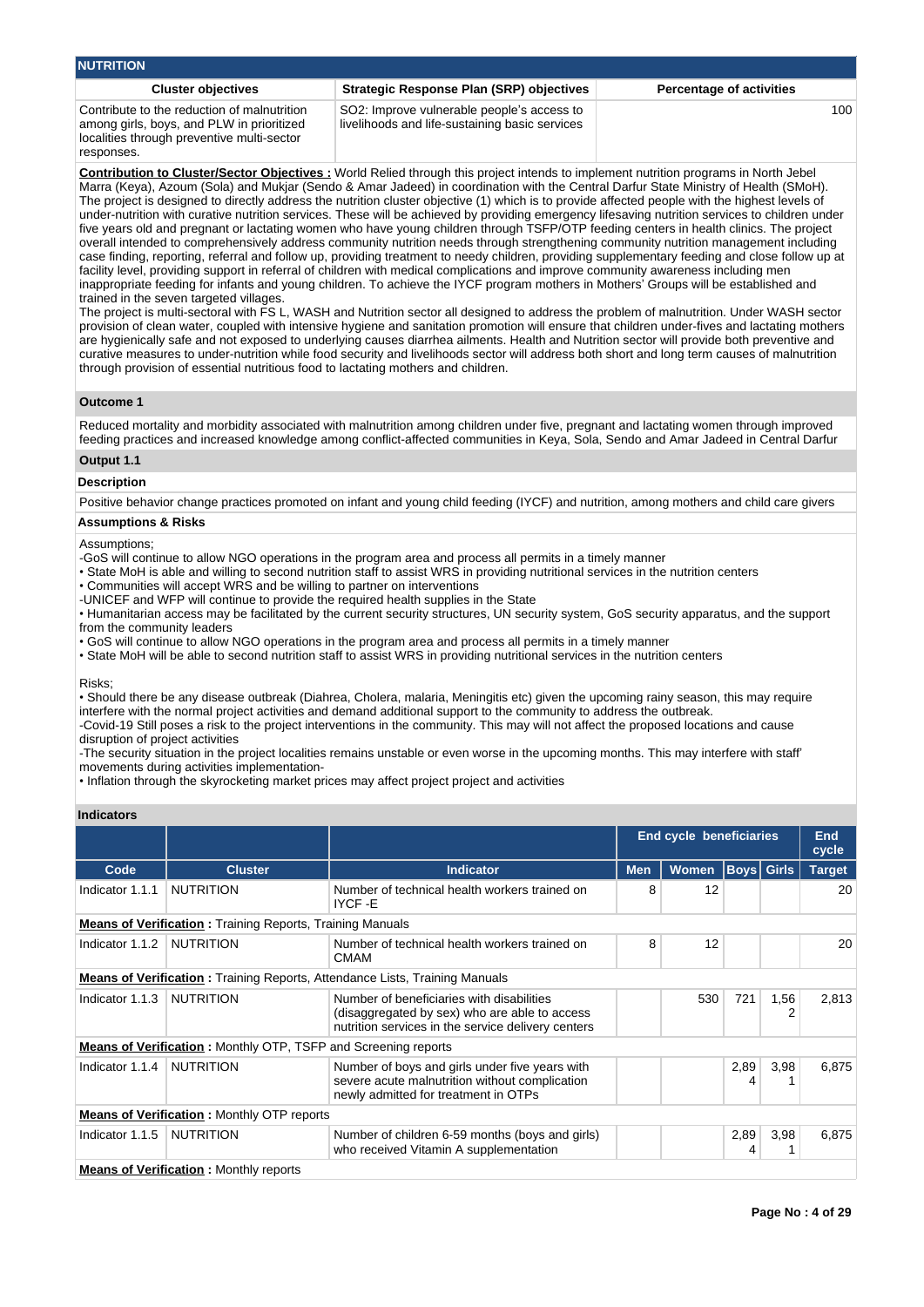| <b>NUTRITION</b>                                                                                                                                     |                                                                                              |                                 |
|------------------------------------------------------------------------------------------------------------------------------------------------------|----------------------------------------------------------------------------------------------|---------------------------------|
| <b>Cluster objectives</b>                                                                                                                            | Strategic Response Plan (SRP) objectives                                                     | <b>Percentage of activities</b> |
| Contribute to the reduction of malnutrition<br>among girls, boys, and PLW in prioritized<br>localities through preventive multi-sector<br>responses. | SO2: Improve vulnerable people's access to<br>livelihoods and life-sustaining basic services | 100                             |

**Contribution to Cluster/Sector Objectives :** World Relied through this project intends to implement nutrition programs in North Jebel Marra (Keya), Azoum (Sola) and Mukjar (Sendo & Amar Jadeed) in coordination with the Central Darfur State Ministry of Health (SMoH). The project is designed to directly address the nutrition cluster objective (1) which is to provide affected people with the highest levels of under-nutrition with curative nutrition services. These will be achieved by providing emergency lifesaving nutrition services to children under five years old and pregnant or lactating women who have young children through TSFP/OTP feeding centers in health clinics. The project overall intended to comprehensively address community nutrition needs through strengthening community nutrition management including case finding, reporting, referral and follow up, providing treatment to needy children, providing supplementary feeding and close follow up at facility level, providing support in referral of children with medical complications and improve community awareness including men inappropriate feeding for infants and young children. To achieve the IYCF program mothers in Mothers' Groups will be established and trained in the seven targeted villages.

The project is multi-sectoral with FS L, WASH and Nutrition sector all designed to address the problem of malnutrition. Under WASH sector provision of clean water, coupled with intensive hygiene and sanitation promotion will ensure that children under-fives and lactating mothers are hygienically safe and not exposed to underlying causes diarrhea ailments. Health and Nutrition sector will provide both preventive and curative measures to under-nutrition while food security and livelihoods sector will address both short and long term causes of malnutrition through provision of essential nutritious food to lactating mothers and children.

#### **Outcome 1**

Reduced mortality and morbidity associated with malnutrition among children under five, pregnant and lactating women through improved feeding practices and increased knowledge among conflict-affected communities in Keya, Sola, Sendo and Amar Jadeed in Central Darfur

# **Output 1.1**

# **Description**

Positive behavior change practices promoted on infant and young child feeding (IYCF) and nutrition, among mothers and child care givers

# **Assumptions & Risks**

**Assumptions** 

- -GoS will continue to allow NGO operations in the program area and process all permits in a timely manner
- State MoH is able and willing to second nutrition staff to assist WRS in providing nutritional services in the nutrition centers
- Communities will accept WRS and be willing to partner on interventions
- -UNICEF and WFP will continue to provide the required health supplies in the State

• Humanitarian access may be facilitated by the current security structures, UN security system, GoS security apparatus, and the support from the community leaders

- GoS will continue to allow NGO operations in the program area and process all permits in a timely manner
- State MoH will be able to second nutrition staff to assist WRS in providing nutritional services in the nutrition centers

Risks;

• Should there be any disease outbreak (Diahrea, Cholera, malaria, Meningitis etc) given the upcoming rainy season, this may require interfere with the normal project activities and demand additional support to the community to address the outbreak. -Covid-19 Still poses a risk to the project interventions in the community. This may will not affect the proposed locations and cause

disruption of project activities

-The security situation in the project localities remains unstable or even worse in the upcoming months. This may interfere with staff' movements during activities implementation-

• Inflation through the skyrocketing market prices may affect project project and activities

| <b>Indicators</b> |                                                                       |                                                                                                                                                  |            |                                |           |                   |               |
|-------------------|-----------------------------------------------------------------------|--------------------------------------------------------------------------------------------------------------------------------------------------|------------|--------------------------------|-----------|-------------------|---------------|
|                   |                                                                       |                                                                                                                                                  |            | <b>End cycle beneficiaries</b> |           |                   | End<br>cycle  |
| Code              | <b>Cluster</b>                                                        | <b>Indicator</b>                                                                                                                                 | <b>Men</b> | Women                          |           | <b>Boys</b> Girls | <b>Target</b> |
| Indicator 1.1.1   | <b>NUTRITION</b>                                                      | Number of technical health workers trained on<br>IYCF-E                                                                                          | 8          | 12                             |           |                   | 20            |
|                   | <b>Means of Verification:</b> Training Reports, Training Manuals      |                                                                                                                                                  |            |                                |           |                   |               |
| Indicator 1.1.2   | NUTRITION                                                             | Number of technical health workers trained on<br><b>CMAM</b>                                                                                     | 8          | 12                             |           |                   | 20            |
|                   |                                                                       | <b>Means of Verification:</b> Training Reports, Attendance Lists, Training Manuals                                                               |            |                                |           |                   |               |
| Indicator 1.1.3   | <b>NUTRITION</b>                                                      | Number of beneficiaries with disabilities<br>(disaggregated by sex) who are able to access<br>nutrition services in the service delivery centers |            | 530                            | 721       | 1,56              | 2,813         |
|                   | <b>Means of Verification:</b> Monthly OTP, TSFP and Screening reports |                                                                                                                                                  |            |                                |           |                   |               |
| Indicator 1.1.4   | <b>NUTRITION</b>                                                      | Number of boys and girls under five years with<br>severe acute malnutrition without complication<br>newly admitted for treatment in OTPs         |            |                                | 2,89<br>4 | 3,98              | 6,875         |
|                   | <b>Means of Verification:</b> Monthly OTP reports                     |                                                                                                                                                  |            |                                |           |                   |               |
| Indicator 1.1.5   | <b>NUTRITION</b>                                                      | Number of children 6-59 months (boys and girls)<br>who received Vitamin A supplementation                                                        |            |                                | 2,89<br>4 | 3,98              | 6,875         |
|                   | <b>Means of Verification:</b> Monthly reports                         |                                                                                                                                                  |            |                                |           |                   |               |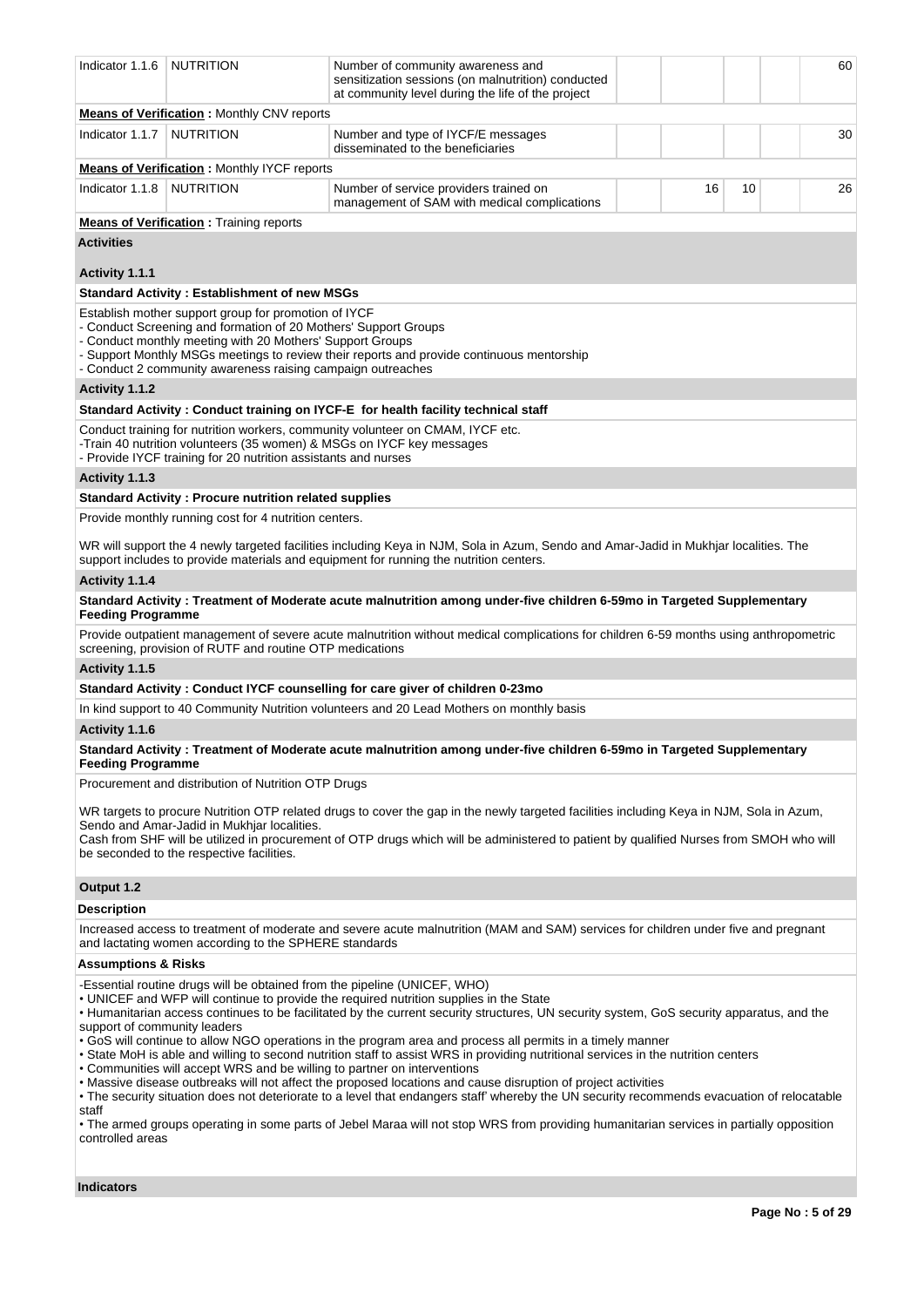| Indicator 1.1.6                                           | <b>NUTRITION</b>                                                                                                                                                                                                                                    | Number of community awareness and<br>sensitization sessions (on malnutrition) conducted<br>at community level during the life of the project                                                                                                                                                                                                                                                                                                                                                                                                                                                                                                                                                                                                                                                                                                                                                                                                                                     |    |    | 60 |
|-----------------------------------------------------------|-----------------------------------------------------------------------------------------------------------------------------------------------------------------------------------------------------------------------------------------------------|----------------------------------------------------------------------------------------------------------------------------------------------------------------------------------------------------------------------------------------------------------------------------------------------------------------------------------------------------------------------------------------------------------------------------------------------------------------------------------------------------------------------------------------------------------------------------------------------------------------------------------------------------------------------------------------------------------------------------------------------------------------------------------------------------------------------------------------------------------------------------------------------------------------------------------------------------------------------------------|----|----|----|
|                                                           | <b>Means of Verification:</b> Monthly CNV reports                                                                                                                                                                                                   |                                                                                                                                                                                                                                                                                                                                                                                                                                                                                                                                                                                                                                                                                                                                                                                                                                                                                                                                                                                  |    |    |    |
| Indicator 1.1.7                                           | <b>NUTRITION</b>                                                                                                                                                                                                                                    | Number and type of IYCF/E messages<br>disseminated to the beneficiaries                                                                                                                                                                                                                                                                                                                                                                                                                                                                                                                                                                                                                                                                                                                                                                                                                                                                                                          |    |    | 30 |
|                                                           | <b>Means of Verification:</b> Monthly IYCF reports                                                                                                                                                                                                  |                                                                                                                                                                                                                                                                                                                                                                                                                                                                                                                                                                                                                                                                                                                                                                                                                                                                                                                                                                                  |    |    |    |
| Indicator 1.1.8                                           | <b>NUTRITION</b>                                                                                                                                                                                                                                    | Number of service providers trained on<br>management of SAM with medical complications                                                                                                                                                                                                                                                                                                                                                                                                                                                                                                                                                                                                                                                                                                                                                                                                                                                                                           | 16 | 10 | 26 |
|                                                           | <b>Means of Verification:</b> Training reports                                                                                                                                                                                                      |                                                                                                                                                                                                                                                                                                                                                                                                                                                                                                                                                                                                                                                                                                                                                                                                                                                                                                                                                                                  |    |    |    |
| <b>Activities</b>                                         |                                                                                                                                                                                                                                                     |                                                                                                                                                                                                                                                                                                                                                                                                                                                                                                                                                                                                                                                                                                                                                                                                                                                                                                                                                                                  |    |    |    |
| Activity 1.1.1                                            |                                                                                                                                                                                                                                                     |                                                                                                                                                                                                                                                                                                                                                                                                                                                                                                                                                                                                                                                                                                                                                                                                                                                                                                                                                                                  |    |    |    |
|                                                           | <b>Standard Activity: Establishment of new MSGs</b>                                                                                                                                                                                                 |                                                                                                                                                                                                                                                                                                                                                                                                                                                                                                                                                                                                                                                                                                                                                                                                                                                                                                                                                                                  |    |    |    |
|                                                           | Establish mother support group for promotion of IYCF<br>- Conduct Screening and formation of 20 Mothers' Support Groups<br>- Conduct monthly meeting with 20 Mothers' Support Groups<br>- Conduct 2 community awareness raising campaign outreaches | - Support Monthly MSGs meetings to review their reports and provide continuous mentorship                                                                                                                                                                                                                                                                                                                                                                                                                                                                                                                                                                                                                                                                                                                                                                                                                                                                                        |    |    |    |
| Activity 1.1.2                                            |                                                                                                                                                                                                                                                     |                                                                                                                                                                                                                                                                                                                                                                                                                                                                                                                                                                                                                                                                                                                                                                                                                                                                                                                                                                                  |    |    |    |
|                                                           |                                                                                                                                                                                                                                                     | Standard Activity: Conduct training on IYCF-E for health facility technical staff                                                                                                                                                                                                                                                                                                                                                                                                                                                                                                                                                                                                                                                                                                                                                                                                                                                                                                |    |    |    |
|                                                           | - Provide IYCF training for 20 nutrition assistants and nurses                                                                                                                                                                                      | Conduct training for nutrition workers, community volunteer on CMAM, IYCF etc.<br>-Train 40 nutrition volunteers (35 women) & MSGs on IYCF key messages                                                                                                                                                                                                                                                                                                                                                                                                                                                                                                                                                                                                                                                                                                                                                                                                                          |    |    |    |
| Activity 1.1.3                                            |                                                                                                                                                                                                                                                     |                                                                                                                                                                                                                                                                                                                                                                                                                                                                                                                                                                                                                                                                                                                                                                                                                                                                                                                                                                                  |    |    |    |
|                                                           | <b>Standard Activity: Procure nutrition related supplies</b>                                                                                                                                                                                        |                                                                                                                                                                                                                                                                                                                                                                                                                                                                                                                                                                                                                                                                                                                                                                                                                                                                                                                                                                                  |    |    |    |
|                                                           | Provide monthly running cost for 4 nutrition centers.                                                                                                                                                                                               |                                                                                                                                                                                                                                                                                                                                                                                                                                                                                                                                                                                                                                                                                                                                                                                                                                                                                                                                                                                  |    |    |    |
|                                                           |                                                                                                                                                                                                                                                     | WR will support the 4 newly targeted facilities including Keya in NJM, Sola in Azum, Sendo and Amar-Jadid in Mukhjar localities. The<br>support includes to provide materials and equipment for running the nutrition centers.                                                                                                                                                                                                                                                                                                                                                                                                                                                                                                                                                                                                                                                                                                                                                   |    |    |    |
| Activity 1.1.4                                            |                                                                                                                                                                                                                                                     |                                                                                                                                                                                                                                                                                                                                                                                                                                                                                                                                                                                                                                                                                                                                                                                                                                                                                                                                                                                  |    |    |    |
| <b>Feeding Programme</b>                                  |                                                                                                                                                                                                                                                     | Standard Activity: Treatment of Moderate acute malnutrition among under-five children 6-59mo in Targeted Supplementary                                                                                                                                                                                                                                                                                                                                                                                                                                                                                                                                                                                                                                                                                                                                                                                                                                                           |    |    |    |
|                                                           | screening, provision of RUTF and routine OTP medications                                                                                                                                                                                            | Provide outpatient management of severe acute malnutrition without medical complications for children 6-59 months using anthropometric                                                                                                                                                                                                                                                                                                                                                                                                                                                                                                                                                                                                                                                                                                                                                                                                                                           |    |    |    |
| Activity 1.1.5                                            |                                                                                                                                                                                                                                                     |                                                                                                                                                                                                                                                                                                                                                                                                                                                                                                                                                                                                                                                                                                                                                                                                                                                                                                                                                                                  |    |    |    |
|                                                           |                                                                                                                                                                                                                                                     | Standard Activity: Conduct IYCF counselling for care giver of children 0-23mo                                                                                                                                                                                                                                                                                                                                                                                                                                                                                                                                                                                                                                                                                                                                                                                                                                                                                                    |    |    |    |
|                                                           |                                                                                                                                                                                                                                                     | In kind support to 40 Community Nutrition volunteers and 20 Lead Mothers on monthly basis                                                                                                                                                                                                                                                                                                                                                                                                                                                                                                                                                                                                                                                                                                                                                                                                                                                                                        |    |    |    |
| Activity 1.1.6                                            |                                                                                                                                                                                                                                                     |                                                                                                                                                                                                                                                                                                                                                                                                                                                                                                                                                                                                                                                                                                                                                                                                                                                                                                                                                                                  |    |    |    |
| <b>Feeding Programme</b>                                  |                                                                                                                                                                                                                                                     | Standard Activity: Treatment of Moderate acute malnutrition among under-five children 6-59mo in Targeted Supplementary                                                                                                                                                                                                                                                                                                                                                                                                                                                                                                                                                                                                                                                                                                                                                                                                                                                           |    |    |    |
|                                                           | Procurement and distribution of Nutrition OTP Drugs                                                                                                                                                                                                 |                                                                                                                                                                                                                                                                                                                                                                                                                                                                                                                                                                                                                                                                                                                                                                                                                                                                                                                                                                                  |    |    |    |
|                                                           | Sendo and Amar-Jadid in Mukhjar localities.<br>be seconded to the respective facilities.                                                                                                                                                            | WR targets to procure Nutrition OTP related drugs to cover the gap in the newly targeted facilities including Keya in NJM, Sola in Azum,<br>Cash from SHF will be utilized in procurement of OTP drugs which will be administered to patient by qualified Nurses from SMOH who will                                                                                                                                                                                                                                                                                                                                                                                                                                                                                                                                                                                                                                                                                              |    |    |    |
| Output 1.2                                                |                                                                                                                                                                                                                                                     |                                                                                                                                                                                                                                                                                                                                                                                                                                                                                                                                                                                                                                                                                                                                                                                                                                                                                                                                                                                  |    |    |    |
| <b>Description</b>                                        |                                                                                                                                                                                                                                                     |                                                                                                                                                                                                                                                                                                                                                                                                                                                                                                                                                                                                                                                                                                                                                                                                                                                                                                                                                                                  |    |    |    |
|                                                           | and lactating women according to the SPHERE standards                                                                                                                                                                                               | Increased access to treatment of moderate and severe acute malnutrition (MAM and SAM) services for children under five and pregnant                                                                                                                                                                                                                                                                                                                                                                                                                                                                                                                                                                                                                                                                                                                                                                                                                                              |    |    |    |
| <b>Assumptions &amp; Risks</b>                            |                                                                                                                                                                                                                                                     |                                                                                                                                                                                                                                                                                                                                                                                                                                                                                                                                                                                                                                                                                                                                                                                                                                                                                                                                                                                  |    |    |    |
| support of community leaders<br>staff<br>controlled areas | • Communities will accept WRS and be willing to partner on interventions                                                                                                                                                                            | -Essential routine drugs will be obtained from the pipeline (UNICEF, WHO)<br>• UNICEF and WFP will continue to provide the required nutrition supplies in the State<br>. Humanitarian access continues to be facilitated by the current security structures, UN security system, GoS security apparatus, and the<br>• GoS will continue to allow NGO operations in the program area and process all permits in a timely manner<br>• State MoH is able and willing to second nutrition staff to assist WRS in providing nutritional services in the nutrition centers<br>• Massive disease outbreaks will not affect the proposed locations and cause disruption of project activities<br>• The security situation does not deteriorate to a level that endangers staff' whereby the UN security recommends evacuation of relocatable<br>• The armed groups operating in some parts of Jebel Maraa will not stop WRS from providing humanitarian services in partially opposition |    |    |    |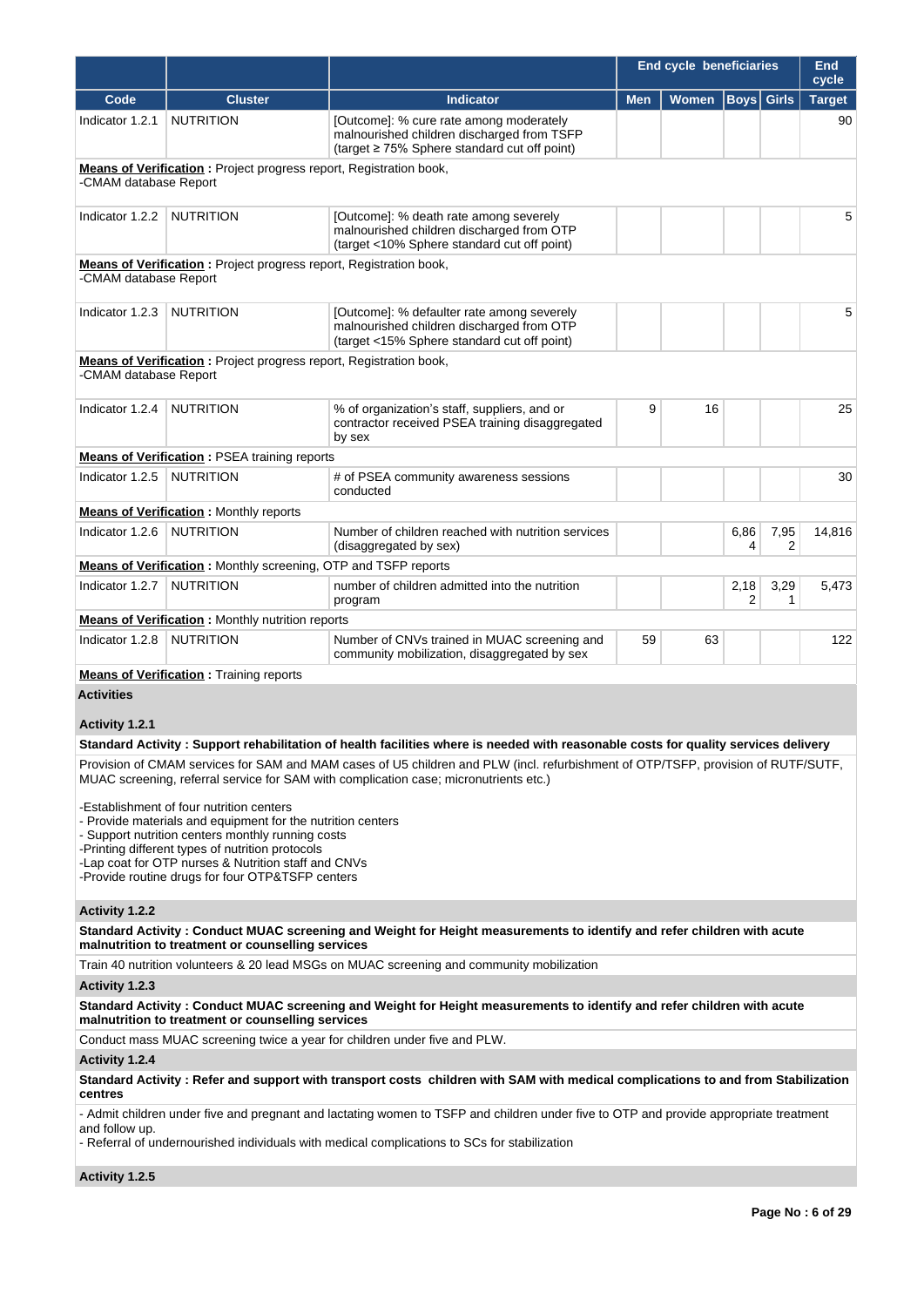|                       |                                                                           |                                                                                                                                            | <b>End cycle beneficiaries</b> |       |                        | End<br>cycle      |               |
|-----------------------|---------------------------------------------------------------------------|--------------------------------------------------------------------------------------------------------------------------------------------|--------------------------------|-------|------------------------|-------------------|---------------|
| Code                  | <b>Cluster</b>                                                            | <b>Indicator</b>                                                                                                                           | <b>Men</b>                     | Women |                        | <b>Boys</b> Girls | <b>Target</b> |
| Indicator 1.2.1       | <b>NUTRITION</b>                                                          | [Outcome]: % cure rate among moderately<br>malnourished children discharged from TSFP<br>(target $\geq$ 75% Sphere standard cut off point) |                                |       |                        |                   | 90            |
| -CMAM database Report | <b>Means of Verification:</b> Project progress report, Registration book, |                                                                                                                                            |                                |       |                        |                   |               |
| Indicator 1.2.2       | NUTRITION                                                                 | [Outcome]: % death rate among severely<br>malnourished children discharged from OTP<br>(target <10% Sphere standard cut off point)         |                                |       |                        |                   | 5             |
| -CMAM database Report | <b>Means of Verification:</b> Project progress report, Registration book, |                                                                                                                                            |                                |       |                        |                   |               |
| Indicator 1.2.3       | <b>NUTRITION</b>                                                          | [Outcome]: % defaulter rate among severely<br>malnourished children discharged from OTP<br>(target <15% Sphere standard cut off point)     |                                |       |                        |                   | 5             |
| -CMAM database Report | <b>Means of Verification:</b> Project progress report, Registration book, |                                                                                                                                            |                                |       |                        |                   |               |
| Indicator 1.2.4       | <b>NUTRITION</b>                                                          | % of organization's staff, suppliers, and or<br>contractor received PSEA training disaggregated<br>by sex                                  | 9                              | 16    |                        |                   | 25            |
|                       | <b>Means of Verification: PSEA training reports</b>                       |                                                                                                                                            |                                |       |                        |                   |               |
| Indicator 1.2.5       | <b>NUTRITION</b>                                                          | # of PSEA community awareness sessions<br>conducted                                                                                        |                                |       |                        |                   | 30            |
|                       | <b>Means of Verification: Monthly reports</b>                             |                                                                                                                                            |                                |       |                        |                   |               |
| Indicator 1.2.6       | <b>NUTRITION</b>                                                          | Number of children reached with nutrition services<br>(disaggregated by sex)                                                               |                                |       | 6,86<br>4              | 7,95<br>2         | 14,816        |
|                       | <b>Means of Verification:</b> Monthly screening, OTP and TSFP reports     |                                                                                                                                            |                                |       |                        |                   |               |
| Indicator 1.2.7       | <b>NUTRITION</b>                                                          | number of children admitted into the nutrition<br>program                                                                                  |                                |       | 2,18<br>$\overline{2}$ | 3,29<br>1         | 5,473         |
|                       | <b>Means of Verification:</b> Monthly nutrition reports                   |                                                                                                                                            |                                |       |                        |                   |               |
| Indicator 1.2.8       | NUTRITION                                                                 | Number of CNVs trained in MUAC screening and<br>community mobilization, disaggregated by sex                                               | 59                             | 63    |                        |                   | 122           |

**Means of Verification :** Training reports

**Activities**

# **Activity 1.2.1**

#### **Standard Activity : Support rehabilitation of health facilities where is needed with reasonable costs for quality services delivery**

Provision of CMAM services for SAM and MAM cases of U5 children and PLW (incl. refurbishment of OTP/TSFP, provision of RUTF/SUTF, MUAC screening, referral service for SAM with complication case; micronutrients etc.)

-Establishment of four nutrition centers

- Provide materials and equipment for the nutrition centers

- Support nutrition centers monthly running costs

-Printing different types of nutrition protocols

-Lap coat for OTP nurses & Nutrition staff and CNVs

-Provide routine drugs for four OTP&TSFP centers

#### **Activity 1.2.2**

**Standard Activity : Conduct MUAC screening and Weight for Height measurements to identify and refer children with acute malnutrition to treatment or counselling services**

Train 40 nutrition volunteers & 20 lead MSGs on MUAC screening and community mobilization

#### **Activity 1.2.3**

**Standard Activity : Conduct MUAC screening and Weight for Height measurements to identify and refer children with acute malnutrition to treatment or counselling services**

Conduct mass MUAC screening twice a year for children under five and PLW.

## **Activity 1.2.4**

**Standard Activity : Refer and support with transport costs children with SAM with medical complications to and from Stabilization centres**

- Admit children under five and pregnant and lactating women to TSFP and children under five to OTP and provide appropriate treatment and follow up.

- Referral of undernourished individuals with medical complications to SCs for stabilization

**Activity 1.2.5**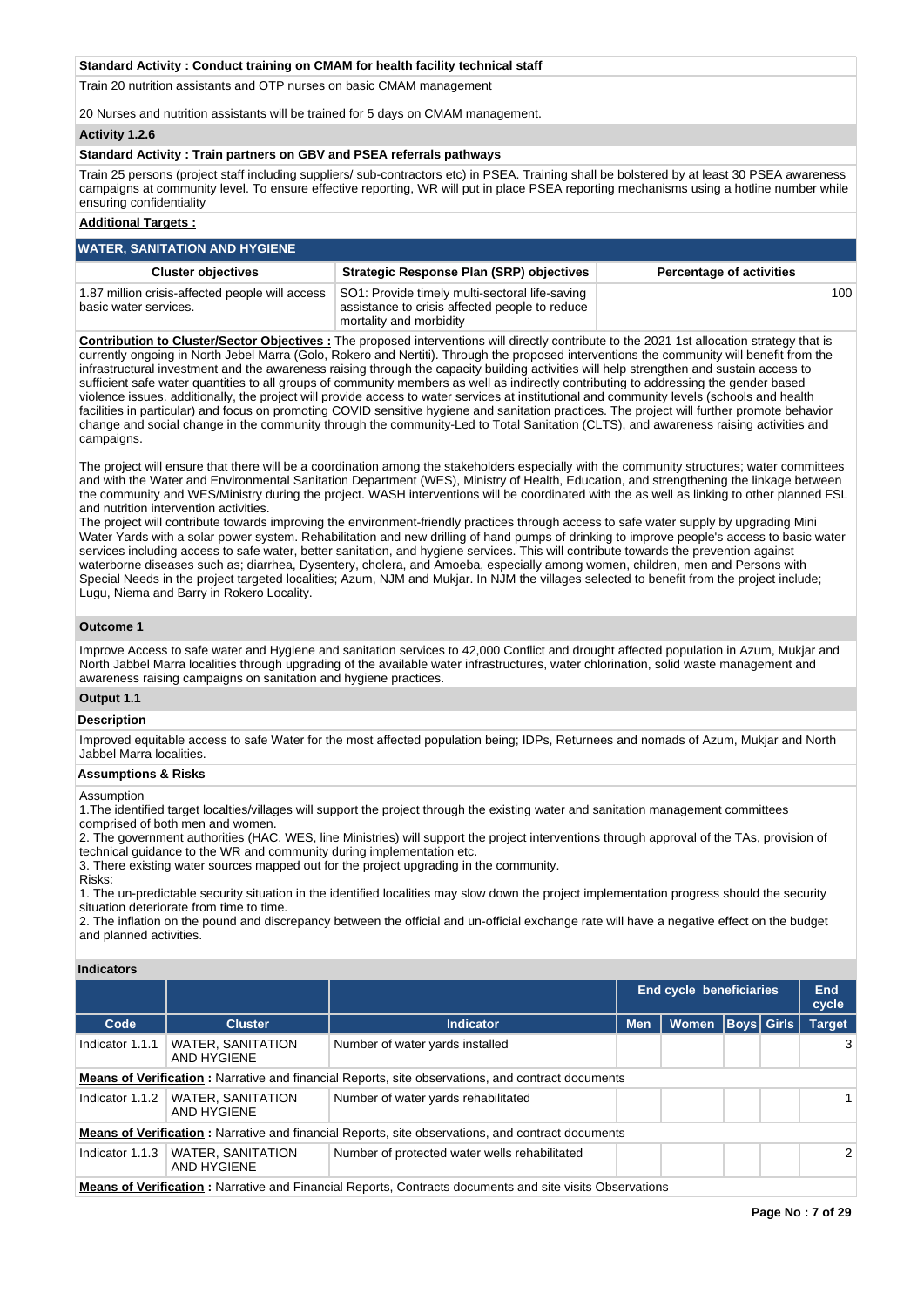#### **Standard Activity : Conduct training on CMAM for health facility technical staff**

Train 20 nutrition assistants and OTP nurses on basic CMAM management

20 Nurses and nutrition assistants will be trained for 5 days on CMAM management.

#### **Activity 1.2.6**

#### **Standard Activity : Train partners on GBV and PSEA referrals pathways**

Train 25 persons (project staff including suppliers/ sub-contractors etc) in PSEA. Training shall be bolstered by at least 30 PSEA awareness campaigns at community level. To ensure effective reporting, WR will put in place PSEA reporting mechanisms using a hotline number while ensuring confidentiality

#### **Additional Targets :**

| <b>WATER, SANITATION AND HYGIENE</b>                                     |                                                                                                                             |                                 |  |  |  |  |
|--------------------------------------------------------------------------|-----------------------------------------------------------------------------------------------------------------------------|---------------------------------|--|--|--|--|
| <b>Cluster objectives</b>                                                | <b>Strategic Response Plan (SRP) objectives</b>                                                                             | <b>Percentage of activities</b> |  |  |  |  |
| 1.87 million crisis-affected people will access<br>basic water services. | SO1: Provide timely multi-sectoral life-saving<br>assistance to crisis affected people to reduce<br>mortality and morbidity | 100                             |  |  |  |  |

**Contribution to Cluster/Sector Objectives :** The proposed interventions will directly contribute to the 2021 1st allocation strategy that is currently ongoing in North Jebel Marra (Golo, Rokero and Nertiti). Through the proposed interventions the community will benefit from the infrastructural investment and the awareness raising through the capacity building activities will help strengthen and sustain access to sufficient safe water quantities to all groups of community members as well as indirectly contributing to addressing the gender based violence issues. additionally, the project will provide access to water services at institutional and community levels (schools and health facilities in particular) and focus on promoting COVID sensitive hygiene and sanitation practices. The project will further promote behavior change and social change in the community through the community-Led to Total Sanitation (CLTS), and awareness raising activities and campaigns.

The project will ensure that there will be a coordination among the stakeholders especially with the community structures; water committees and with the Water and Environmental Sanitation Department (WES), Ministry of Health, Education, and strengthening the linkage between the community and WES/Ministry during the project. WASH interventions will be coordinated with the as well as linking to other planned FSL and nutrition intervention activities.

The project will contribute towards improving the environment-friendly practices through access to safe water supply by upgrading Mini Water Yards with a solar power system. Rehabilitation and new drilling of hand pumps of drinking to improve people's access to basic water services including access to safe water, better sanitation, and hygiene services. This will contribute towards the prevention against waterborne diseases such as; diarrhea, Dysentery, cholera, and Amoeba, especially among women, children, men and Persons with Special Needs in the project targeted localities; Azum, NJM and Mukjar. In NJM the villages selected to benefit from the project include; Lugu, Niema and Barry in Rokero Locality.

#### **Outcome 1**

Improve Access to safe water and Hygiene and sanitation services to 42,000 Conflict and drought affected population in Azum, Mukjar and North Jabbel Marra localities through upgrading of the available water infrastructures, water chlorination, solid waste management and awareness raising campaigns on sanitation and hygiene practices.

#### **Output 1.1**

#### **Description**

Improved equitable access to safe Water for the most affected population being; IDPs, Returnees and nomads of Azum, Mukjar and North Jabbel Marra localities.

#### **Assumptions & Risks**

Assumption

1.The identified target localties/villages will support the project through the existing water and sanitation management committees comprised of both men and women.

2. The government authorities (HAC, WES, line Ministries) will support the project interventions through approval of the TAs, provision of technical guidance to the WR and community during implementation etc.

3. There existing water sources mapped out for the project upgrading in the community.

Risks:

1. The un-predictable security situation in the identified localities may slow down the project implementation progress should the security situation deteriorate from time to time.

2. The inflation on the pound and discrepancy between the official and un-official exchange rate will have a negative effect on the budget and planned activities.

#### **Indicators**

|                                                                                                          |                                         |                                                                                                          | End cycle beneficiaries |              | End<br>cycle      |  |               |  |
|----------------------------------------------------------------------------------------------------------|-----------------------------------------|----------------------------------------------------------------------------------------------------------|-------------------------|--------------|-------------------|--|---------------|--|
| Code                                                                                                     | <b>Cluster</b>                          | <b>Indicator</b>                                                                                         | <b>Men</b>              | <b>Women</b> | <b>Boys</b> Girls |  | <b>Target</b> |  |
| Indicator 1.1.1                                                                                          | <b>WATER, SANITATION</b><br>AND HYGIENE | Number of water yards installed                                                                          |                         |              |                   |  | 3             |  |
|                                                                                                          |                                         | <b>Means of Verification:</b> Narrative and financial Reports, site observations, and contract documents |                         |              |                   |  |               |  |
| Indicator 1.1.2                                                                                          | <b>WATER, SANITATION</b><br>AND HYGIENE | Number of water yards rehabilitated                                                                      |                         |              |                   |  | $\mathbf{1}$  |  |
| <b>Means of Verification:</b> Narrative and financial Reports, site observations, and contract documents |                                         |                                                                                                          |                         |              |                   |  |               |  |
| Indicator 1.1.3                                                                                          | <b>WATER, SANITATION</b><br>AND HYGIENE | Number of protected water wells rehabilitated                                                            |                         |              |                   |  | 2             |  |
| Maana of Haulflastian : Namelice and Financial Denama. Occupato descursato and alte civita. Observations |                                         |                                                                                                          |                         |              |                   |  |               |  |

**Means of Verification :** Narrative and Financial Reports, Contracts documents and site visits Observations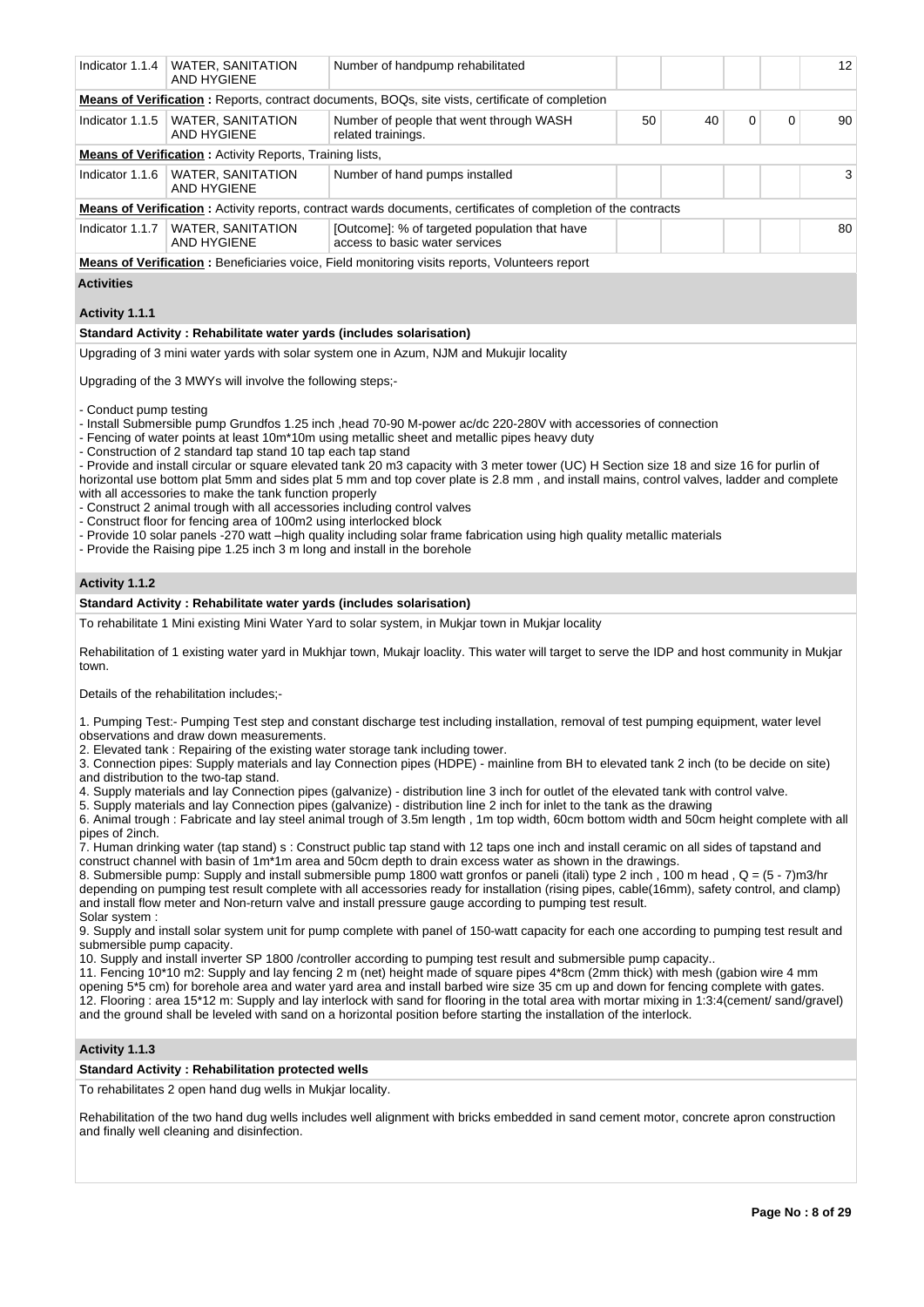| Indicator 1.1.4                                                 | <b>WATER, SANITATION</b><br><b>AND HYGIENE</b>                                                                                                                                                                                                                                                                                                           | Number of handpump rehabilitated                                                                                                                                                                                                                                                                                                                                                                                                                                                                                                                                                                                                                                                                                                                                                                                                                                                                                                                                                                                                                                                                                                                                                                                                                                                                                                                                                                                                                                                                                                                                                                                    |    |    |             |   | 12 |
|-----------------------------------------------------------------|----------------------------------------------------------------------------------------------------------------------------------------------------------------------------------------------------------------------------------------------------------------------------------------------------------------------------------------------------------|---------------------------------------------------------------------------------------------------------------------------------------------------------------------------------------------------------------------------------------------------------------------------------------------------------------------------------------------------------------------------------------------------------------------------------------------------------------------------------------------------------------------------------------------------------------------------------------------------------------------------------------------------------------------------------------------------------------------------------------------------------------------------------------------------------------------------------------------------------------------------------------------------------------------------------------------------------------------------------------------------------------------------------------------------------------------------------------------------------------------------------------------------------------------------------------------------------------------------------------------------------------------------------------------------------------------------------------------------------------------------------------------------------------------------------------------------------------------------------------------------------------------------------------------------------------------------------------------------------------------|----|----|-------------|---|----|
|                                                                 |                                                                                                                                                                                                                                                                                                                                                          | Means of Verification: Reports, contract documents, BOQs, site vists, certificate of completion                                                                                                                                                                                                                                                                                                                                                                                                                                                                                                                                                                                                                                                                                                                                                                                                                                                                                                                                                                                                                                                                                                                                                                                                                                                                                                                                                                                                                                                                                                                     |    |    |             |   |    |
| Indicator 1.1.5                                                 | <b>WATER, SANITATION</b><br>AND HYGIENE                                                                                                                                                                                                                                                                                                                  | Number of people that went through WASH<br>related trainings.                                                                                                                                                                                                                                                                                                                                                                                                                                                                                                                                                                                                                                                                                                                                                                                                                                                                                                                                                                                                                                                                                                                                                                                                                                                                                                                                                                                                                                                                                                                                                       | 50 | 40 | $\mathbf 0$ | 0 | 90 |
|                                                                 | <b>Means of Verification:</b> Activity Reports, Training lists,                                                                                                                                                                                                                                                                                          |                                                                                                                                                                                                                                                                                                                                                                                                                                                                                                                                                                                                                                                                                                                                                                                                                                                                                                                                                                                                                                                                                                                                                                                                                                                                                                                                                                                                                                                                                                                                                                                                                     |    |    |             |   |    |
| Indicator 1.1.6                                                 | <b>WATER, SANITATION</b><br>AND HYGIENE                                                                                                                                                                                                                                                                                                                  | Number of hand pumps installed                                                                                                                                                                                                                                                                                                                                                                                                                                                                                                                                                                                                                                                                                                                                                                                                                                                                                                                                                                                                                                                                                                                                                                                                                                                                                                                                                                                                                                                                                                                                                                                      |    |    |             |   | 3  |
|                                                                 |                                                                                                                                                                                                                                                                                                                                                          | <b>Means of Verification</b> : Activity reports, contract wards documents, certificates of completion of the contracts                                                                                                                                                                                                                                                                                                                                                                                                                                                                                                                                                                                                                                                                                                                                                                                                                                                                                                                                                                                                                                                                                                                                                                                                                                                                                                                                                                                                                                                                                              |    |    |             |   |    |
| Indicator 1.1.7                                                 | <b>WATER, SANITATION</b><br>AND HYGIENE                                                                                                                                                                                                                                                                                                                  | [Outcome]: % of targeted population that have<br>access to basic water services                                                                                                                                                                                                                                                                                                                                                                                                                                                                                                                                                                                                                                                                                                                                                                                                                                                                                                                                                                                                                                                                                                                                                                                                                                                                                                                                                                                                                                                                                                                                     |    |    |             |   | 80 |
|                                                                 |                                                                                                                                                                                                                                                                                                                                                          | <b>Means of Verification:</b> Beneficiaries voice, Field monitoring visits reports, Volunteers report                                                                                                                                                                                                                                                                                                                                                                                                                                                                                                                                                                                                                                                                                                                                                                                                                                                                                                                                                                                                                                                                                                                                                                                                                                                                                                                                                                                                                                                                                                               |    |    |             |   |    |
| <b>Activities</b>                                               |                                                                                                                                                                                                                                                                                                                                                          |                                                                                                                                                                                                                                                                                                                                                                                                                                                                                                                                                                                                                                                                                                                                                                                                                                                                                                                                                                                                                                                                                                                                                                                                                                                                                                                                                                                                                                                                                                                                                                                                                     |    |    |             |   |    |
|                                                                 |                                                                                                                                                                                                                                                                                                                                                          |                                                                                                                                                                                                                                                                                                                                                                                                                                                                                                                                                                                                                                                                                                                                                                                                                                                                                                                                                                                                                                                                                                                                                                                                                                                                                                                                                                                                                                                                                                                                                                                                                     |    |    |             |   |    |
| Activity 1.1.1                                                  |                                                                                                                                                                                                                                                                                                                                                          |                                                                                                                                                                                                                                                                                                                                                                                                                                                                                                                                                                                                                                                                                                                                                                                                                                                                                                                                                                                                                                                                                                                                                                                                                                                                                                                                                                                                                                                                                                                                                                                                                     |    |    |             |   |    |
|                                                                 | Standard Activity: Rehabilitate water yards (includes solarisation)                                                                                                                                                                                                                                                                                      |                                                                                                                                                                                                                                                                                                                                                                                                                                                                                                                                                                                                                                                                                                                                                                                                                                                                                                                                                                                                                                                                                                                                                                                                                                                                                                                                                                                                                                                                                                                                                                                                                     |    |    |             |   |    |
|                                                                 |                                                                                                                                                                                                                                                                                                                                                          | Upgrading of 3 mini water yards with solar system one in Azum, NJM and Mukujir locality                                                                                                                                                                                                                                                                                                                                                                                                                                                                                                                                                                                                                                                                                                                                                                                                                                                                                                                                                                                                                                                                                                                                                                                                                                                                                                                                                                                                                                                                                                                             |    |    |             |   |    |
|                                                                 | Upgrading of the 3 MWYs will involve the following steps;-                                                                                                                                                                                                                                                                                               |                                                                                                                                                                                                                                                                                                                                                                                                                                                                                                                                                                                                                                                                                                                                                                                                                                                                                                                                                                                                                                                                                                                                                                                                                                                                                                                                                                                                                                                                                                                                                                                                                     |    |    |             |   |    |
| - Conduct pump testing<br>Activity 1.1.2                        | - Construction of 2 standard tap stand 10 tap each tap stand<br>with all accessories to make the tank function properly<br>- Construct 2 animal trough with all accessories including control valves<br>- Construct floor for fencing area of 100m2 using interlocked block<br>- Provide the Raising pipe 1.25 inch 3 m long and install in the borehole | - Install Submersible pump Grundfos 1.25 inch , head 70-90 M-power ac/dc 220-280V with accessories of connection<br>- Fencing of water points at least 10m*10m using metallic sheet and metallic pipes heavy duty<br>- Provide and install circular or square elevated tank 20 m3 capacity with 3 meter tower (UC) H Section size 18 and size 16 for purlin of<br>horizontal use bottom plat 5mm and sides plat 5 mm and top cover plate is 2.8 mm, and install mains, control valves, ladder and complete<br>- Provide 10 solar panels -270 watt -high quality including solar frame fabrication using high quality metallic materials                                                                                                                                                                                                                                                                                                                                                                                                                                                                                                                                                                                                                                                                                                                                                                                                                                                                                                                                                                             |    |    |             |   |    |
|                                                                 | Standard Activity: Rehabilitate water yards (includes solarisation)                                                                                                                                                                                                                                                                                      |                                                                                                                                                                                                                                                                                                                                                                                                                                                                                                                                                                                                                                                                                                                                                                                                                                                                                                                                                                                                                                                                                                                                                                                                                                                                                                                                                                                                                                                                                                                                                                                                                     |    |    |             |   |    |
|                                                                 |                                                                                                                                                                                                                                                                                                                                                          | To rehabilitate 1 Mini existing Mini Water Yard to solar system, in Mukjar town in Mukjar locality                                                                                                                                                                                                                                                                                                                                                                                                                                                                                                                                                                                                                                                                                                                                                                                                                                                                                                                                                                                                                                                                                                                                                                                                                                                                                                                                                                                                                                                                                                                  |    |    |             |   |    |
| town.                                                           |                                                                                                                                                                                                                                                                                                                                                          | Rehabilitation of 1 existing water yard in Mukhjar town, Mukajr loaclity. This water will target to serve the IDP and host community in Mukjar                                                                                                                                                                                                                                                                                                                                                                                                                                                                                                                                                                                                                                                                                                                                                                                                                                                                                                                                                                                                                                                                                                                                                                                                                                                                                                                                                                                                                                                                      |    |    |             |   |    |
|                                                                 | Details of the rehabilitation includes;-                                                                                                                                                                                                                                                                                                                 |                                                                                                                                                                                                                                                                                                                                                                                                                                                                                                                                                                                                                                                                                                                                                                                                                                                                                                                                                                                                                                                                                                                                                                                                                                                                                                                                                                                                                                                                                                                                                                                                                     |    |    |             |   |    |
| pipes of 2inch.<br>Solar system :<br>submersible pump capacity. | observations and draw down measurements.<br>and distribution to the two-tap stand.                                                                                                                                                                                                                                                                       | 1. Pumping Test:- Pumping Test step and constant discharge test including installation, removal of test pumping equipment, water level<br>2. Elevated tank: Repairing of the existing water storage tank including tower.<br>3. Connection pipes: Supply materials and lay Connection pipes (HDPE) - mainline from BH to elevated tank 2 inch (to be decide on site)<br>4. Supply materials and lay Connection pipes (galvanize) - distribution line 3 inch for outlet of the elevated tank with control valve.<br>5. Supply materials and lay Connection pipes (galvanize) - distribution line 2 inch for inlet to the tank as the drawing<br>6. Animal trough: Fabricate and lay steel animal trough of 3.5m length, 1m top width, 60cm bottom width and 50cm height complete with all<br>7. Human drinking water (tap stand) s: Construct public tap stand with 12 taps one inch and install ceramic on all sides of tapstand and<br>construct channel with basin of 1m <sup>*</sup> 1m area and 50cm depth to drain excess water as shown in the drawings.<br>8. Submersible pump: Supply and install submersible pump 1800 watt gronfos or paneli (itali) type 2 inch, 100 m head, Q = (5 - 7)m3/hr<br>depending on pumping test result complete with all accessories ready for installation (rising pipes, cable(16mm), safety control, and clamp)<br>and install flow meter and Non-return valve and install pressure gauge according to pumping test result.<br>9. Supply and install solar system unit for pump complete with panel of 150-watt capacity for each one according to pumping test result and |    |    |             |   |    |
|                                                                 |                                                                                                                                                                                                                                                                                                                                                          | 10. Supply and install inverter SP 1800 /controller according to pumping test result and submersible pump capacity<br>11. Fencing 10*10 m2: Supply and lay fencing 2 m (net) height made of square pipes 4*8cm (2mm thick) with mesh (gabion wire 4 mm<br>opening 5*5 cm) for borehole area and water yard area and install barbed wire size 35 cm up and down for fencing complete with gates.<br>12. Flooring : aron 15*12 m; Supply and lay interlock with sand for flooring in the total aron with mortar mixing in 1:3:4(compat(sand/gravel)                                                                                                                                                                                                                                                                                                                                                                                                                                                                                                                                                                                                                                                                                                                                                                                                                                                                                                                                                                                                                                                                   |    |    |             |   |    |

12. Flooring : area 15\*12 m: Supply and lay interlock with sand for flooring in the total area with mortar mixing in 1:3:4(cement/ sand/gravel) and the ground shall be leveled with sand on a horizontal position before starting the installation of the interlock.

# **Activity 1.1.3**

# **Standard Activity : Rehabilitation protected wells**

To rehabilitates 2 open hand dug wells in Mukjar locality.

Rehabilitation of the two hand dug wells includes well alignment with bricks embedded in sand cement motor, concrete apron construction and finally well cleaning and disinfection.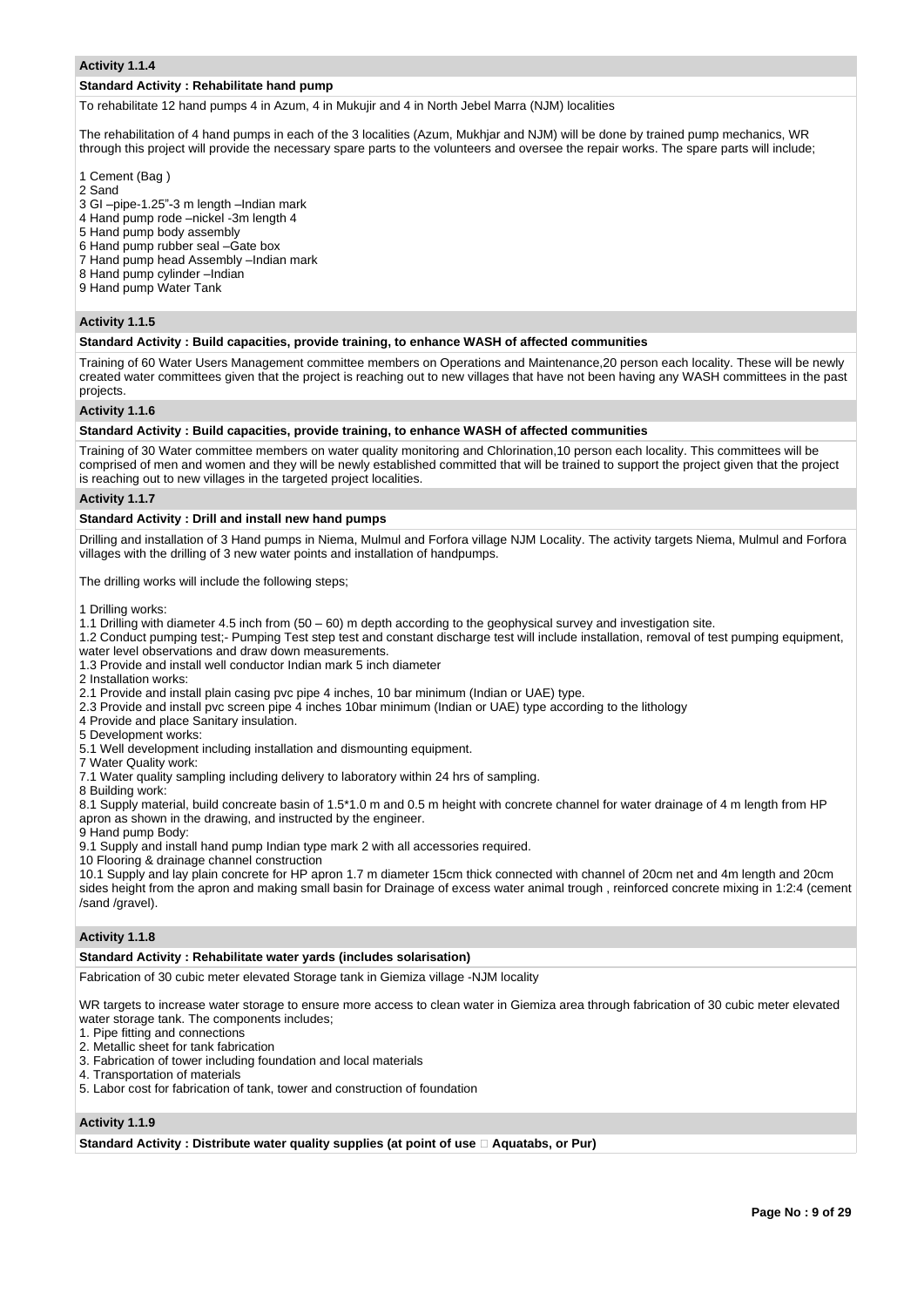#### **Activity 1.1.4**

#### **Standard Activity : Rehabilitate hand pump**

To rehabilitate 12 hand pumps 4 in Azum, 4 in Mukujir and 4 in North Jebel Marra (NJM) localities

The rehabilitation of 4 hand pumps in each of the 3 localities (Azum, Mukhjar and NJM) will be done by trained pump mechanics, WR through this project will provide the necessary spare parts to the volunteers and oversee the repair works. The spare parts will include;

1 Cement (Bag )

- 2 Sand
- 3 GI –pipe-1.25"-3 m length –Indian mark
- 4 Hand pump rode –nickel -3m length 4
- 5 Hand pump body assembly
- 6 Hand pump rubber seal –Gate box
- 7 Hand pump head Assembly –Indian mark
- 8 Hand pump cylinder –Indian
- 9 Hand pump Water Tank

#### **Activity 1.1.5**

#### **Standard Activity : Build capacities, provide training, to enhance WASH of affected communities**

Training of 60 Water Users Management committee members on Operations and Maintenance,20 person each locality. These will be newly created water committees given that the project is reaching out to new villages that have not been having any WASH committees in the past projects.

#### **Activity 1.1.6**

#### **Standard Activity : Build capacities, provide training, to enhance WASH of affected communities**

Training of 30 Water committee members on water quality monitoring and Chlorination,10 person each locality. This committees will be comprised of men and women and they will be newly established committed that will be trained to support the project given that the project is reaching out to new villages in the targeted project localities.

#### **Activity 1.1.7**

# **Standard Activity : Drill and install new hand pumps**

Drilling and installation of 3 Hand pumps in Niema, Mulmul and Forfora village NJM Locality. The activity targets Niema, Mulmul and Forfora villages with the drilling of 3 new water points and installation of handpumps.

The drilling works will include the following steps;

1 Drilling works:

- 1.1 Drilling with diameter 4.5 inch from (50 60) m depth according to the geophysical survey and investigation site.
- 1.2 Conduct pumping test;- Pumping Test step test and constant discharge test will include installation, removal of test pumping equipment, water level observations and draw down measurements.
- 1.3 Provide and install well conductor Indian mark 5 inch diameter
- 2 Installation works:
- 2.1 Provide and install plain casing pvc pipe 4 inches, 10 bar minimum (Indian or UAE) type.
- 2.3 Provide and install pvc screen pipe 4 inches 10bar minimum (Indian or UAE) type according to the lithology
- 4 Provide and place Sanitary insulation.
- 5 Development works:
- 5.1 Well development including installation and dismounting equipment.
- 7 Water Quality work:
- 7.1 Water quality sampling including delivery to laboratory within 24 hrs of sampling.
- 8 Building work:

8.1 Supply material, build concreate basin of 1.5\*1.0 m and 0.5 m height with concrete channel for water drainage of 4 m length from HP apron as shown in the drawing, and instructed by the engineer.

9 Hand pump Body:

9.1 Supply and install hand pump Indian type mark 2 with all accessories required.

10 Flooring & drainage channel construction

10.1 Supply and lay plain concrete for HP apron 1.7 m diameter 15cm thick connected with channel of 20cm net and 4m length and 20cm sides height from the apron and making small basin for Drainage of excess water animal trough , reinforced concrete mixing in 1:2:4 (cement /sand /gravel).

#### **Activity 1.1.8**

#### **Standard Activity : Rehabilitate water yards (includes solarisation)**

Fabrication of 30 cubic meter elevated Storage tank in Giemiza village -NJM locality

WR targets to increase water storage to ensure more access to clean water in Giemiza area through fabrication of 30 cubic meter elevated water storage tank. The components includes;

- 1. Pipe fitting and connections
- 2. Metallic sheet for tank fabrication
- 3. Fabrication of tower including foundation and local materials
- 4. Transportation of materials
- 5. Labor cost for fabrication of tank, tower and construction of foundation

#### **Activity 1.1.9**

**Standard Activity : Distribute water quality supplies (at point of use ‐ Aquatabs, or Pur)**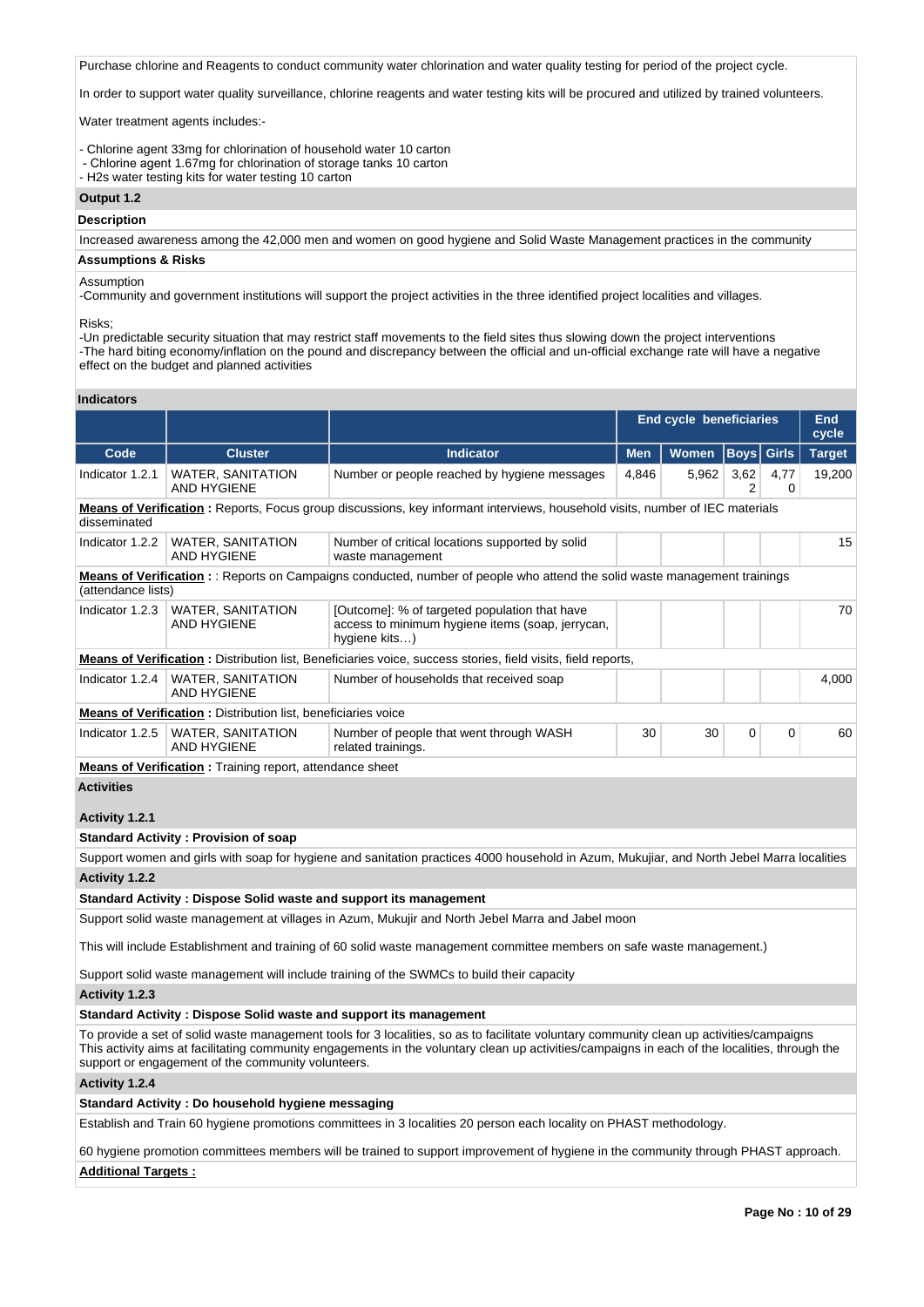Purchase chlorine and Reagents to conduct community water chlorination and water quality testing for period of the project cycle.

In order to support water quality surveillance, chlorine reagents and water testing kits will be procured and utilized by trained volunteers.

Water treatment agents includes:-

- Chlorine agent 33mg for chlorination of household water 10 carton
- Chlorine agent 1.67mg for chlorination of storage tanks 10 carton
- H2s water testing kits for water testing 10 carton

# **Output 1.2**

**Description**

Increased awareness among the 42,000 men and women on good hygiene and Solid Waste Management practices in the community

#### **Assumptions & Risks**

#### Assumption

-Community and government institutions will support the project activities in the three identified project localities and villages.

Risks;

-Un predictable security situation that may restrict staff movements to the field sites thus slowing down the project interventions -The hard biting economy/inflation on the pound and discrepancy between the official and un-official exchange rate will have a negative effect on the budget and planned activities

# **Indicators**

|                       |                                                                      |                                                                                                                                                                                                                                                                                            | <b>End cycle beneficiaries</b><br>End<br>cycle |       |             |              |               |  |  |
|-----------------------|----------------------------------------------------------------------|--------------------------------------------------------------------------------------------------------------------------------------------------------------------------------------------------------------------------------------------------------------------------------------------|------------------------------------------------|-------|-------------|--------------|---------------|--|--|
| Code                  | <b>Cluster</b>                                                       | <b>Indicator</b>                                                                                                                                                                                                                                                                           | <b>Men</b>                                     | Women | <b>Boys</b> | <b>Girls</b> | <b>Target</b> |  |  |
| Indicator 1.2.1       | <b>WATER, SANITATION</b><br><b>AND HYGIENE</b>                       | Number or people reached by hygiene messages                                                                                                                                                                                                                                               | 4,846                                          | 5,962 | 3,62<br>2   | 4,77<br>0    | 19,200        |  |  |
| disseminated          |                                                                      | Means of Verification: Reports, Focus group discussions, key informant interviews, household visits, number of IEC materials                                                                                                                                                               |                                                |       |             |              |               |  |  |
| Indicator 1.2.2       | <b>WATER, SANITATION</b><br>AND HYGIENE                              | Number of critical locations supported by solid<br>waste management                                                                                                                                                                                                                        |                                                |       |             |              | 15            |  |  |
| (attendance lists)    |                                                                      | <b>Means of Verification</b> : : Reports on Campaigns conducted, number of people who attend the solid waste management trainings                                                                                                                                                          |                                                |       |             |              |               |  |  |
| Indicator 1.2.3       | <b>WATER, SANITATION</b><br>AND HYGIENE                              | [Outcome]: % of targeted population that have<br>access to minimum hygiene items (soap, jerrycan,<br>hygiene kits)                                                                                                                                                                         |                                                |       |             |              | 70            |  |  |
|                       |                                                                      | <b>Means of Verification</b> : Distribution list, Beneficiaries voice, success stories, field visits, field reports,                                                                                                                                                                       |                                                |       |             |              |               |  |  |
| Indicator 1.2.4       | <b>WATER, SANITATION</b><br>AND HYGIENE                              | Number of households that received soap                                                                                                                                                                                                                                                    |                                                |       |             |              | 4,000         |  |  |
|                       | <b>Means of Verification:</b> Distribution list, beneficiaries voice |                                                                                                                                                                                                                                                                                            |                                                |       |             |              |               |  |  |
| Indicator 1.2.5       | WATER, SANITATION<br><b>AND HYGIENE</b>                              | Number of people that went through WASH<br>related trainings.                                                                                                                                                                                                                              | 30                                             | 30    | 0           | 0            | 60            |  |  |
|                       | <b>Means of Verification</b> : Training report, attendance sheet     |                                                                                                                                                                                                                                                                                            |                                                |       |             |              |               |  |  |
| <b>Activities</b>     |                                                                      |                                                                                                                                                                                                                                                                                            |                                                |       |             |              |               |  |  |
| Activity 1.2.1        |                                                                      |                                                                                                                                                                                                                                                                                            |                                                |       |             |              |               |  |  |
|                       | <b>Standard Activity: Provision of soap</b>                          |                                                                                                                                                                                                                                                                                            |                                                |       |             |              |               |  |  |
|                       |                                                                      | Support women and girls with soap for hygiene and sanitation practices 4000 household in Azum, Mukujiar, and North Jebel Marra localities                                                                                                                                                  |                                                |       |             |              |               |  |  |
| <b>Activity 1.2.2</b> |                                                                      |                                                                                                                                                                                                                                                                                            |                                                |       |             |              |               |  |  |
|                       | Standard Activity: Dispose Solid waste and support its management    |                                                                                                                                                                                                                                                                                            |                                                |       |             |              |               |  |  |
|                       |                                                                      | Support solid waste management at villages in Azum, Mukujir and North Jebel Marra and Jabel moon                                                                                                                                                                                           |                                                |       |             |              |               |  |  |
|                       |                                                                      | This will include Establishment and training of 60 solid waste management committee members on safe waste management.)                                                                                                                                                                     |                                                |       |             |              |               |  |  |
|                       |                                                                      | Support solid waste management will include training of the SWMCs to build their capacity                                                                                                                                                                                                  |                                                |       |             |              |               |  |  |
| Activity 1.2.3        |                                                                      |                                                                                                                                                                                                                                                                                            |                                                |       |             |              |               |  |  |
|                       |                                                                      | Standard Activity: Dispose Solid waste and support its management                                                                                                                                                                                                                          |                                                |       |             |              |               |  |  |
|                       | support or engagement of the community volunteers.                   | To provide a set of solid waste management tools for 3 localities, so as to facilitate voluntary community clean up activities/campaigns<br>This activity aims at facilitating community engagements in the voluntary clean up activities/campaigns in each of the localities, through the |                                                |       |             |              |               |  |  |
| Activity 1.2.4        |                                                                      |                                                                                                                                                                                                                                                                                            |                                                |       |             |              |               |  |  |
|                       | Standard Activity: Do household hygiene messaging                    |                                                                                                                                                                                                                                                                                            |                                                |       |             |              |               |  |  |
|                       |                                                                      | Establish and Train 60 hygiene promotions committees in 3 localities 20 person each locality on PHAST methodology.                                                                                                                                                                         |                                                |       |             |              |               |  |  |

60 hygiene promotion committees members will be trained to support improvement of hygiene in the community through PHAST approach. **Additional Targets :**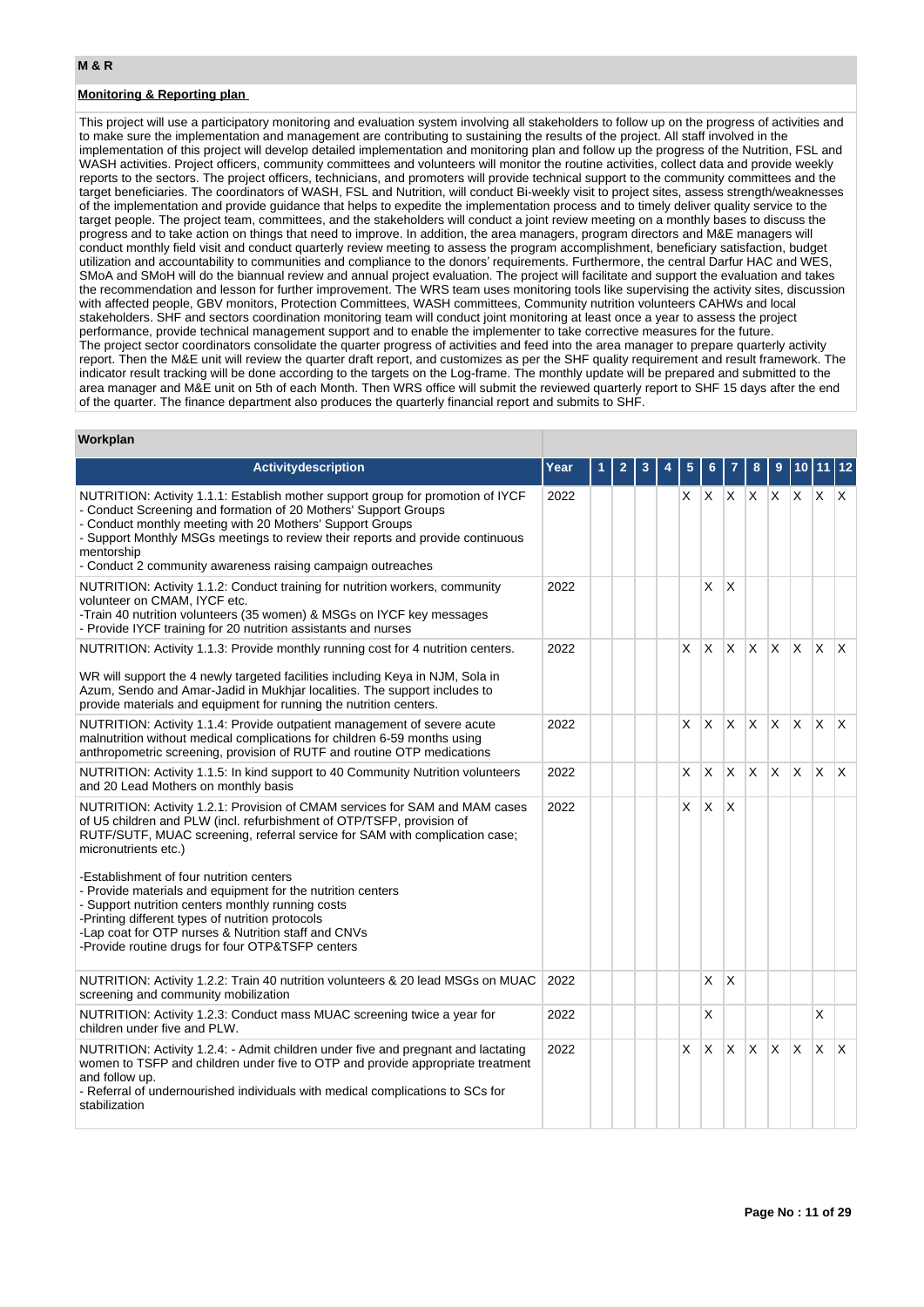#### **Monitoring & Reporting plan**

This project will use a participatory monitoring and evaluation system involving all stakeholders to follow up on the progress of activities and to make sure the implementation and management are contributing to sustaining the results of the project. All staff involved in the implementation of this project will develop detailed implementation and monitoring plan and follow up the progress of the Nutrition, FSL and WASH activities. Project officers, community committees and volunteers will monitor the routine activities, collect data and provide weekly reports to the sectors. The project officers, technicians, and promoters will provide technical support to the community committees and the target beneficiaries. The coordinators of WASH, FSL and Nutrition, will conduct Bi-weekly visit to project sites, assess strength/weaknesses of the implementation and provide guidance that helps to expedite the implementation process and to timely deliver quality service to the target people. The project team, committees, and the stakeholders will conduct a joint review meeting on a monthly bases to discuss the progress and to take action on things that need to improve. In addition, the area managers, program directors and M&E managers will conduct monthly field visit and conduct quarterly review meeting to assess the program accomplishment, beneficiary satisfaction, budget utilization and accountability to communities and compliance to the donors' requirements. Furthermore, the central Darfur HAC and WES, SMoA and SMoH will do the biannual review and annual project evaluation. The project will facilitate and support the evaluation and takes the recommendation and lesson for further improvement. The WRS team uses monitoring tools like supervising the activity sites, discussion with affected people, GBV monitors, Protection Committees, WASH committees, Community nutrition volunteers CAHWs and local stakeholders. SHF and sectors coordination monitoring team will conduct joint monitoring at least once a year to assess the project performance, provide technical management support and to enable the implementer to take corrective measures for the future. The project sector coordinators consolidate the quarter progress of activities and feed into the area manager to prepare quarterly activity report. Then the M&E unit will review the quarter draft report, and customizes as per the SHF quality requirement and result framework. The indicator result tracking will be done according to the targets on the Log-frame. The monthly update will be prepared and submitted to the area manager and M&E unit on 5th of each Month. Then WRS office will submit the reviewed quarterly report to SHF 15 days after the end of the quarter. The finance department also produces the quarterly financial report and submits to SHF.

#### **Workplan**

| Activitydescription                                                                                                                                                                                                                                                                                                                                                                                                                                                                                                                                                                        | Year |  |  |   |                 |                         |              |              |              |              |              |
|--------------------------------------------------------------------------------------------------------------------------------------------------------------------------------------------------------------------------------------------------------------------------------------------------------------------------------------------------------------------------------------------------------------------------------------------------------------------------------------------------------------------------------------------------------------------------------------------|------|--|--|---|-----------------|-------------------------|--------------|--------------|--------------|--------------|--------------|
| NUTRITION: Activity 1.1.1: Establish mother support group for promotion of IYCF<br>- Conduct Screening and formation of 20 Mothers' Support Groups<br>- Conduct monthly meeting with 20 Mothers' Support Groups<br>- Support Monthly MSGs meetings to review their reports and provide continuous<br>mentorship<br>- Conduct 2 community awareness raising campaign outreaches                                                                                                                                                                                                             | 2022 |  |  | X | $X$ $X$ $X$ $X$ |                         |              |              | $x \times x$ |              |              |
| NUTRITION: Activity 1.1.2: Conduct training for nutrition workers, community<br>volunteer on CMAM, IYCF etc.<br>-Train 40 nutrition volunteers (35 women) & MSGs on IYCF key messages<br>- Provide IYCF training for 20 nutrition assistants and nurses                                                                                                                                                                                                                                                                                                                                    | 2022 |  |  |   | X               | ΙX                      |              |              |              |              |              |
| NUTRITION: Activity 1.1.3: Provide monthly running cost for 4 nutrition centers.<br>WR will support the 4 newly targeted facilities including Keya in NJM, Sola in<br>Azum, Sendo and Amar-Jadid in Mukhjar localities. The support includes to<br>provide materials and equipment for running the nutrition centers.                                                                                                                                                                                                                                                                      | 2022 |  |  | X | X               | X.                      | $x \mid x$   |              | $\mathsf{X}$ | $X$ $X$      |              |
| NUTRITION: Activity 1.1.4: Provide outpatient management of severe acute<br>malnutrition without medical complications for children 6-59 months using<br>anthropometric screening, provision of RUTF and routine OTP medications                                                                                                                                                                                                                                                                                                                                                           | 2022 |  |  | X | X               | X                       | ΙX.          | $\mathsf{X}$ | $\mathsf{X}$ | $\mathsf{X}$ | ΙX.          |
| NUTRITION: Activity 1.1.5: In kind support to 40 Community Nutrition volunteers<br>and 20 Lead Mothers on monthly basis                                                                                                                                                                                                                                                                                                                                                                                                                                                                    | 2022 |  |  | X | X               | X                       | lx.          | X.           | <b>X</b>     | $\mathsf{X}$ | $\mathsf{X}$ |
| NUTRITION: Activity 1.2.1: Provision of CMAM services for SAM and MAM cases<br>of U5 children and PLW (incl. refurbishment of OTP/TSFP, provision of<br>RUTF/SUTF, MUAC screening, referral service for SAM with complication case;<br>micronutrients etc.)<br>-Establishment of four nutrition centers<br>- Provide materials and equipment for the nutrition centers<br>- Support nutrition centers monthly running costs<br>-Printing different types of nutrition protocols<br>-Lap coat for OTP nurses & Nutrition staff and CNVs<br>-Provide routine drugs for four OTP&TSFP centers | 2022 |  |  | X | <sup>X</sup>    | X                       |              |              |              |              |              |
| NUTRITION: Activity 1.2.2: Train 40 nutrition volunteers & 20 lead MSGs on MUAC<br>screening and community mobilization                                                                                                                                                                                                                                                                                                                                                                                                                                                                    | 2022 |  |  |   | X               | $\overline{\mathsf{x}}$ |              |              |              |              |              |
| NUTRITION: Activity 1.2.3: Conduct mass MUAC screening twice a year for<br>children under five and PLW.                                                                                                                                                                                                                                                                                                                                                                                                                                                                                    | 2022 |  |  |   | X               |                         |              |              |              | X            |              |
| NUTRITION: Activity 1.2.4: - Admit children under five and pregnant and lactating<br>women to TSFP and children under five to OTP and provide appropriate treatment<br>and follow up.<br>- Referral of undernourished individuals with medical complications to SCs for<br>stabilization                                                                                                                                                                                                                                                                                                   | 2022 |  |  | X | IX.             | X.                      | $\mathsf{X}$ | <b>X</b>     | ΙX.          | Ιx.          | $\mathsf{X}$ |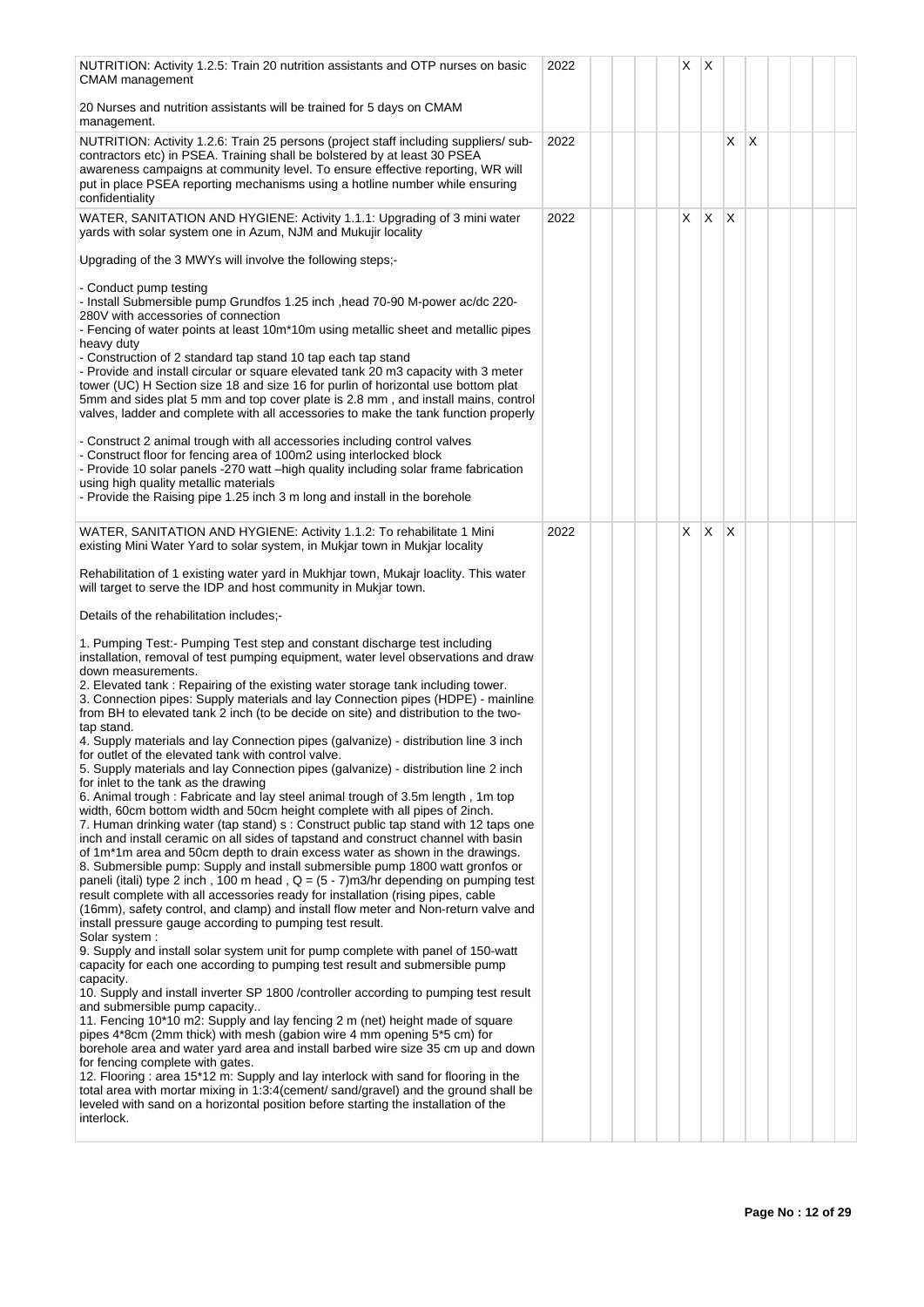| NUTRITION: Activity 1.2.5: Train 20 nutrition assistants and OTP nurses on basic<br>CMAM management                                                                                                                                                                                                                                                                                                                                                                                                                                                                                                                                                                                                                                                                                                                                                                                                                                                                                                                                                                                                                                                                                                                                                                                                                                                                                                                                                                                                                                                                                                                                                                                                                                                                                                                                                                                                                                                                                                                                                                                                                                                                                                                                                                                                                                                                                                                                                                                                    | 2022 |  |  | X. | $\mathsf{X}$ |              |                 |  |  |
|--------------------------------------------------------------------------------------------------------------------------------------------------------------------------------------------------------------------------------------------------------------------------------------------------------------------------------------------------------------------------------------------------------------------------------------------------------------------------------------------------------------------------------------------------------------------------------------------------------------------------------------------------------------------------------------------------------------------------------------------------------------------------------------------------------------------------------------------------------------------------------------------------------------------------------------------------------------------------------------------------------------------------------------------------------------------------------------------------------------------------------------------------------------------------------------------------------------------------------------------------------------------------------------------------------------------------------------------------------------------------------------------------------------------------------------------------------------------------------------------------------------------------------------------------------------------------------------------------------------------------------------------------------------------------------------------------------------------------------------------------------------------------------------------------------------------------------------------------------------------------------------------------------------------------------------------------------------------------------------------------------------------------------------------------------------------------------------------------------------------------------------------------------------------------------------------------------------------------------------------------------------------------------------------------------------------------------------------------------------------------------------------------------------------------------------------------------------------------------------------------------|------|--|--|----|--------------|--------------|-----------------|--|--|
| 20 Nurses and nutrition assistants will be trained for 5 days on CMAM<br>management.                                                                                                                                                                                                                                                                                                                                                                                                                                                                                                                                                                                                                                                                                                                                                                                                                                                                                                                                                                                                                                                                                                                                                                                                                                                                                                                                                                                                                                                                                                                                                                                                                                                                                                                                                                                                                                                                                                                                                                                                                                                                                                                                                                                                                                                                                                                                                                                                                   |      |  |  |    |              |              |                 |  |  |
| NUTRITION: Activity 1.2.6: Train 25 persons (project staff including suppliers/ sub-<br>contractors etc) in PSEA. Training shall be bolstered by at least 30 PSEA<br>awareness campaigns at community level. To ensure effective reporting, WR will<br>put in place PSEA reporting mechanisms using a hotline number while ensuring<br>confidentiality                                                                                                                                                                                                                                                                                                                                                                                                                                                                                                                                                                                                                                                                                                                                                                                                                                                                                                                                                                                                                                                                                                                                                                                                                                                                                                                                                                                                                                                                                                                                                                                                                                                                                                                                                                                                                                                                                                                                                                                                                                                                                                                                                 | 2022 |  |  |    |              | X.           | $\mathsf{\chi}$ |  |  |
| WATER, SANITATION AND HYGIENE: Activity 1.1.1: Upgrading of 3 mini water<br>yards with solar system one in Azum, NJM and Mukujir locality                                                                                                                                                                                                                                                                                                                                                                                                                                                                                                                                                                                                                                                                                                                                                                                                                                                                                                                                                                                                                                                                                                                                                                                                                                                                                                                                                                                                                                                                                                                                                                                                                                                                                                                                                                                                                                                                                                                                                                                                                                                                                                                                                                                                                                                                                                                                                              | 2022 |  |  | X  | X            | <sup>X</sup> |                 |  |  |
| Upgrading of the 3 MWYs will involve the following steps;-                                                                                                                                                                                                                                                                                                                                                                                                                                                                                                                                                                                                                                                                                                                                                                                                                                                                                                                                                                                                                                                                                                                                                                                                                                                                                                                                                                                                                                                                                                                                                                                                                                                                                                                                                                                                                                                                                                                                                                                                                                                                                                                                                                                                                                                                                                                                                                                                                                             |      |  |  |    |              |              |                 |  |  |
| - Conduct pump testing<br>- Install Submersible pump Grundfos 1.25 inch , head 70-90 M-power ac/dc 220-<br>280V with accessories of connection<br>- Fencing of water points at least 10m*10m using metallic sheet and metallic pipes<br>heavy duty<br>- Construction of 2 standard tap stand 10 tap each tap stand<br>- Provide and install circular or square elevated tank 20 m3 capacity with 3 meter<br>tower (UC) H Section size 18 and size 16 for purlin of horizontal use bottom plat<br>5mm and sides plat 5 mm and top cover plate is 2.8 mm, and install mains, control<br>valves, ladder and complete with all accessories to make the tank function properly<br>- Construct 2 animal trough with all accessories including control valves<br>- Construct floor for fencing area of 100m2 using interlocked block<br>- Provide 10 solar panels -270 watt -high quality including solar frame fabrication<br>using high quality metallic materials<br>- Provide the Raising pipe 1.25 inch 3 m long and install in the borehole                                                                                                                                                                                                                                                                                                                                                                                                                                                                                                                                                                                                                                                                                                                                                                                                                                                                                                                                                                                                                                                                                                                                                                                                                                                                                                                                                                                                                                                             |      |  |  |    |              |              |                 |  |  |
| WATER, SANITATION AND HYGIENE: Activity 1.1.2: To rehabilitate 1 Mini<br>existing Mini Water Yard to solar system, in Mukjar town in Mukjar locality                                                                                                                                                                                                                                                                                                                                                                                                                                                                                                                                                                                                                                                                                                                                                                                                                                                                                                                                                                                                                                                                                                                                                                                                                                                                                                                                                                                                                                                                                                                                                                                                                                                                                                                                                                                                                                                                                                                                                                                                                                                                                                                                                                                                                                                                                                                                                   | 2022 |  |  | X. | $\mathsf{X}$ | ΙX           |                 |  |  |
| Rehabilitation of 1 existing water yard in Mukhjar town, Mukajr loaclity. This water<br>will target to serve the IDP and host community in Mukjar town.                                                                                                                                                                                                                                                                                                                                                                                                                                                                                                                                                                                                                                                                                                                                                                                                                                                                                                                                                                                                                                                                                                                                                                                                                                                                                                                                                                                                                                                                                                                                                                                                                                                                                                                                                                                                                                                                                                                                                                                                                                                                                                                                                                                                                                                                                                                                                |      |  |  |    |              |              |                 |  |  |
| Details of the rehabilitation includes;-                                                                                                                                                                                                                                                                                                                                                                                                                                                                                                                                                                                                                                                                                                                                                                                                                                                                                                                                                                                                                                                                                                                                                                                                                                                                                                                                                                                                                                                                                                                                                                                                                                                                                                                                                                                                                                                                                                                                                                                                                                                                                                                                                                                                                                                                                                                                                                                                                                                               |      |  |  |    |              |              |                 |  |  |
| 1. Pumping Test:- Pumping Test step and constant discharge test including<br>installation, removal of test pumping equipment, water level observations and draw<br>down measurements.<br>2. Elevated tank: Repairing of the existing water storage tank including tower.<br>3. Connection pipes: Supply materials and lay Connection pipes (HDPE) - mainline<br>from BH to elevated tank 2 inch (to be decide on site) and distribution to the two-<br>tap stand.<br>4. Supply materials and lay Connection pipes (galvanize) - distribution line 3 inch<br>for outlet of the elevated tank with control valve.<br>5. Supply materials and lay Connection pipes (galvanize) - distribution line 2 inch<br>for inlet to the tank as the drawing<br>6. Animal trough: Fabricate and lay steel animal trough of 3.5m length, 1m top<br>width, 60cm bottom width and 50cm height complete with all pipes of 2inch.<br>7. Human drinking water (tap stand) s : Construct public tap stand with 12 taps one<br>inch and install ceramic on all sides of tapstand and construct channel with basin<br>of 1m <sup>*</sup> 1m area and 50cm depth to drain excess water as shown in the drawings.<br>8. Submersible pump: Supply and install submersible pump 1800 watt gronfos or<br>paneli (itali) type 2 inch, 100 m head, $Q = (5 - 7)$ m3/hr depending on pumping test<br>result complete with all accessories ready for installation (rising pipes, cable<br>(16mm), safety control, and clamp) and install flow meter and Non-return valve and<br>install pressure gauge according to pumping test result.<br>Solar system:<br>9. Supply and install solar system unit for pump complete with panel of 150-watt<br>capacity for each one according to pumping test result and submersible pump<br>capacity.<br>10. Supply and install inverter SP 1800 /controller according to pumping test result<br>and submersible pump capacity<br>11. Fencing 10*10 m2: Supply and lay fencing 2 m (net) height made of square<br>pipes 4*8cm (2mm thick) with mesh (gabion wire 4 mm opening 5*5 cm) for<br>borehole area and water yard area and install barbed wire size 35 cm up and down<br>for fencing complete with gates.<br>12. Flooring: area 15*12 m: Supply and lay interlock with sand for flooring in the<br>total area with mortar mixing in 1:3:4(cement/ sand/gravel) and the ground shall be<br>leveled with sand on a horizontal position before starting the installation of the<br>interlock. |      |  |  |    |              |              |                 |  |  |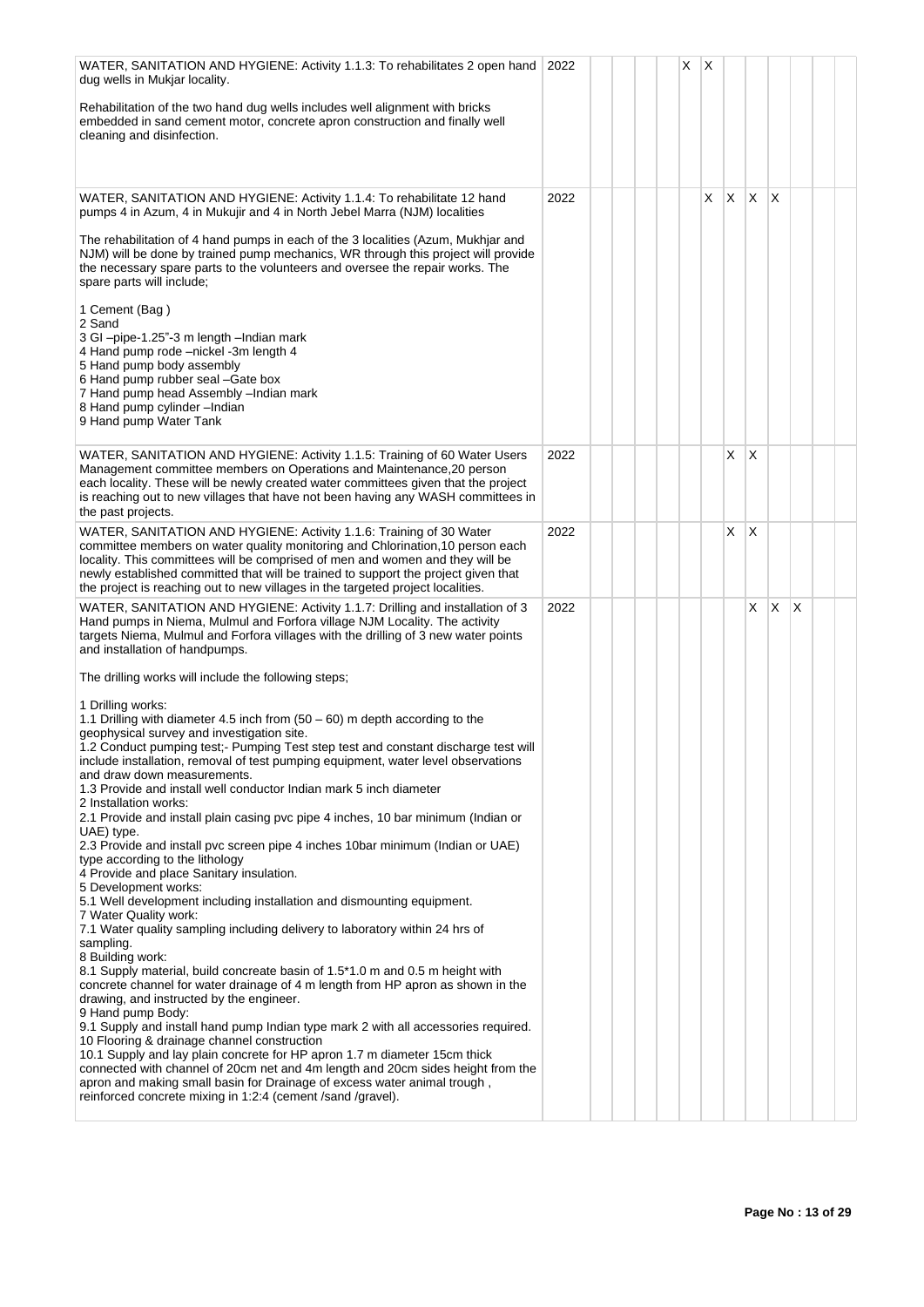| WATER, SANITATION AND HYGIENE: Activity 1.1.3: To rehabilitates 2 open hand<br>dug wells in Mukjar locality.                                                                                                                                                                                                                                                                                                                                 | 2022 |  | Χ | Х |              |                 |          |    |  |
|----------------------------------------------------------------------------------------------------------------------------------------------------------------------------------------------------------------------------------------------------------------------------------------------------------------------------------------------------------------------------------------------------------------------------------------------|------|--|---|---|--------------|-----------------|----------|----|--|
| Rehabilitation of the two hand dug wells includes well alignment with bricks<br>embedded in sand cement motor, concrete apron construction and finally well<br>cleaning and disinfection.                                                                                                                                                                                                                                                    |      |  |   |   |              |                 |          |    |  |
| WATER, SANITATION AND HYGIENE: Activity 1.1.4: To rehabilitate 12 hand<br>pumps 4 in Azum, 4 in Mukujir and 4 in North Jebel Marra (NJM) localities                                                                                                                                                                                                                                                                                          | 2022 |  |   | X | $\mathsf{X}$ | X.              | $\times$ |    |  |
| The rehabilitation of 4 hand pumps in each of the 3 localities (Azum, Mukhjar and<br>NJM) will be done by trained pump mechanics, WR through this project will provide<br>the necessary spare parts to the volunteers and oversee the repair works. The<br>spare parts will include;                                                                                                                                                         |      |  |   |   |              |                 |          |    |  |
| 1 Cement (Bag)<br>2 Sand<br>3 GI -pipe-1.25"-3 m length -Indian mark<br>4 Hand pump rode -nickel -3m length 4<br>5 Hand pump body assembly<br>6 Hand pump rubber seal -Gate box<br>7 Hand pump head Assembly -Indian mark<br>8 Hand pump cylinder -Indian<br>9 Hand pump Water Tank                                                                                                                                                          |      |  |   |   |              |                 |          |    |  |
| WATER, SANITATION AND HYGIENE: Activity 1.1.5: Training of 60 Water Users<br>Management committee members on Operations and Maintenance, 20 person<br>each locality. These will be newly created water committees given that the project<br>is reaching out to new villages that have not been having any WASH committees in<br>the past projects.                                                                                           | 2022 |  |   |   | X            | $\mathsf{\chi}$ |          |    |  |
| WATER, SANITATION AND HYGIENE: Activity 1.1.6: Training of 30 Water<br>committee members on water quality monitoring and Chlorination, 10 person each<br>locality. This committees will be comprised of men and women and they will be<br>newly established committed that will be trained to support the project given that<br>the project is reaching out to new villages in the targeted project localities.                              | 2022 |  |   |   | X            | X               |          |    |  |
| WATER, SANITATION AND HYGIENE: Activity 1.1.7: Drilling and installation of 3<br>Hand pumps in Niema, Mulmul and Forfora village NJM Locality. The activity<br>targets Niema, Mulmul and Forfora villages with the drilling of 3 new water points<br>and installation of handpumps.                                                                                                                                                          | 2022 |  |   |   |              | X.              | <b>X</b> | ΙX |  |
| The drilling works will include the following steps;                                                                                                                                                                                                                                                                                                                                                                                         |      |  |   |   |              |                 |          |    |  |
| 1 Drilling works:                                                                                                                                                                                                                                                                                                                                                                                                                            |      |  |   |   |              |                 |          |    |  |
| 1.1 Drilling with diameter 4.5 inch from $(50 - 60)$ m depth according to the<br>geophysical survey and investigation site.<br>1.2 Conduct pumping test;- Pumping Test step test and constant discharge test will<br>include installation, removal of test pumping equipment, water level observations<br>and draw down measurements.<br>1.3 Provide and install well conductor Indian mark 5 inch diameter<br>2 Installation works:         |      |  |   |   |              |                 |          |    |  |
| 2.1 Provide and install plain casing pvc pipe 4 inches, 10 bar minimum (Indian or<br>UAE) type.<br>2.3 Provide and install pvc screen pipe 4 inches 10bar minimum (Indian or UAE)<br>type according to the lithology                                                                                                                                                                                                                         |      |  |   |   |              |                 |          |    |  |
| 4 Provide and place Sanitary insulation.<br>5 Development works:<br>5.1 Well development including installation and dismounting equipment.<br>7 Water Quality work:                                                                                                                                                                                                                                                                          |      |  |   |   |              |                 |          |    |  |
| 7.1 Water quality sampling including delivery to laboratory within 24 hrs of<br>sampling.                                                                                                                                                                                                                                                                                                                                                    |      |  |   |   |              |                 |          |    |  |
| 8 Building work:<br>8.1 Supply material, build concreate basin of 1.5*1.0 m and 0.5 m height with<br>concrete channel for water drainage of 4 m length from HP apron as shown in the<br>drawing, and instructed by the engineer.<br>9 Hand pump Body:                                                                                                                                                                                        |      |  |   |   |              |                 |          |    |  |
| 9.1 Supply and install hand pump Indian type mark 2 with all accessories required.<br>10 Flooring & drainage channel construction<br>10.1 Supply and lay plain concrete for HP apron 1.7 m diameter 15cm thick<br>connected with channel of 20cm net and 4m length and 20cm sides height from the<br>apron and making small basin for Drainage of excess water animal trough,<br>reinforced concrete mixing in 1:2:4 (cement /sand /gravel). |      |  |   |   |              |                 |          |    |  |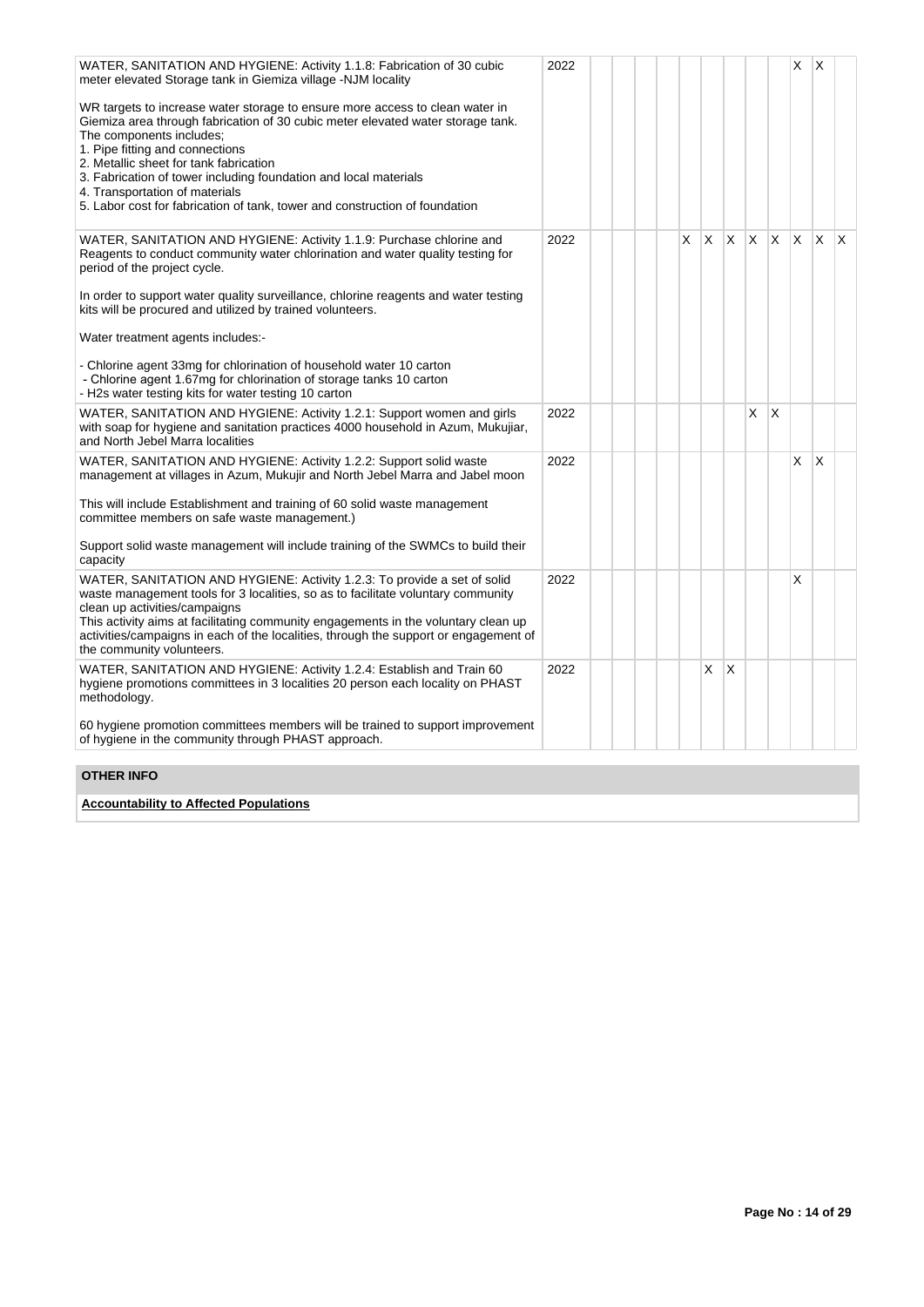| WATER, SANITATION AND HYGIENE: Activity 1.1.8: Fabrication of 30 cubic<br>meter elevated Storage tank in Giemiza village -NJM locality                                                                                                                                                                                                                                                                                                                        | 2022 |  |   |   |     |    |          | X        | <sup>X</sup> |   |
|---------------------------------------------------------------------------------------------------------------------------------------------------------------------------------------------------------------------------------------------------------------------------------------------------------------------------------------------------------------------------------------------------------------------------------------------------------------|------|--|---|---|-----|----|----------|----------|--------------|---|
| WR targets to increase water storage to ensure more access to clean water in<br>Giemiza area through fabrication of 30 cubic meter elevated water storage tank.<br>The components includes;<br>1. Pipe fitting and connections<br>2. Metallic sheet for tank fabrication<br>3. Fabrication of tower including foundation and local materials<br>4. Transportation of materials<br>5. Labor cost for fabrication of tank, tower and construction of foundation |      |  |   |   |     |    |          |          |              |   |
| WATER, SANITATION AND HYGIENE: Activity 1.1.9: Purchase chlorine and<br>Reagents to conduct community water chlorination and water quality testing for<br>period of the project cycle.                                                                                                                                                                                                                                                                        | 2022 |  | X | X | IX. | X. | <b>X</b> | <b>X</b> | ΙX.          | X |
| In order to support water quality surveillance, chlorine reagents and water testing<br>kits will be procured and utilized by trained volunteers.                                                                                                                                                                                                                                                                                                              |      |  |   |   |     |    |          |          |              |   |
| Water treatment agents includes:-                                                                                                                                                                                                                                                                                                                                                                                                                             |      |  |   |   |     |    |          |          |              |   |
| - Chlorine agent 33mg for chlorination of household water 10 carton<br>- Chlorine agent 1.67mg for chlorination of storage tanks 10 carton<br>- H2s water testing kits for water testing 10 carton                                                                                                                                                                                                                                                            |      |  |   |   |     |    |          |          |              |   |
| WATER, SANITATION AND HYGIENE: Activity 1.2.1: Support women and girls<br>with soap for hygiene and sanitation practices 4000 household in Azum, Mukujiar,<br>and North Jebel Marra localities                                                                                                                                                                                                                                                                | 2022 |  |   |   |     | X. | $\times$ |          |              |   |
| WATER, SANITATION AND HYGIENE: Activity 1.2.2: Support solid waste<br>management at villages in Azum, Mukujir and North Jebel Marra and Jabel moon                                                                                                                                                                                                                                                                                                            | 2022 |  |   |   |     |    |          | X        | $\mathsf{X}$ |   |
| This will include Establishment and training of 60 solid waste management<br>committee members on safe waste management.)                                                                                                                                                                                                                                                                                                                                     |      |  |   |   |     |    |          |          |              |   |
| Support solid waste management will include training of the SWMCs to build their<br>capacity                                                                                                                                                                                                                                                                                                                                                                  |      |  |   |   |     |    |          |          |              |   |
| WATER, SANITATION AND HYGIENE: Activity 1.2.3: To provide a set of solid<br>waste management tools for 3 localities, so as to facilitate voluntary community<br>clean up activities/campaigns<br>This activity aims at facilitating community engagements in the voluntary clean up<br>activities/campaigns in each of the localities, through the support or engagement of<br>the community volunteers.                                                      | 2022 |  |   |   |     |    |          | X        |              |   |
| WATER, SANITATION AND HYGIENE: Activity 1.2.4: Establish and Train 60<br>hygiene promotions committees in 3 localities 20 person each locality on PHAST<br>methodology.                                                                                                                                                                                                                                                                                       | 2022 |  |   | X | X   |    |          |          |              |   |
| 60 hygiene promotion committees members will be trained to support improvement<br>of hygiene in the community through PHAST approach.                                                                                                                                                                                                                                                                                                                         |      |  |   |   |     |    |          |          |              |   |
| <b>OTHER INFO</b>                                                                                                                                                                                                                                                                                                                                                                                                                                             |      |  |   |   |     |    |          |          |              |   |

**Accountability to Affected Populations**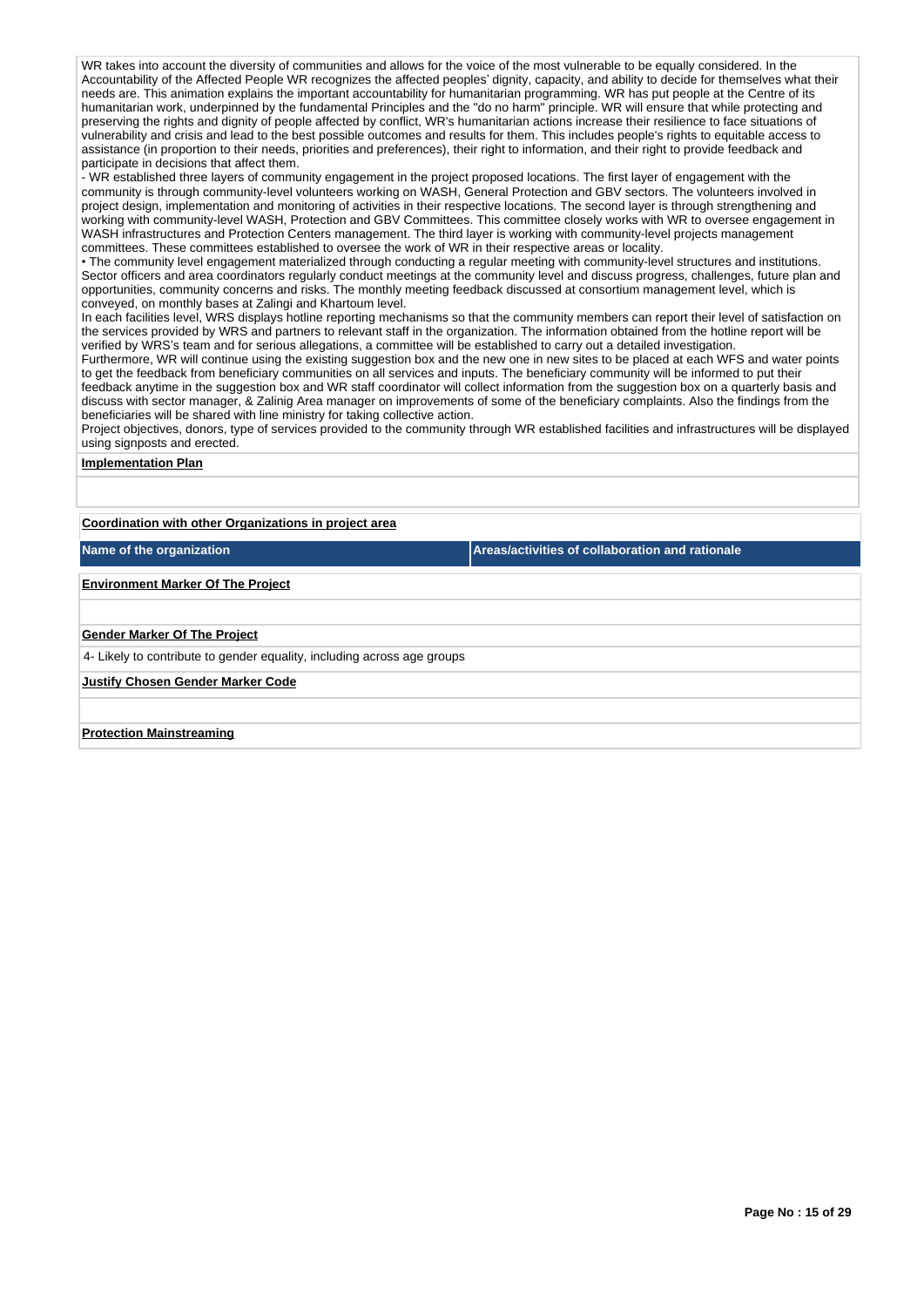WR takes into account the diversity of communities and allows for the voice of the most vulnerable to be equally considered. In the Accountability of the Affected People WR recognizes the affected peoples' dignity, capacity, and ability to decide for themselves what their needs are. This animation explains the important accountability for humanitarian programming. WR has put people at the Centre of its humanitarian work, underpinned by the fundamental Principles and the "do no harm" principle. WR will ensure that while protecting and preserving the rights and dignity of people affected by conflict, WR's humanitarian actions increase their resilience to face situations of vulnerability and crisis and lead to the best possible outcomes and results for them. This includes people's rights to equitable access to assistance (in proportion to their needs, priorities and preferences), their right to information, and their right to provide feedback and participate in decisions that affect them.

- WR established three layers of community engagement in the project proposed locations. The first layer of engagement with the community is through community-level volunteers working on WASH, General Protection and GBV sectors. The volunteers involved in project design, implementation and monitoring of activities in their respective locations. The second layer is through strengthening and working with community-level WASH, Protection and GBV Committees. This committee closely works with WR to oversee engagement in WASH infrastructures and Protection Centers management. The third layer is working with community-level projects management committees. These committees established to oversee the work of WR in their respective areas or locality.

• The community level engagement materialized through conducting a regular meeting with community-level structures and institutions. Sector officers and area coordinators regularly conduct meetings at the community level and discuss progress, challenges, future plan and opportunities, community concerns and risks. The monthly meeting feedback discussed at consortium management level, which is conveyed, on monthly bases at Zalingi and Khartoum level.

In each facilities level, WRS displays hotline reporting mechanisms so that the community members can report their level of satisfaction on the services provided by WRS and partners to relevant staff in the organization. The information obtained from the hotline report will be verified by WRS's team and for serious allegations, a committee will be established to carry out a detailed investigation.

Furthermore, WR will continue using the existing suggestion box and the new one in new sites to be placed at each WFS and water points to get the feedback from beneficiary communities on all services and inputs. The beneficiary community will be informed to put their feedback anytime in the suggestion box and WR staff coordinator will collect information from the suggestion box on a quarterly basis and discuss with sector manager, & Zalinig Area manager on improvements of some of the beneficiary complaints. Also the findings from the beneficiaries will be shared with line ministry for taking collective action.

Project objectives, donors, type of services provided to the community through WR established facilities and infrastructures will be displayed using signposts and erected.

#### **Implementation Plan**

**Coordination with other Organizations in project area**

**Name of the organization Areas/activities of collaboration and rationale** 

# **Environment Marker Of The Project**

#### **Gender Marker Of The Project**

4- Likely to contribute to gender equality, including across age groups

**Justify Chosen Gender Marker Code**

#### **Protection Mainstreaming**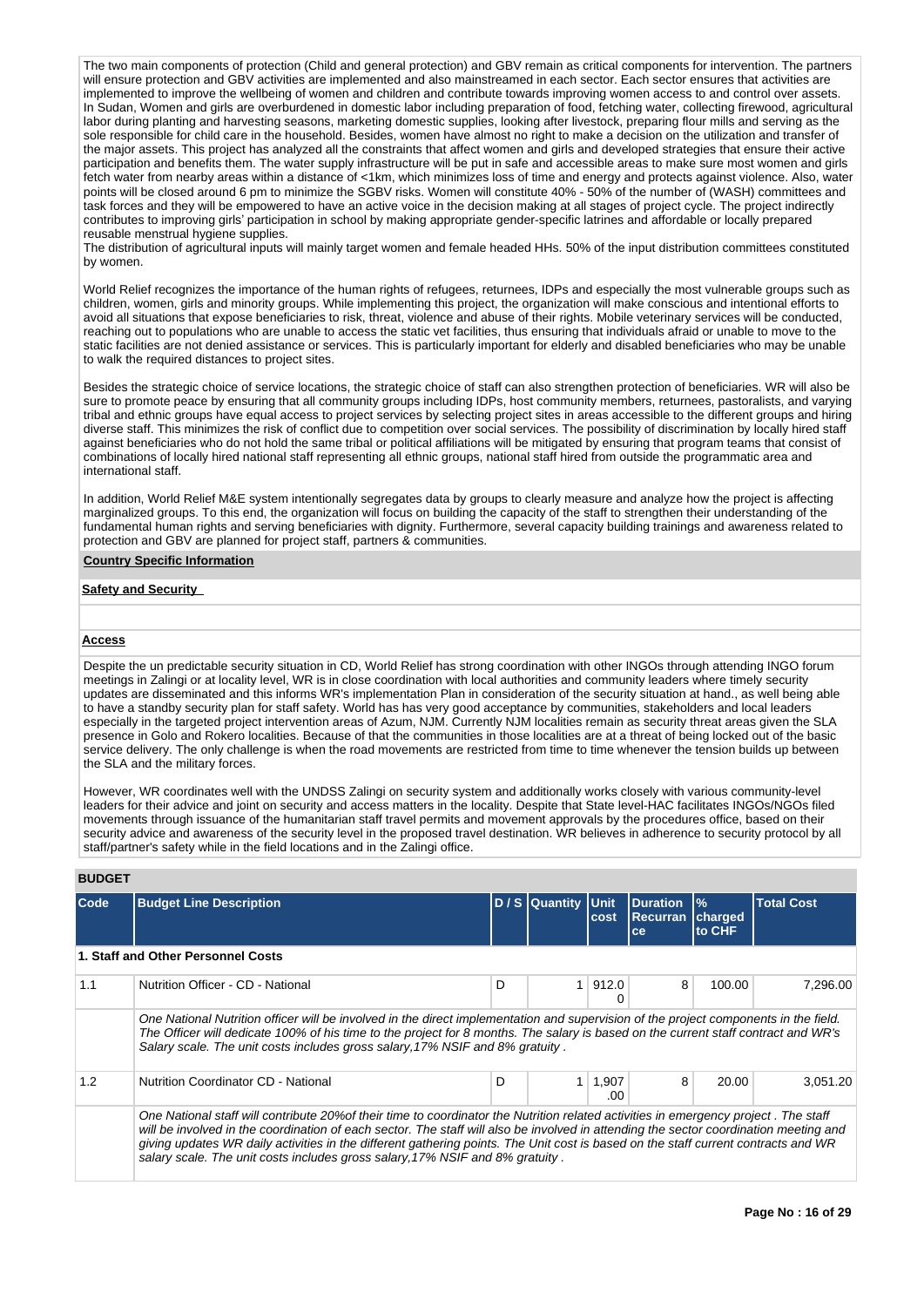The two main components of protection (Child and general protection) and GBV remain as critical components for intervention. The partners will ensure protection and GBV activities are implemented and also mainstreamed in each sector. Each sector ensures that activities are implemented to improve the wellbeing of women and children and contribute towards improving women access to and control over assets. In Sudan, Women and girls are overburdened in domestic labor including preparation of food, fetching water, collecting firewood, agricultural labor during planting and harvesting seasons, marketing domestic supplies, looking after livestock, preparing flour mills and serving as the sole responsible for child care in the household. Besides, women have almost no right to make a decision on the utilization and transfer of the major assets. This project has analyzed all the constraints that affect women and girls and developed strategies that ensure their active participation and benefits them. The water supply infrastructure will be put in safe and accessible areas to make sure most women and girls fetch water from nearby areas within a distance of <1km, which minimizes loss of time and energy and protects against violence. Also, water points will be closed around 6 pm to minimize the SGBV risks. Women will constitute 40% - 50% of the number of (WASH) committees and task forces and they will be empowered to have an active voice in the decision making at all stages of project cycle. The project indirectly contributes to improving girls' participation in school by making appropriate gender-specific latrines and affordable or locally prepared reusable menstrual hygiene supplies.

The distribution of agricultural inputs will mainly target women and female headed HHs. 50% of the input distribution committees constituted by women.

World Relief recognizes the importance of the human rights of refugees, returnees, IDPs and especially the most vulnerable groups such as children, women, girls and minority groups. While implementing this project, the organization will make conscious and intentional efforts to avoid all situations that expose beneficiaries to risk, threat, violence and abuse of their rights. Mobile veterinary services will be conducted, reaching out to populations who are unable to access the static vet facilities, thus ensuring that individuals afraid or unable to move to the static facilities are not denied assistance or services. This is particularly important for elderly and disabled beneficiaries who may be unable to walk the required distances to project sites.

Besides the strategic choice of service locations, the strategic choice of staff can also strengthen protection of beneficiaries. WR will also be sure to promote peace by ensuring that all community groups including IDPs, host community members, returnees, pastoralists, and varying tribal and ethnic groups have equal access to project services by selecting project sites in areas accessible to the different groups and hiring diverse staff. This minimizes the risk of conflict due to competition over social services. The possibility of discrimination by locally hired staff against beneficiaries who do not hold the same tribal or political affiliations will be mitigated by ensuring that program teams that consist of combinations of locally hired national staff representing all ethnic groups, national staff hired from outside the programmatic area and international staff.

In addition, World Relief M&E system intentionally segregates data by groups to clearly measure and analyze how the project is affecting marginalized groups. To this end, the organization will focus on building the capacity of the staff to strengthen their understanding of the fundamental human rights and serving beneficiaries with dignity. Furthermore, several capacity building trainings and awareness related to protection and GBV are planned for project staff, partners & communities.

#### **Country Specific Information**

### **Safety and Security**

#### **Access**

Despite the un predictable security situation in CD, World Relief has strong coordination with other INGOs through attending INGO forum meetings in Zalingi or at locality level, WR is in close coordination with local authorities and community leaders where timely security updates are disseminated and this informs WR's implementation Plan in consideration of the security situation at hand., as well being able to have a standby security plan for staff safety. World has has very good acceptance by communities, stakeholders and local leaders especially in the targeted project intervention areas of Azum, NJM. Currently NJM localities remain as security threat areas given the SLA presence in Golo and Rokero localities. Because of that the communities in those localities are at a threat of being locked out of the basic service delivery. The only challenge is when the road movements are restricted from time to time whenever the tension builds up between the SLA and the military forces.

However, WR coordinates well with the UNDSS Zalingi on security system and additionally works closely with various community-level leaders for their advice and joint on security and access matters in the locality. Despite that State level-HAC facilitates INGOs/NGOs filed movements through issuance of the humanitarian staff travel permits and movement approvals by the procedures office, based on their security advice and awareness of the security level in the proposed travel destination. WR believes in adherence to security protocol by all staff/partner's safety while in the field locations and in the Zalingi office.

# **BUDGET**

| <b>Code</b> | <b>Budget Line Description</b>                                                                                                                                                                                                                                                                                                                                                                                                                                                                       |   | D / S Quantity Unit | cost         | Duration<br>Recurran<br>ce | $\%$<br>charged<br>to CHF | <b>Total Cost</b> |
|-------------|------------------------------------------------------------------------------------------------------------------------------------------------------------------------------------------------------------------------------------------------------------------------------------------------------------------------------------------------------------------------------------------------------------------------------------------------------------------------------------------------------|---|---------------------|--------------|----------------------------|---------------------------|-------------------|
|             | 1. Staff and Other Personnel Costs                                                                                                                                                                                                                                                                                                                                                                                                                                                                   |   |                     |              |                            |                           |                   |
| 1.1         | Nutrition Officer - CD - National                                                                                                                                                                                                                                                                                                                                                                                                                                                                    | D |                     | 912.0        | 8                          | 100.00                    | 7,296.00          |
|             | One National Nutrition officer will be involved in the direct implementation and supervision of the project components in the field.<br>The Officer will dedicate 100% of his time to the project for 8 months. The salary is based on the current staff contract and WR's<br>Salary scale. The unit costs includes gross salary, 17% NSIF and 8% gratuity.                                                                                                                                          |   |                     |              |                            |                           |                   |
| 1.2         | Nutrition Coordinator CD - National                                                                                                                                                                                                                                                                                                                                                                                                                                                                  | D | 1 <sup>1</sup>      | 1,907<br>.00 | 8                          | 20.00                     | 3,051.20          |
|             | One National staff will contribute 20% of their time to coordinator the Nutrition related activities in emergency project. The staff<br>will be involved in the coordination of each sector. The staff will also be involved in attending the sector coordination meeting and<br>giving updates WR daily activities in the different gathering points. The Unit cost is based on the staff current contracts and WR<br>salary scale. The unit costs includes gross salary, 17% NSIF and 8% gratuity. |   |                     |              |                            |                           |                   |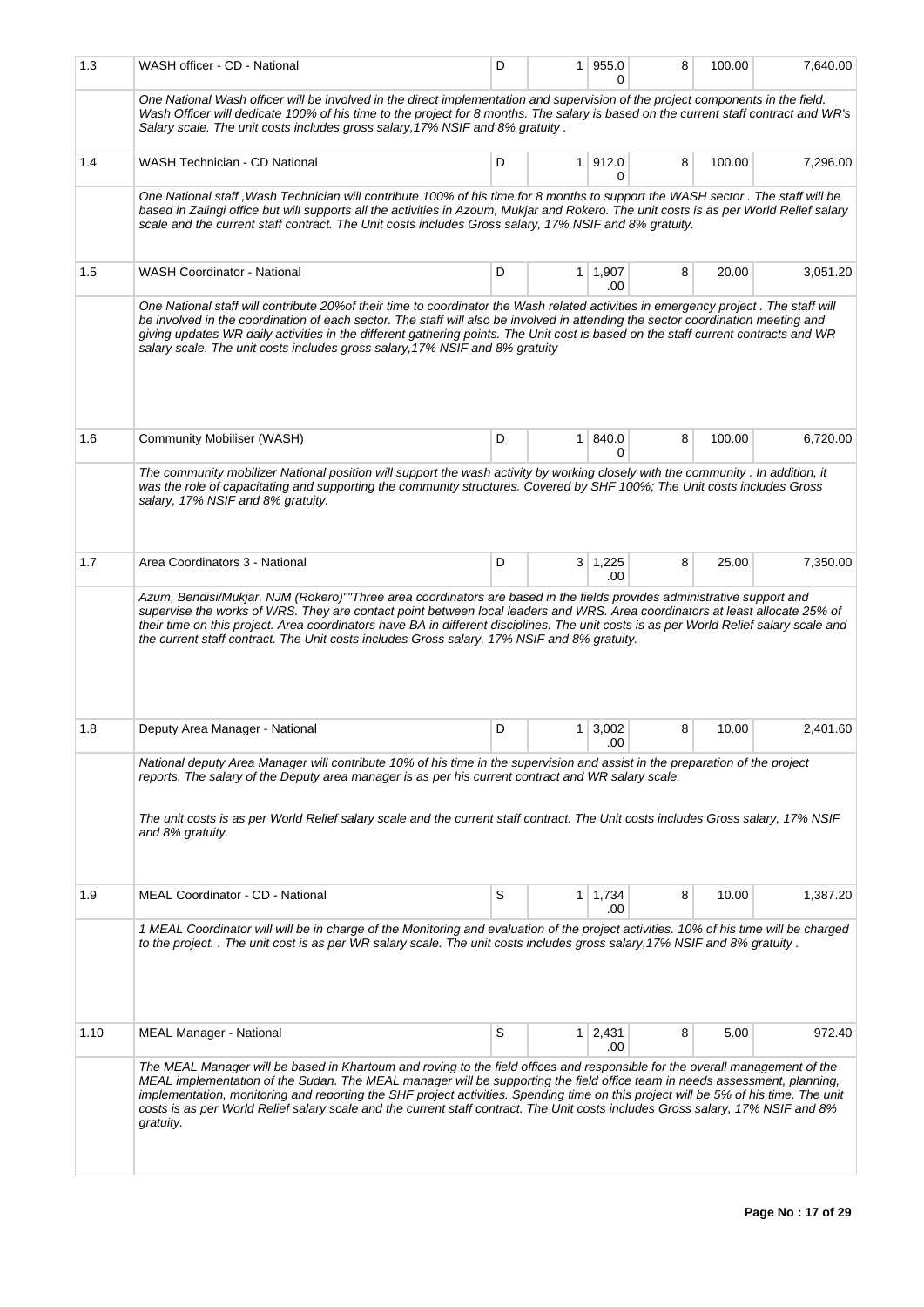| 1.3  | WASH officer - CD - National                                                                                                                                                                                                                                                                                                                                                                                                                                                                                                                      | D | 1.             | 955.0<br><sup>0</sup> | 8 | 100.00 | 7,640.00 |
|------|---------------------------------------------------------------------------------------------------------------------------------------------------------------------------------------------------------------------------------------------------------------------------------------------------------------------------------------------------------------------------------------------------------------------------------------------------------------------------------------------------------------------------------------------------|---|----------------|-----------------------|---|--------|----------|
|      | One National Wash officer will be involved in the direct implementation and supervision of the project components in the field.<br>Wash Officer will dedicate 100% of his time to the project for 8 months. The salary is based on the current staff contract and WR's<br>Salary scale. The unit costs includes gross salary, 17% NSIF and 8% gratuity.                                                                                                                                                                                           |   |                |                       |   |        |          |
| 1.4  | <b>WASH Technician - CD National</b>                                                                                                                                                                                                                                                                                                                                                                                                                                                                                                              | D | $\mathbf{1}$   | 912.0<br>0            | 8 | 100.00 | 7,296.00 |
|      | One National staff, Wash Technician will contribute 100% of his time for 8 months to support the WASH sector. The staff will be<br>based in Zalingi office but will supports all the activities in Azoum, Mukjar and Rokero. The unit costs is as per World Relief salary<br>scale and the current staff contract. The Unit costs includes Gross salary, 17% NSIF and 8% gratuity.                                                                                                                                                                |   |                |                       |   |        |          |
| 1.5  | WASH Coordinator - National                                                                                                                                                                                                                                                                                                                                                                                                                                                                                                                       | D | 1 <sup>1</sup> | 1,907<br>.00          | 8 | 20.00  | 3,051.20 |
|      | One National staff will contribute 20% of their time to coordinator the Wash related activities in emergency project. The staff will<br>be involved in the coordination of each sector. The staff will also be involved in attending the sector coordination meeting and<br>giving updates WR daily activities in the different gathering points. The Unit cost is based on the staff current contracts and WR<br>salary scale. The unit costs includes gross salary, 17% NSIF and 8% gratuity                                                    |   |                |                       |   |        |          |
| 1.6  | Community Mobiliser (WASH)                                                                                                                                                                                                                                                                                                                                                                                                                                                                                                                        | D | $\mathbf{1}$   | 840.0<br>0            | 8 | 100.00 | 6,720.00 |
|      | The community mobilizer National position will support the wash activity by working closely with the community. In addition, it<br>was the role of capacitating and supporting the community structures. Covered by SHF 100%; The Unit costs includes Gross<br>salary, 17% NSIF and 8% gratuity.                                                                                                                                                                                                                                                  |   |                |                       |   |        |          |
| 1.7  | Area Coordinators 3 - National                                                                                                                                                                                                                                                                                                                                                                                                                                                                                                                    | D |                | $3 \mid 1,225$<br>.00 | 8 | 25.00  | 7,350.00 |
|      | supervise the works of WRS. They are contact point between local leaders and WRS. Area coordinators at least allocate 25% of<br>their time on this project. Area coordinators have BA in different disciplines. The unit costs is as per World Relief salary scale and<br>the current staff contract. The Unit costs includes Gross salary, 17% NSIF and 8% gratuity.                                                                                                                                                                             |   |                |                       |   |        |          |
| 1.8  | Deputy Area Manager - National                                                                                                                                                                                                                                                                                                                                                                                                                                                                                                                    | D | 1              | 3,002<br>.00          | 8 | 10.00  | 2,401.60 |
|      | National deputy Area Manager will contribute 10% of his time in the supervision and assist in the preparation of the project<br>reports. The salary of the Deputy area manager is as per his current contract and WR salary scale.<br>The unit costs is as per World Relief salary scale and the current staff contract. The Unit costs includes Gross salary, 17% NSIF<br>and 8% gratuity.                                                                                                                                                       |   |                |                       |   |        |          |
| 1.9  | <b>MEAL Coordinator - CD - National</b>                                                                                                                                                                                                                                                                                                                                                                                                                                                                                                           | S |                | $1 \mid 1,734$<br>.00 | 8 | 10.00  | 1,387.20 |
|      | 1 MEAL Coordinator will will be in charge of the Monitoring and evaluation of the project activities. 10% of his time will be charged<br>to the project. . The unit cost is as per WR salary scale. The unit costs includes gross salary, 17% NSIF and 8% gratuity.                                                                                                                                                                                                                                                                               |   |                |                       |   |        |          |
| 1.10 | <b>MEAL Manager - National</b>                                                                                                                                                                                                                                                                                                                                                                                                                                                                                                                    | S | $\mathbf{1}$   | 2,431<br>.00          | 8 | 5.00   | 972.40   |
|      | The MEAL Manager will be based in Khartoum and roving to the field offices and responsible for the overall management of the<br>MEAL implementation of the Sudan. The MEAL manager will be supporting the field office team in needs assessment, planning,<br>implementation, monitoring and reporting the SHF project activities. Spending time on this project will be 5% of his time. The unit<br>costs is as per World Relief salary scale and the current staff contract. The Unit costs includes Gross salary, 17% NSIF and 8%<br>gratuity. |   |                |                       |   |        |          |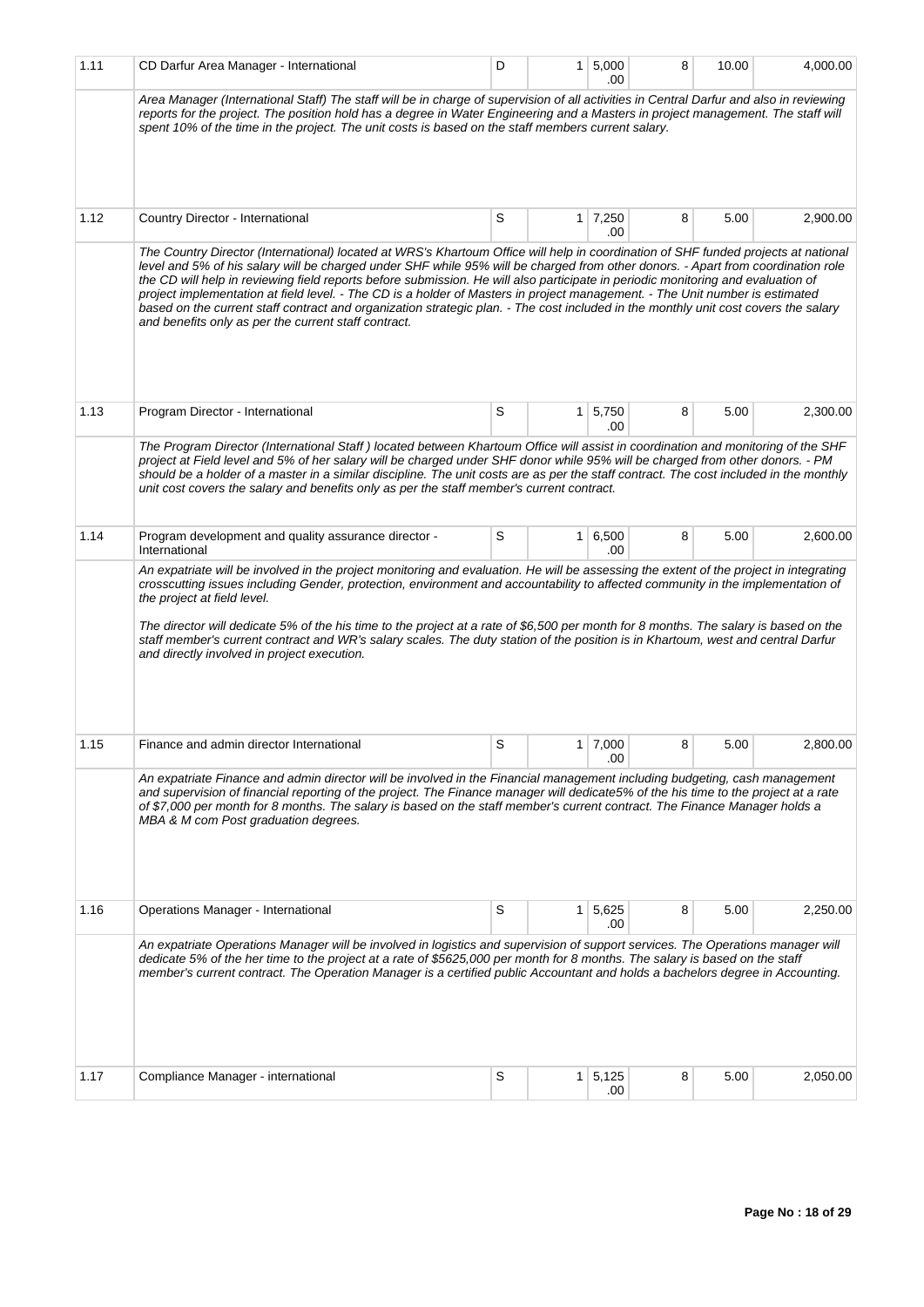| 1.11 | CD Darfur Area Manager - International                                                                                                                                                                                                                                                                                                                                                                                                                                                                                                                                                                                                                                                                                                    | D | 1            | 5,000<br>.00          | 8 | 10.00 | 4,000.00 |
|------|-------------------------------------------------------------------------------------------------------------------------------------------------------------------------------------------------------------------------------------------------------------------------------------------------------------------------------------------------------------------------------------------------------------------------------------------------------------------------------------------------------------------------------------------------------------------------------------------------------------------------------------------------------------------------------------------------------------------------------------------|---|--------------|-----------------------|---|-------|----------|
|      | Area Manager (International Staff) The staff will be in charge of supervision of all activities in Central Darfur and also in reviewing<br>reports for the project. The position hold has a degree in Water Engineering and a Masters in project management. The staff will<br>spent 10% of the time in the project. The unit costs is based on the staff members current salary.                                                                                                                                                                                                                                                                                                                                                         |   |              |                       |   |       |          |
|      |                                                                                                                                                                                                                                                                                                                                                                                                                                                                                                                                                                                                                                                                                                                                           |   |              |                       |   |       |          |
| 1.12 | Country Director - International                                                                                                                                                                                                                                                                                                                                                                                                                                                                                                                                                                                                                                                                                                          | S | $\mathbf{1}$ | 7,250<br>.00          | 8 | 5.00  | 2,900.00 |
|      | The Country Director (International) located at WRS's Khartoum Office will help in coordination of SHF funded projects at national<br>level and 5% of his salary will be charged under SHF while 95% will be charged from other donors. - Apart from coordination role<br>the CD will help in reviewing field reports before submission. He will also participate in periodic monitoring and evaluation of<br>project implementation at field level. - The CD is a holder of Masters in project management. - The Unit number is estimated<br>based on the current staff contract and organization strategic plan. - The cost included in the monthly unit cost covers the salary<br>and benefits only as per the current staff contract. |   |              |                       |   |       |          |
| 1.13 | Program Director - International                                                                                                                                                                                                                                                                                                                                                                                                                                                                                                                                                                                                                                                                                                          | S | $\mathbf{1}$ | 5,750<br>.00          | 8 | 5.00  | 2,300.00 |
|      | The Program Director (International Staff) located between Khartoum Office will assist in coordination and monitoring of the SHF<br>project at Field level and 5% of her salary will be charged under SHF donor while 95% will be charged from other donors. - PM<br>should be a holder of a master in a similar discipline. The unit costs are as per the staff contract. The cost included in the monthly<br>unit cost covers the salary and benefits only as per the staff member's current contract.                                                                                                                                                                                                                                  |   |              |                       |   |       |          |
| 1.14 | Program development and quality assurance director -<br>International                                                                                                                                                                                                                                                                                                                                                                                                                                                                                                                                                                                                                                                                     | S | 1            | 6,500<br>.00          | 8 | 5.00  | 2,600.00 |
|      | crosscutting issues including Gender, protection, environment and accountability to affected community in the implementation of<br>the project at field level.<br>The director will dedicate 5% of the his time to the project at a rate of \$6,500 per month for 8 months. The salary is based on the<br>staff member's current contract and WR's salary scales. The duty station of the position is in Khartoum, west and central Darfur<br>and directly involved in project execution.                                                                                                                                                                                                                                                 |   |              |                       |   |       |          |
| 1.15 | Finance and admin director International                                                                                                                                                                                                                                                                                                                                                                                                                                                                                                                                                                                                                                                                                                  | S |              | $1 \mid 7,000$<br>.00 | 8 | 5.00  | 2,800.00 |
|      | An expatriate Finance and admin director will be involved in the Financial management including budgeting, cash management<br>and supervision of financial reporting of the project. The Finance manager will dedicate5% of the his time to the project at a rate<br>of \$7,000 per month for 8 months. The salary is based on the staff member's current contract. The Finance Manager holds a<br>MBA & M com Post graduation degrees.                                                                                                                                                                                                                                                                                                   |   |              |                       |   |       |          |
| 1.16 | Operations Manager - International                                                                                                                                                                                                                                                                                                                                                                                                                                                                                                                                                                                                                                                                                                        | S | 1            | 5,625<br>.00          | 8 | 5.00  | 2,250.00 |
|      | An expatriate Operations Manager will be involved in logistics and supervision of support services. The Operations manager will<br>dedicate 5% of the her time to the project at a rate of \$5625,000 per month for 8 months. The salary is based on the staff<br>member's current contract. The Operation Manager is a certified public Accountant and holds a bachelors degree in Accounting.                                                                                                                                                                                                                                                                                                                                           |   |              |                       |   |       |          |
| 1.17 | Compliance Manager - international                                                                                                                                                                                                                                                                                                                                                                                                                                                                                                                                                                                                                                                                                                        | S | 1            | 5,125<br>.00          | 8 | 5.00  | 2,050.00 |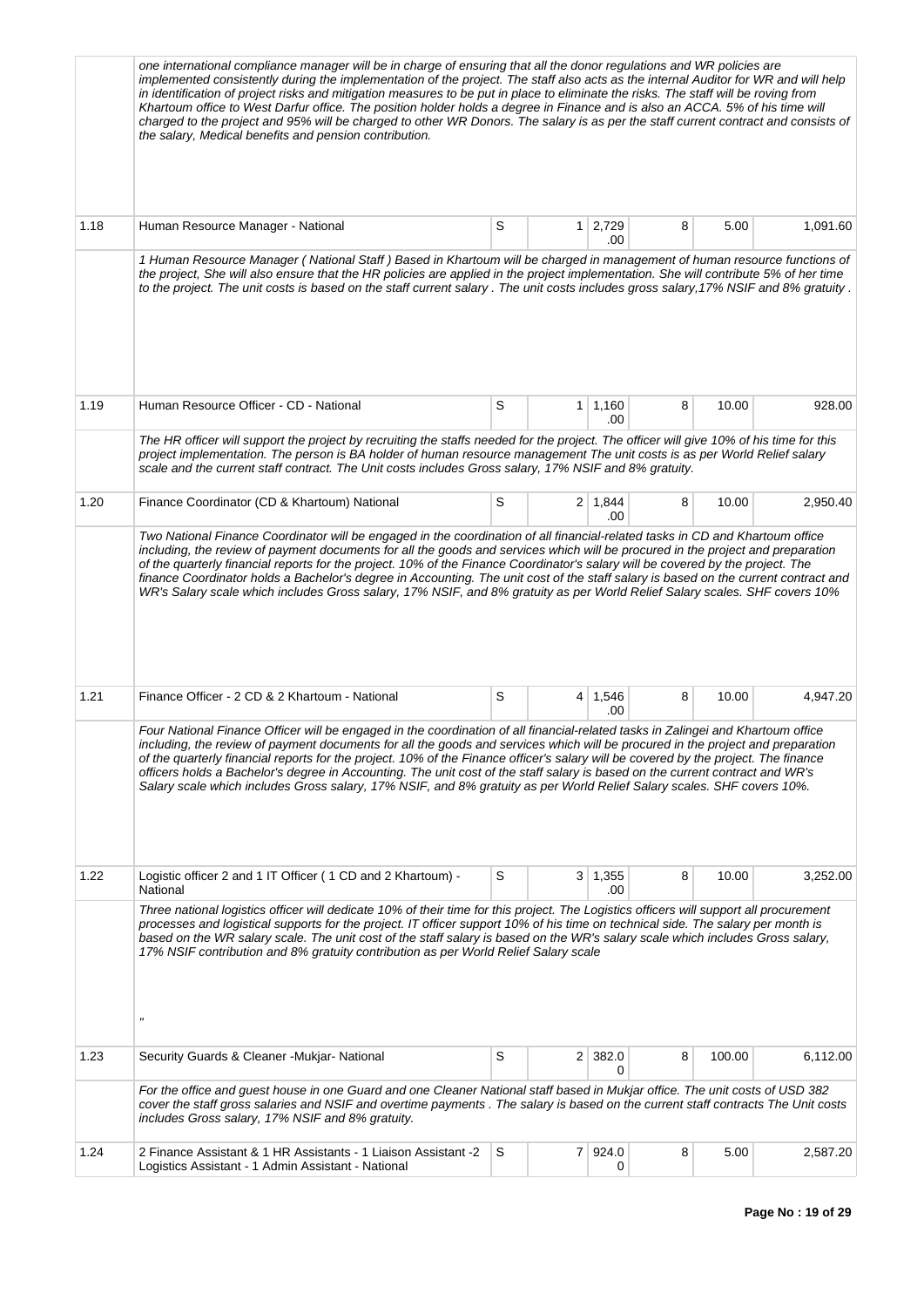|      | one international compliance manager will be in charge of ensuring that all the donor regulations and WR policies are<br>implemented consistently during the implementation of the project. The staff also acts as the internal Auditor for WR and will help<br>in identification of project risks and mitigation measures to be put in place to eliminate the risks. The staff will be roving from<br>Khartoum office to West Darfur office. The position holder holds a degree in Finance and is also an ACCA. 5% of his time will<br>charged to the project and 95% will be charged to other WR Donors. The salary is as per the staff current contract and consists of<br>the salary, Medical benefits and pension contribution. |   |                |                       |   |        |          |
|------|--------------------------------------------------------------------------------------------------------------------------------------------------------------------------------------------------------------------------------------------------------------------------------------------------------------------------------------------------------------------------------------------------------------------------------------------------------------------------------------------------------------------------------------------------------------------------------------------------------------------------------------------------------------------------------------------------------------------------------------|---|----------------|-----------------------|---|--------|----------|
| 1.18 | Human Resource Manager - National                                                                                                                                                                                                                                                                                                                                                                                                                                                                                                                                                                                                                                                                                                    | S | 1 <sup>1</sup> | 2,729<br>.00          | 8 | 5.00   | 1,091.60 |
|      | 1 Human Resource Manager (National Staff) Based in Khartoum will be charged in management of human resource functions of<br>the project, She will also ensure that the HR policies are applied in the project implementation. She will contribute 5% of her time<br>to the project. The unit costs is based on the staff current salary. The unit costs includes gross salary, 17% NSIF and 8% gratuity.                                                                                                                                                                                                                                                                                                                             |   |                |                       |   |        |          |
| 1.19 | Human Resource Officer - CD - National<br>The HR officer will support the project by recruiting the staffs needed for the project. The officer will give 10% of his time for this                                                                                                                                                                                                                                                                                                                                                                                                                                                                                                                                                    | S | 1              | 1,160<br>.00          | 8 | 10.00  | 928.00   |
|      | project implementation. The person is BA holder of human resource management The unit costs is as per World Relief salary<br>scale and the current staff contract. The Unit costs includes Gross salary, 17% NSIF and 8% gratuity.                                                                                                                                                                                                                                                                                                                                                                                                                                                                                                   |   |                |                       |   |        |          |
| 1.20 | Finance Coordinator (CD & Khartoum) National                                                                                                                                                                                                                                                                                                                                                                                                                                                                                                                                                                                                                                                                                         | S |                | $2 \mid 1,844$<br>.00 | 8 | 10.00  | 2,950.40 |
|      | Two National Finance Coordinator will be engaged in the coordination of all financial-related tasks in CD and Khartoum office<br>including, the review of payment documents for all the goods and services which will be procured in the project and preparation<br>of the quarterly financial reports for the project. 10% of the Finance Coordinator's salary will be covered by the project. The<br>finance Coordinator holds a Bachelor's degree in Accounting. The unit cost of the staff salary is based on the current contract and<br>WR's Salary scale which includes Gross salary, 17% NSIF, and 8% gratuity as per World Relief Salary scales. SHF covers 10%                                                             |   |                |                       |   |        |          |
| 1.21 | Finance Officer - 2 CD & 2 Khartoum - National                                                                                                                                                                                                                                                                                                                                                                                                                                                                                                                                                                                                                                                                                       | S | 4              | 1,546<br>.00          | 8 | 10.00  | 4,947.20 |
|      | Four National Finance Officer will be engaged in the coordination of all financial-related tasks in Zalingei and Khartoum office<br>including, the review of payment documents for all the goods and services which will be procured in the project and preparation<br>of the quarterly financial reports for the project. 10% of the Finance officer's salary will be covered by the project. The finance<br>officers holds a Bachelor's degree in Accounting. The unit cost of the staff salary is based on the current contract and WR's<br>Salary scale which includes Gross salary, 17% NSIF, and 8% gratuity as per World Relief Salary scales. SHF covers 10%.                                                                |   |                |                       |   |        |          |
| 1.22 | Logistic officer 2 and 1 IT Officer (1 CD and 2 Khartoum) -<br>National                                                                                                                                                                                                                                                                                                                                                                                                                                                                                                                                                                                                                                                              | S |                | $3 \mid 1,355$<br>.00 | 8 | 10.00  | 3,252.00 |
|      | Three national logistics officer will dedicate 10% of their time for this project. The Logistics officers will support all procurement<br>processes and logistical supports for the project. IT officer support 10% of his time on technical side. The salary per month is<br>based on the WR salary scale. The unit cost of the staff salary is based on the WR's salary scale which includes Gross salary,<br>17% NSIF contribution and 8% gratuity contribution as per World Relief Salary scale<br>$\boldsymbol{\mathsf{u}}$                                                                                                                                                                                                     |   |                |                       |   |        |          |
| 1.23 | Security Guards & Cleaner - Mukjar- National                                                                                                                                                                                                                                                                                                                                                                                                                                                                                                                                                                                                                                                                                         | S |                | $2 \mid 382.0$<br>0   | 8 | 100.00 | 6,112.00 |
|      | For the office and guest house in one Guard and one Cleaner National staff based in Mukjar office. The unit costs of USD 382<br>cover the staff gross salaries and NSIF and overtime payments. The salary is based on the current staff contracts The Unit costs<br>includes Gross salary, 17% NSIF and 8% gratuity.                                                                                                                                                                                                                                                                                                                                                                                                                 |   |                |                       |   |        |          |
| 1.24 | 2 Finance Assistant & 1 HR Assistants - 1 Liaison Assistant - 2<br>Logistics Assistant - 1 Admin Assistant - National                                                                                                                                                                                                                                                                                                                                                                                                                                                                                                                                                                                                                | S |                | 7 924.0<br>0          | 8 | 5.00   | 2,587.20 |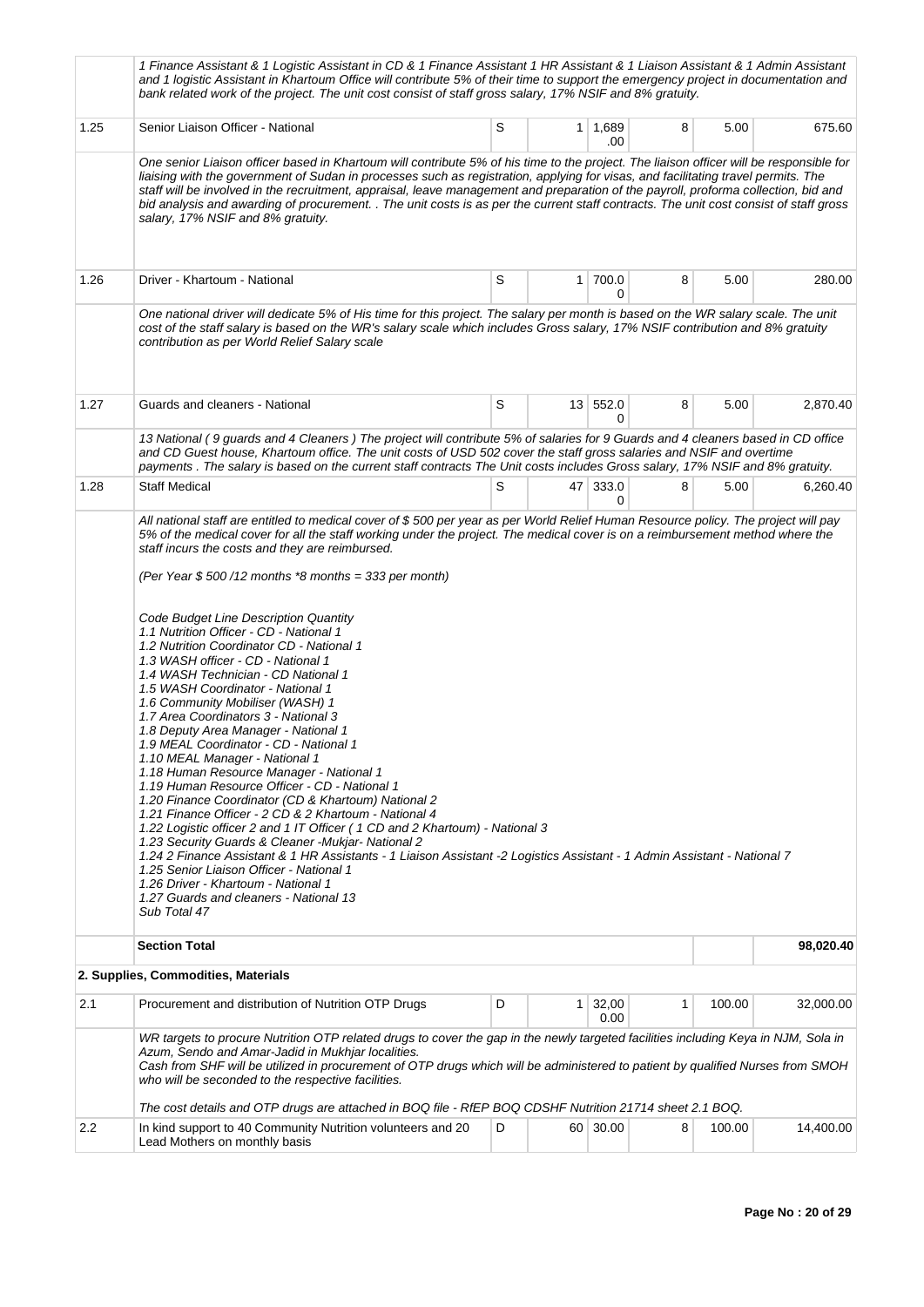|      | 1 Finance Assistant & 1 Logistic Assistant in CD & 1 Finance Assistant 1 HR Assistant & 1 Liaison Assistant & 1 Admin Assistant<br>and 1 logistic Assistant in Khartoum Office will contribute 5% of their time to support the emergency project in documentation and<br>bank related work of the project. The unit cost consist of staff gross salary, 17% NSIF and 8% gratuity.                                                                                                                                                                                                                                                                                                                                                                                                                                                                                                                                                                                                                                                                                                                                                   |   |                |                       |   |        |           |
|------|-------------------------------------------------------------------------------------------------------------------------------------------------------------------------------------------------------------------------------------------------------------------------------------------------------------------------------------------------------------------------------------------------------------------------------------------------------------------------------------------------------------------------------------------------------------------------------------------------------------------------------------------------------------------------------------------------------------------------------------------------------------------------------------------------------------------------------------------------------------------------------------------------------------------------------------------------------------------------------------------------------------------------------------------------------------------------------------------------------------------------------------|---|----------------|-----------------------|---|--------|-----------|
| 1.25 | Senior Liaison Officer - National                                                                                                                                                                                                                                                                                                                                                                                                                                                                                                                                                                                                                                                                                                                                                                                                                                                                                                                                                                                                                                                                                                   | S |                | $1 \mid 1,689$<br>.00 | 8 | 5.00   | 675.60    |
|      | One senior Liaison officer based in Khartoum will contribute 5% of his time to the project. The liaison officer will be responsible for<br>liaising with the government of Sudan in processes such as registration, applying for visas, and facilitating travel permits. The<br>staff will be involved in the recruitment, appraisal, leave management and preparation of the payroll, proforma collection, bid and<br>bid analysis and awarding of procurement. . The unit costs is as per the current staff contracts. The unit cost consist of staff gross<br>salary, 17% NSIF and 8% gratuity.                                                                                                                                                                                                                                                                                                                                                                                                                                                                                                                                  |   |                |                       |   |        |           |
| 1.26 | Driver - Khartoum - National                                                                                                                                                                                                                                                                                                                                                                                                                                                                                                                                                                                                                                                                                                                                                                                                                                                                                                                                                                                                                                                                                                        | S | 1 <sup>1</sup> | 700.0<br>0            | 8 | 5.00   | 280.00    |
|      | One national driver will dedicate 5% of His time for this project. The salary per month is based on the WR salary scale. The unit<br>cost of the staff salary is based on the WR's salary scale which includes Gross salary, 17% NSIF contribution and 8% gratuity<br>contribution as per World Relief Salary scale                                                                                                                                                                                                                                                                                                                                                                                                                                                                                                                                                                                                                                                                                                                                                                                                                 |   |                |                       |   |        |           |
| 1.27 | Guards and cleaners - National                                                                                                                                                                                                                                                                                                                                                                                                                                                                                                                                                                                                                                                                                                                                                                                                                                                                                                                                                                                                                                                                                                      | S |                | 13 552.0<br>0         | 8 | 5.00   | 2,870.40  |
|      | 13 National (9 guards and 4 Cleaners) The project will contribute 5% of salaries for 9 Guards and 4 cleaners based in CD office<br>and CD Guest house, Khartoum office. The unit costs of USD 502 cover the staff gross salaries and NSIF and overtime<br>payments . The salary is based on the current staff contracts The Unit costs includes Gross salary, 17% NSIF and 8% gratuity.                                                                                                                                                                                                                                                                                                                                                                                                                                                                                                                                                                                                                                                                                                                                             |   |                |                       |   |        |           |
| 1.28 | <b>Staff Medical</b>                                                                                                                                                                                                                                                                                                                                                                                                                                                                                                                                                                                                                                                                                                                                                                                                                                                                                                                                                                                                                                                                                                                | S |                | 47 333.0<br>0         | 8 | 5.00   | 6,260.40  |
|      | (Per Year $$500/12$ months *8 months = 333 per month)<br>Code Budget Line Description Quantity<br>1.1 Nutrition Officer - CD - National 1<br>1.2 Nutrition Coordinator CD - National 1<br>1.3 WASH officer - CD - National 1<br>1.4 WASH Technician - CD National 1<br>1.5 WASH Coordinator - National 1<br>1.6 Community Mobiliser (WASH) 1<br>1.7 Area Coordinators 3 - National 3<br>1.8 Deputy Area Manager - National 1<br>1.9 MEAL Coordinator - CD - National 1<br>1.10 MEAL Manager - National 1<br>1.18 Human Resource Manager - National 1<br>1.19 Human Resource Officer - CD - National 1<br>1.20 Finance Coordinator (CD & Khartoum) National 2<br>1.21 Finance Officer - 2 CD & 2 Khartoum - National 4<br>1.22 Logistic officer 2 and 1 IT Officer (1 CD and 2 Khartoum) - National 3<br>1.23 Security Guards & Cleaner -Mukjar- National 2<br>1.24 2 Finance Assistant & 1 HR Assistants - 1 Liaison Assistant -2 Logistics Assistant - 1 Admin Assistant - National 7<br>1.25 Senior Liaison Officer - National 1<br>1.26 Driver - Khartoum - National 1<br>1.27 Guards and cleaners - National 13<br>Sub Total 47 |   |                |                       |   |        |           |
|      | <b>Section Total</b><br>2. Supplies, Commodities, Materials                                                                                                                                                                                                                                                                                                                                                                                                                                                                                                                                                                                                                                                                                                                                                                                                                                                                                                                                                                                                                                                                         |   |                |                       |   |        | 98,020.40 |
| 2.1  | Procurement and distribution of Nutrition OTP Drugs                                                                                                                                                                                                                                                                                                                                                                                                                                                                                                                                                                                                                                                                                                                                                                                                                                                                                                                                                                                                                                                                                 | D | 1 <sup>1</sup> | 32,00                 | 1 | 100.00 | 32,000.00 |
|      |                                                                                                                                                                                                                                                                                                                                                                                                                                                                                                                                                                                                                                                                                                                                                                                                                                                                                                                                                                                                                                                                                                                                     |   |                | 0.00                  |   |        |           |
|      | WR targets to procure Nutrition OTP related drugs to cover the gap in the newly targeted facilities including Keya in NJM, Sola in<br>Azum, Sendo and Amar-Jadid in Mukhjar localities.<br>Cash from SHF will be utilized in procurement of OTP drugs which will be administered to patient by qualified Nurses from SMOH<br>who will be seconded to the respective facilities.                                                                                                                                                                                                                                                                                                                                                                                                                                                                                                                                                                                                                                                                                                                                                     |   |                |                       |   |        |           |
| 2.2  | The cost details and OTP drugs are attached in BOQ file - RfEP BOQ CDSHF Nutrition 21714 sheet 2.1 BOQ.<br>In kind support to 40 Community Nutrition volunteers and 20                                                                                                                                                                                                                                                                                                                                                                                                                                                                                                                                                                                                                                                                                                                                                                                                                                                                                                                                                              | D |                | 60 30.00              | 8 | 100.00 | 14,400.00 |
|      | Lead Mothers on monthly basis                                                                                                                                                                                                                                                                                                                                                                                                                                                                                                                                                                                                                                                                                                                                                                                                                                                                                                                                                                                                                                                                                                       |   |                |                       |   |        |           |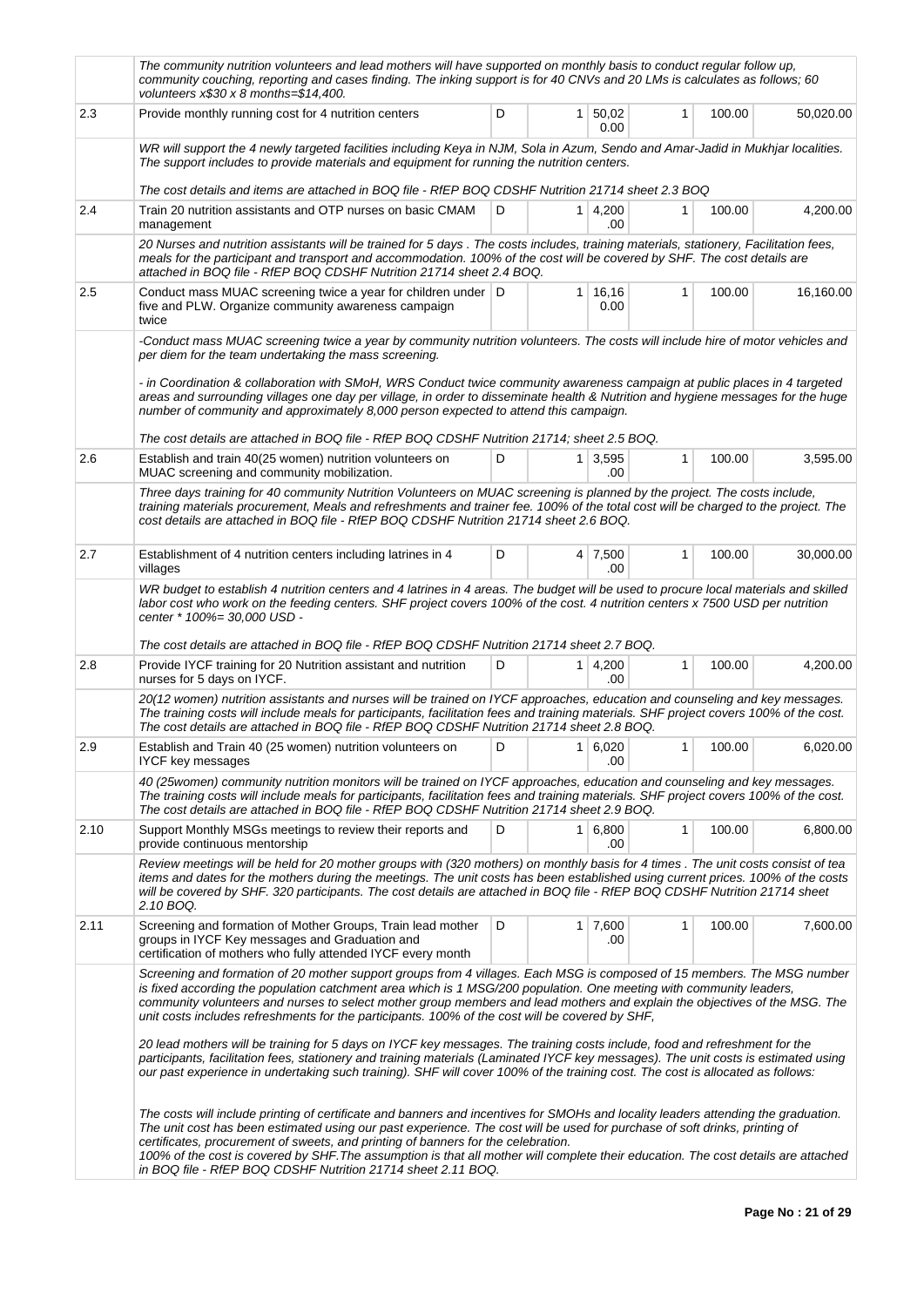|      | The community nutrition volunteers and lead mothers will have supported on monthly basis to conduct regular follow up,<br>community couching, reporting and cases finding. The inking support is for 40 CNVs and 20 LMs is calculates as follows; 60<br>volunteers $x$30 x 8 months = $14,400$ .                                                                                                                                                                                                                                                                                                                                                                                                                                                                                                                                                                                       |   |                |                         |   |        |           |
|------|----------------------------------------------------------------------------------------------------------------------------------------------------------------------------------------------------------------------------------------------------------------------------------------------------------------------------------------------------------------------------------------------------------------------------------------------------------------------------------------------------------------------------------------------------------------------------------------------------------------------------------------------------------------------------------------------------------------------------------------------------------------------------------------------------------------------------------------------------------------------------------------|---|----------------|-------------------------|---|--------|-----------|
| 2.3  | Provide monthly running cost for 4 nutrition centers                                                                                                                                                                                                                                                                                                                                                                                                                                                                                                                                                                                                                                                                                                                                                                                                                                   | D | 1 <sup>1</sup> | 50,02<br>0.00           | 1 | 100.00 | 50,020.00 |
|      | WR will support the 4 newly targeted facilities including Keya in NJM, Sola in Azum, Sendo and Amar-Jadid in Mukhjar localities.<br>The support includes to provide materials and equipment for running the nutrition centers.                                                                                                                                                                                                                                                                                                                                                                                                                                                                                                                                                                                                                                                         |   |                |                         |   |        |           |
|      | The cost details and items are attached in BOQ file - RfEP BOQ CDSHF Nutrition 21714 sheet 2.3 BOQ                                                                                                                                                                                                                                                                                                                                                                                                                                                                                                                                                                                                                                                                                                                                                                                     |   |                |                         |   |        |           |
| 2.4  | Train 20 nutrition assistants and OTP nurses on basic CMAM<br>management                                                                                                                                                                                                                                                                                                                                                                                                                                                                                                                                                                                                                                                                                                                                                                                                               | D |                | $1 \, 4,200$<br>.00     | 1 | 100.00 | 4,200.00  |
|      | 20 Nurses and nutrition assistants will be trained for 5 days. The costs includes, training materials, stationery, Facilitation fees,<br>meals for the participant and transport and accommodation. 100% of the cost will be covered by SHF. The cost details are<br>attached in BOQ file - RfEP BOQ CDSHF Nutrition 21714 sheet 2.4 BOQ.                                                                                                                                                                                                                                                                                                                                                                                                                                                                                                                                              |   |                |                         |   |        |           |
| 2.5  | Conduct mass MUAC screening twice a year for children under D<br>five and PLW. Organize community awareness campaign<br>twice                                                                                                                                                                                                                                                                                                                                                                                                                                                                                                                                                                                                                                                                                                                                                          |   |                | $1 \mid 16, 16$<br>0.00 | 1 | 100.00 | 16,160.00 |
|      | -Conduct mass MUAC screening twice a year by community nutrition volunteers. The costs will include hire of motor vehicles and<br>per diem for the team undertaking the mass screening.<br>- in Coordination & collaboration with SMoH, WRS Conduct twice community awareness campaign at public places in 4 targeted<br>areas and surrounding villages one day per village, in order to disseminate health & Nutrition and hygiene messages for the huge<br>number of community and approximately 8,000 person expected to attend this campaign.<br>The cost details are attached in BOQ file - RfEP BOQ CDSHF Nutrition 21714; sheet 2.5 BOQ.                                                                                                                                                                                                                                        |   |                |                         |   |        |           |
|      |                                                                                                                                                                                                                                                                                                                                                                                                                                                                                                                                                                                                                                                                                                                                                                                                                                                                                        |   |                |                         |   |        |           |
| 2.6  | Establish and train 40(25 women) nutrition volunteers on<br>MUAC screening and community mobilization.                                                                                                                                                                                                                                                                                                                                                                                                                                                                                                                                                                                                                                                                                                                                                                                 | D |                | $1 \mid 3,595$<br>.00   | 1 | 100.00 | 3,595.00  |
|      | Three days training for 40 community Nutrition Volunteers on MUAC screening is planned by the project. The costs include,<br>training materials procurement, Meals and refreshments and trainer fee. 100% of the total cost will be charged to the project. The<br>cost details are attached in BOQ file - RfEP BOQ CDSHF Nutrition 21714 sheet 2.6 BOQ.                                                                                                                                                                                                                                                                                                                                                                                                                                                                                                                               |   |                |                         |   |        |           |
| 2.7  | Establishment of 4 nutrition centers including latrines in 4<br>villages                                                                                                                                                                                                                                                                                                                                                                                                                                                                                                                                                                                                                                                                                                                                                                                                               | D |                | 4 7,500<br>.00          | 1 | 100.00 | 30,000.00 |
|      | WR budget to establish 4 nutrition centers and 4 latrines in 4 areas. The budget will be used to procure local materials and skilled<br>labor cost who work on the feeding centers. SHF project covers 100% of the cost. 4 nutrition centers x 7500 USD per nutrition<br>center * 100%= 30,000 USD -                                                                                                                                                                                                                                                                                                                                                                                                                                                                                                                                                                                   |   |                |                         |   |        |           |
|      | The cost details are attached in BOQ file - RfEP BOQ CDSHF Nutrition 21714 sheet 2.7 BOQ.                                                                                                                                                                                                                                                                                                                                                                                                                                                                                                                                                                                                                                                                                                                                                                                              |   |                |                         |   |        |           |
| 2.8  | Provide IYCF training for 20 Nutrition assistant and nutrition<br>nurses for 5 days on IYCF.                                                                                                                                                                                                                                                                                                                                                                                                                                                                                                                                                                                                                                                                                                                                                                                           | D |                | $1 \mid 4,200$<br>.00   | 1 | 100.00 | 4,200.00  |
|      | 20(12 women) nutrition assistants and nurses will be trained on IYCF approaches, education and counseling and key messages.<br>The training costs will include meals for participants, facilitation fees and training materials. SHF project covers 100% of the cost.<br>The cost details are attached in BOQ file - RfEP BOQ CDSHF Nutrition 21714 sheet 2.8 BOQ.                                                                                                                                                                                                                                                                                                                                                                                                                                                                                                                     |   |                |                         |   |        |           |
| 2.9  | Establish and Train 40 (25 women) nutrition volunteers on<br>IYCF key messages                                                                                                                                                                                                                                                                                                                                                                                                                                                                                                                                                                                                                                                                                                                                                                                                         | D |                | 1   6,020<br>.00        | 1 | 100.00 | 6,020.00  |
|      | 40 (25women) community nutrition monitors will be trained on IYCF approaches, education and counseling and key messages.<br>The training costs will include meals for participants, facilitation fees and training materials. SHF project covers 100% of the cost.<br>The cost details are attached in BOQ file - RfEP BOQ CDSHF Nutrition 21714 sheet 2.9 BOQ.                                                                                                                                                                                                                                                                                                                                                                                                                                                                                                                        |   |                |                         |   |        |           |
| 2.10 | Support Monthly MSGs meetings to review their reports and<br>provide continuous mentorship                                                                                                                                                                                                                                                                                                                                                                                                                                                                                                                                                                                                                                                                                                                                                                                             | D |                | $1 \mid 6,800$<br>.00   | 1 | 100.00 | 6,800.00  |
|      | Review meetings will be held for 20 mother groups with (320 mothers) on monthly basis for 4 times. The unit costs consist of tea<br>items and dates for the mothers during the meetings. The unit costs has been established using current prices. 100% of the costs<br>will be covered by SHF. 320 participants. The cost details are attached in BOQ file - RfEP BOQ CDSHF Nutrition 21714 sheet<br>2.10 BOQ.                                                                                                                                                                                                                                                                                                                                                                                                                                                                        |   |                |                         |   |        |           |
| 2.11 | Screening and formation of Mother Groups, Train lead mother<br>groups in IYCF Key messages and Graduation and<br>certification of mothers who fully attended IYCF every month                                                                                                                                                                                                                                                                                                                                                                                                                                                                                                                                                                                                                                                                                                          | D | 1              | 7,600<br>.00            | 1 | 100.00 | 7,600.00  |
|      | Screening and formation of 20 mother support groups from 4 villages. Each MSG is composed of 15 members. The MSG number<br>is fixed according the population catchment area which is 1 MSG/200 population. One meeting with community leaders,<br>community volunteers and nurses to select mother group members and lead mothers and explain the objectives of the MSG. The<br>unit costs includes refreshments for the participants. 100% of the cost will be covered by SHF,<br>20 lead mothers will be training for 5 days on IYCF key messages. The training costs include, food and refreshment for the<br>participants, facilitation fees, stationery and training materials (Laminated IYCF key messages). The unit costs is estimated using<br>our past experience in undertaking such training). SHF will cover 100% of the training cost. The cost is allocated as follows: |   |                |                         |   |        |           |
|      | The costs will include printing of certificate and banners and incentives for SMOHs and locality leaders attending the graduation.<br>The unit cost has been estimated using our past experience. The cost will be used for purchase of soft drinks, printing of<br>certificates, procurement of sweets, and printing of banners for the celebration.<br>100% of the cost is covered by SHF. The assumption is that all mother will complete their education. The cost details are attached<br>in BOQ file - RfEP BOQ CDSHF Nutrition 21714 sheet 2.11 BOQ.                                                                                                                                                                                                                                                                                                                            |   |                |                         |   |        |           |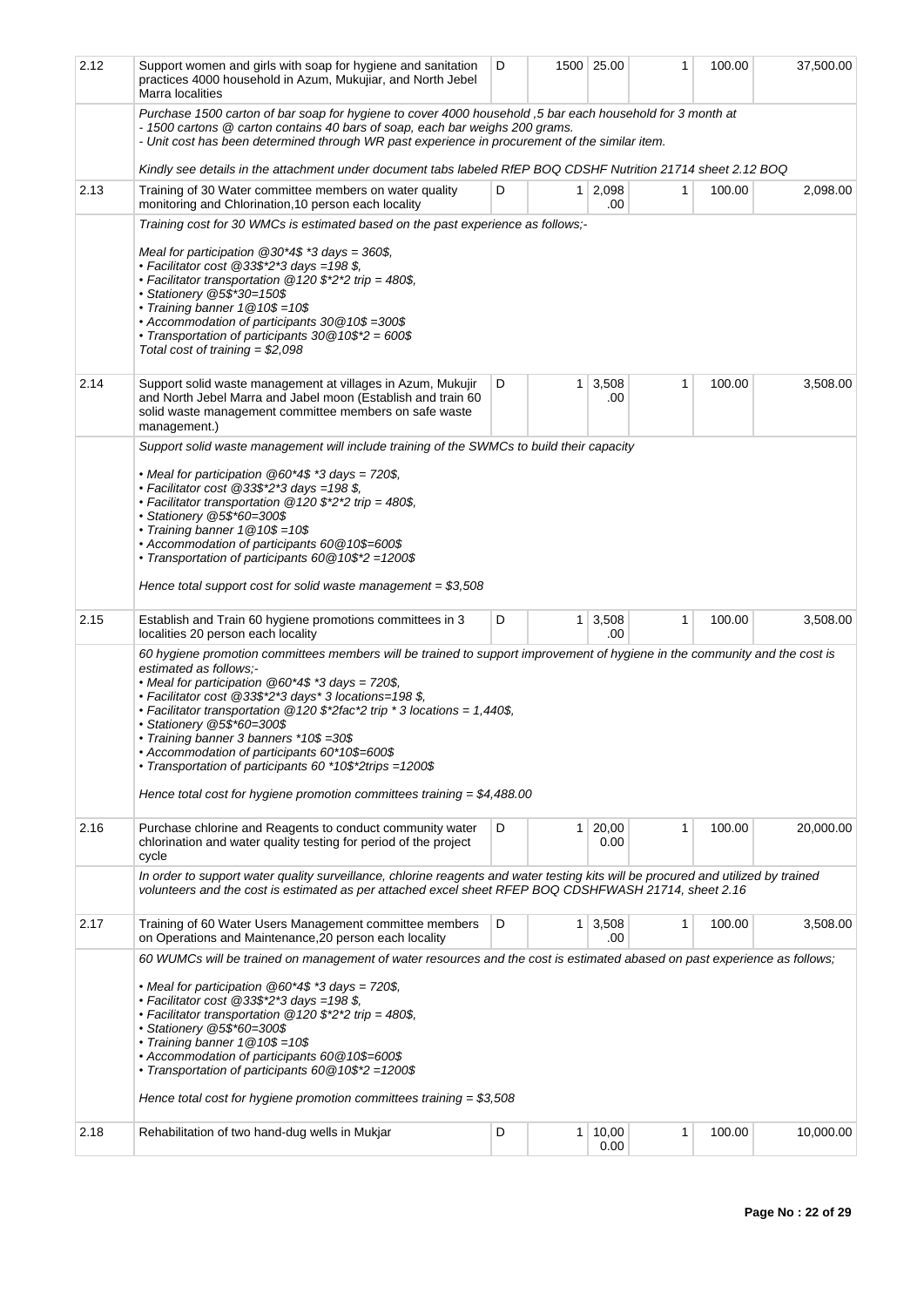| 2.12 | Support women and girls with soap for hygiene and sanitation<br>practices 4000 household in Azum, Mukujiar, and North Jebel<br>Marra localities                                                                                                                                                                                                                                                                                                                                                                                                                                                                      | D |              | 1500 25.00    | 1 | 100.00 | 37,500.00 |
|------|----------------------------------------------------------------------------------------------------------------------------------------------------------------------------------------------------------------------------------------------------------------------------------------------------------------------------------------------------------------------------------------------------------------------------------------------------------------------------------------------------------------------------------------------------------------------------------------------------------------------|---|--------------|---------------|---|--------|-----------|
|      | Purchase 1500 carton of bar soap for hygiene to cover 4000 household, 5 bar each household for 3 month at<br>- 1500 cartons @ carton contains 40 bars of soap, each bar weighs 200 grams.<br>- Unit cost has been determined through WR past experience in procurement of the similar item.                                                                                                                                                                                                                                                                                                                          |   |              |               |   |        |           |
|      | Kindly see details in the attachment under document tabs labeled RfEP BOQ CDSHF Nutrition 21714 sheet 2.12 BOQ                                                                                                                                                                                                                                                                                                                                                                                                                                                                                                       |   |              |               |   |        |           |
| 2.13 | Training of 30 Water committee members on water quality<br>monitoring and Chlorination, 10 person each locality                                                                                                                                                                                                                                                                                                                                                                                                                                                                                                      | D | $\mathbf{1}$ | 2,098<br>.00  | 1 | 100.00 | 2,098.00  |
|      | Training cost for 30 WMCs is estimated based on the past experience as follows;-<br>Meal for participation $@30*4$$ *3 days = 360\$,<br>• Facilitator cost $@33\$ *2*3 days =198 \$,<br>• Facilitator transportation @120 \$*2*2 trip = 480\$.<br>• Stationery @5\$*30=150\$<br>• Training banner $1@10$=10$$<br>• Accommodation of participants 30 @10\$ =300\$<br>• Transportation of participants $30@10$*2 = 600$$<br>Total cost of training = $$2,098$                                                                                                                                                          |   |              |               |   |        |           |
| 2.14 | Support solid waste management at villages in Azum, Mukujir<br>and North Jebel Marra and Jabel moon (Establish and train 60<br>solid waste management committee members on safe waste<br>management.)                                                                                                                                                                                                                                                                                                                                                                                                                | D | 1            | 3,508<br>.00  | 1 | 100.00 | 3,508.00  |
|      | Support solid waste management will include training of the SWMCs to build their capacity<br>• Meal for participation $@60*4$*3 days = 720$$ ,<br>• Facilitator cost @33\$*2*3 days =198 \$,<br>• Facilitator transportation @120 \$*2*2 trip = 480\$,<br>· Stationery @5\$*60=300\$<br>• Training banner $1@10$=10$$<br>• Accommodation of participants 60 @10\$=600\$<br>• Transportation of participants 60 @10\$*2 =1200\$<br>Hence total support cost for solid waste management = $$3,508$                                                                                                                     |   |              |               |   |        |           |
| 2.15 | Establish and Train 60 hygiene promotions committees in 3<br>localities 20 person each locality                                                                                                                                                                                                                                                                                                                                                                                                                                                                                                                      | D | 1            | 3,508<br>.00  | 1 | 100.00 | 3,508.00  |
|      | 60 hygiene promotion committees members will be trained to support improvement of hygiene in the community and the cost is<br>estimated as follows:-<br>• Meal for participation $@60*4$*3 days = 720$$ ,<br>• Facilitator cost @33\$*2*3 days* 3 locations=198 \$.<br>• Facilitator transportation $@120$ \$*2fac*2 trip * 3 locations = 1,440\$,<br>• Stationery @5\$*60=300\$<br>• Training banner 3 banners *10\$ =30\$<br>+ Accommodation of participants 60*10\$=600\$<br>• Transportation of participants 60 *10\$*2trips =1200\$<br>Hence total cost for hygiene promotion committees training = $$4,488.00$ |   |              |               |   |        |           |
| 2.16 | Purchase chlorine and Reagents to conduct community water<br>chlorination and water quality testing for period of the project<br>cycle                                                                                                                                                                                                                                                                                                                                                                                                                                                                               | D | 1            | 20,00<br>0.00 | 1 | 100.00 | 20,000.00 |
|      | In order to support water quality surveillance, chlorine reagents and water testing kits will be procured and utilized by trained<br>volunteers and the cost is estimated as per attached excel sheet RFEP BOQ CDSHFWASH 21714, sheet 2.16                                                                                                                                                                                                                                                                                                                                                                           |   |              |               |   |        |           |
| 2.17 | Training of 60 Water Users Management committee members<br>on Operations and Maintenance, 20 person each locality                                                                                                                                                                                                                                                                                                                                                                                                                                                                                                    | D | 1            | 3,508<br>.00  | 1 | 100.00 | 3,508.00  |
|      | 60 WUMCs will be trained on management of water resources and the cost is estimated abased on past experience as follows;<br>• Meal for participation $@60*4$$ *3 days = 720\$,<br>• Facilitator cost $@33\$ *2*3 days =198 \$,<br>• Facilitator transportation $@120$ \$*2*2 trip = 480\$,<br>• Stationery @5\$*60=300\$<br>• Training banner $1@10$=10$$<br>• Accommodation of participants 60 @10\$=600\$<br>• Transportation of participants 60 @10\$*2 = 1200\$<br>Hence total cost for hygiene promotion committees training = $$3,508$                                                                        |   |              |               |   |        |           |
| 2.18 | Rehabilitation of two hand-dug wells in Mukjar                                                                                                                                                                                                                                                                                                                                                                                                                                                                                                                                                                       | D | 1            | 10,00<br>0.00 | 1 | 100.00 | 10,000.00 |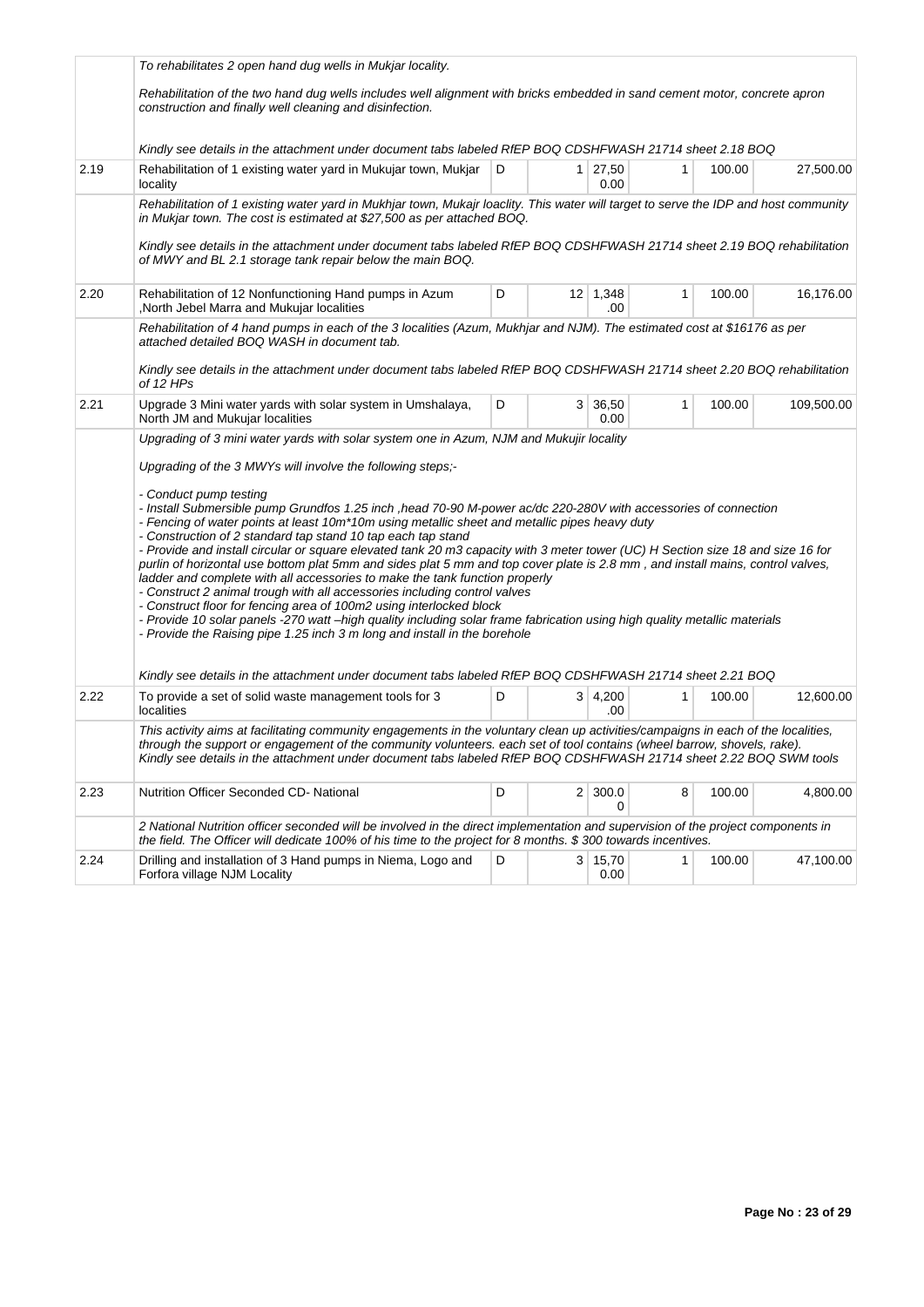|      | To rehabilitates 2 open hand dug wells in Mukjar locality.                                                                                                                                                                                                                                                                                                                                                                                                                                                                                                                                                                                                                                                                                                                                                                                                                                                                                                                                                                   |              |  |                        |              |        |            |  |  |  |
|------|------------------------------------------------------------------------------------------------------------------------------------------------------------------------------------------------------------------------------------------------------------------------------------------------------------------------------------------------------------------------------------------------------------------------------------------------------------------------------------------------------------------------------------------------------------------------------------------------------------------------------------------------------------------------------------------------------------------------------------------------------------------------------------------------------------------------------------------------------------------------------------------------------------------------------------------------------------------------------------------------------------------------------|--------------|--|------------------------|--------------|--------|------------|--|--|--|
|      | Rehabilitation of the two hand dug wells includes well alignment with bricks embedded in sand cement motor, concrete apron<br>construction and finally well cleaning and disinfection.                                                                                                                                                                                                                                                                                                                                                                                                                                                                                                                                                                                                                                                                                                                                                                                                                                       |              |  |                        |              |        |            |  |  |  |
|      | Kindly see details in the attachment under document tabs labeled RfEP BOQ CDSHFWASH 21714 sheet 2.18 BOQ                                                                                                                                                                                                                                                                                                                                                                                                                                                                                                                                                                                                                                                                                                                                                                                                                                                                                                                     |              |  |                        |              |        |            |  |  |  |
| 2.19 | Rehabilitation of 1 existing water yard in Mukujar town, Mukjar<br>locality                                                                                                                                                                                                                                                                                                                                                                                                                                                                                                                                                                                                                                                                                                                                                                                                                                                                                                                                                  | $\mathsf{D}$ |  | $1 \mid 27,50$<br>0.00 | 1            | 100.00 | 27,500.00  |  |  |  |
|      | Rehabilitation of 1 existing water yard in Mukhjar town, Mukajr loaclity. This water will target to serve the IDP and host community<br>in Mukjar town. The cost is estimated at \$27,500 as per attached BOQ.                                                                                                                                                                                                                                                                                                                                                                                                                                                                                                                                                                                                                                                                                                                                                                                                               |              |  |                        |              |        |            |  |  |  |
|      | Kindly see details in the attachment under document tabs labeled RfEP BOQ CDSHFWASH 21714 sheet 2.19 BOQ rehabilitation<br>of MWY and BL 2.1 storage tank repair below the main BOQ.                                                                                                                                                                                                                                                                                                                                                                                                                                                                                                                                                                                                                                                                                                                                                                                                                                         |              |  |                        |              |        |            |  |  |  |
| 2.20 | D<br>$12 \mid 1,348$<br>1<br>100.00<br>Rehabilitation of 12 Nonfunctioning Hand pumps in Azum<br>North Jebel Marra and Mukujar localities<br>.00                                                                                                                                                                                                                                                                                                                                                                                                                                                                                                                                                                                                                                                                                                                                                                                                                                                                             |              |  |                        |              |        |            |  |  |  |
|      | Rehabilitation of 4 hand pumps in each of the 3 localities (Azum, Mukhjar and NJM). The estimated cost at \$16176 as per<br>attached detailed BOQ WASH in document tab.                                                                                                                                                                                                                                                                                                                                                                                                                                                                                                                                                                                                                                                                                                                                                                                                                                                      |              |  |                        |              |        |            |  |  |  |
|      | Kindly see details in the attachment under document tabs labeled RfEP BOQ CDSHFWASH 21714 sheet 2.20 BOQ rehabilitation<br>of 12 HPs                                                                                                                                                                                                                                                                                                                                                                                                                                                                                                                                                                                                                                                                                                                                                                                                                                                                                         |              |  |                        |              |        |            |  |  |  |
| 2.21 | Upgrade 3 Mini water yards with solar system in Umshalaya,<br>North JM and Mukujar localities                                                                                                                                                                                                                                                                                                                                                                                                                                                                                                                                                                                                                                                                                                                                                                                                                                                                                                                                | D            |  | 3   36,50<br>0.00      | 1            | 100.00 | 109,500.00 |  |  |  |
|      | Upgrading of 3 mini water yards with solar system one in Azum, NJM and Mukujir locality                                                                                                                                                                                                                                                                                                                                                                                                                                                                                                                                                                                                                                                                                                                                                                                                                                                                                                                                      |              |  |                        |              |        |            |  |  |  |
|      | Upgrading of the 3 MWYs will involve the following steps;-                                                                                                                                                                                                                                                                                                                                                                                                                                                                                                                                                                                                                                                                                                                                                                                                                                                                                                                                                                   |              |  |                        |              |        |            |  |  |  |
|      | - Conduct pump testing<br>- Install Submersible pump Grundfos 1.25 inch , head 70-90 M-power ac/dc 220-280V with accessories of connection<br>- Fencing of water points at least 10m*10m using metallic sheet and metallic pipes heavy duty<br>- Construction of 2 standard tap stand 10 tap each tap stand<br>- Provide and install circular or square elevated tank 20 m3 capacity with 3 meter tower (UC) H Section size 18 and size 16 for<br>purlin of horizontal use bottom plat 5mm and sides plat 5 mm and top cover plate is 2.8 mm, and install mains, control valves,<br>ladder and complete with all accessories to make the tank function properly<br>- Construct 2 animal trough with all accessories including control valves<br>- Construct floor for fencing area of 100m2 using interlocked block<br>- Provide 10 solar panels -270 watt-high quality including solar frame fabrication using high quality metallic materials<br>- Provide the Raising pipe 1.25 inch 3 m long and install in the borehole |              |  |                        |              |        |            |  |  |  |
|      | Kindly see details in the attachment under document tabs labeled RfEP BOQ CDSHFWASH 21714 sheet 2.21 BOQ                                                                                                                                                                                                                                                                                                                                                                                                                                                                                                                                                                                                                                                                                                                                                                                                                                                                                                                     |              |  |                        |              |        |            |  |  |  |
| 2.22 | To provide a set of solid waste management tools for 3<br>localities                                                                                                                                                                                                                                                                                                                                                                                                                                                                                                                                                                                                                                                                                                                                                                                                                                                                                                                                                         | D            |  | 3   4,200<br>.00       | $\mathbf{1}$ | 100.00 | 12,600.00  |  |  |  |
|      | This activity aims at facilitating community engagements in the voluntary clean up activities/campaigns in each of the localities,<br>through the support or engagement of the community volunteers. each set of tool contains (wheel barrow, shovels, rake).<br>Kindly see details in the attachment under document tabs labeled RfEP BOQ CDSHFWASH 21714 sheet 2.22 BOQ SWM tools                                                                                                                                                                                                                                                                                                                                                                                                                                                                                                                                                                                                                                          |              |  |                        |              |        |            |  |  |  |
| 2.23 | Nutrition Officer Seconded CD-National                                                                                                                                                                                                                                                                                                                                                                                                                                                                                                                                                                                                                                                                                                                                                                                                                                                                                                                                                                                       | D            |  | $2 \mid 300.0$<br>0    | 8            | 100.00 | 4,800.00   |  |  |  |
|      | 2 National Nutrition officer seconded will be involved in the direct implementation and supervision of the project components in<br>the field. The Officer will dedicate 100% of his time to the project for 8 months. \$300 towards incentives.                                                                                                                                                                                                                                                                                                                                                                                                                                                                                                                                                                                                                                                                                                                                                                             |              |  |                        |              |        |            |  |  |  |
| 2.24 | Drilling and installation of 3 Hand pumps in Niema, Logo and<br>Forfora village NJM Locality                                                                                                                                                                                                                                                                                                                                                                                                                                                                                                                                                                                                                                                                                                                                                                                                                                                                                                                                 | D            |  | 3   15,70<br>0.00      | 1            | 100.00 | 47,100.00  |  |  |  |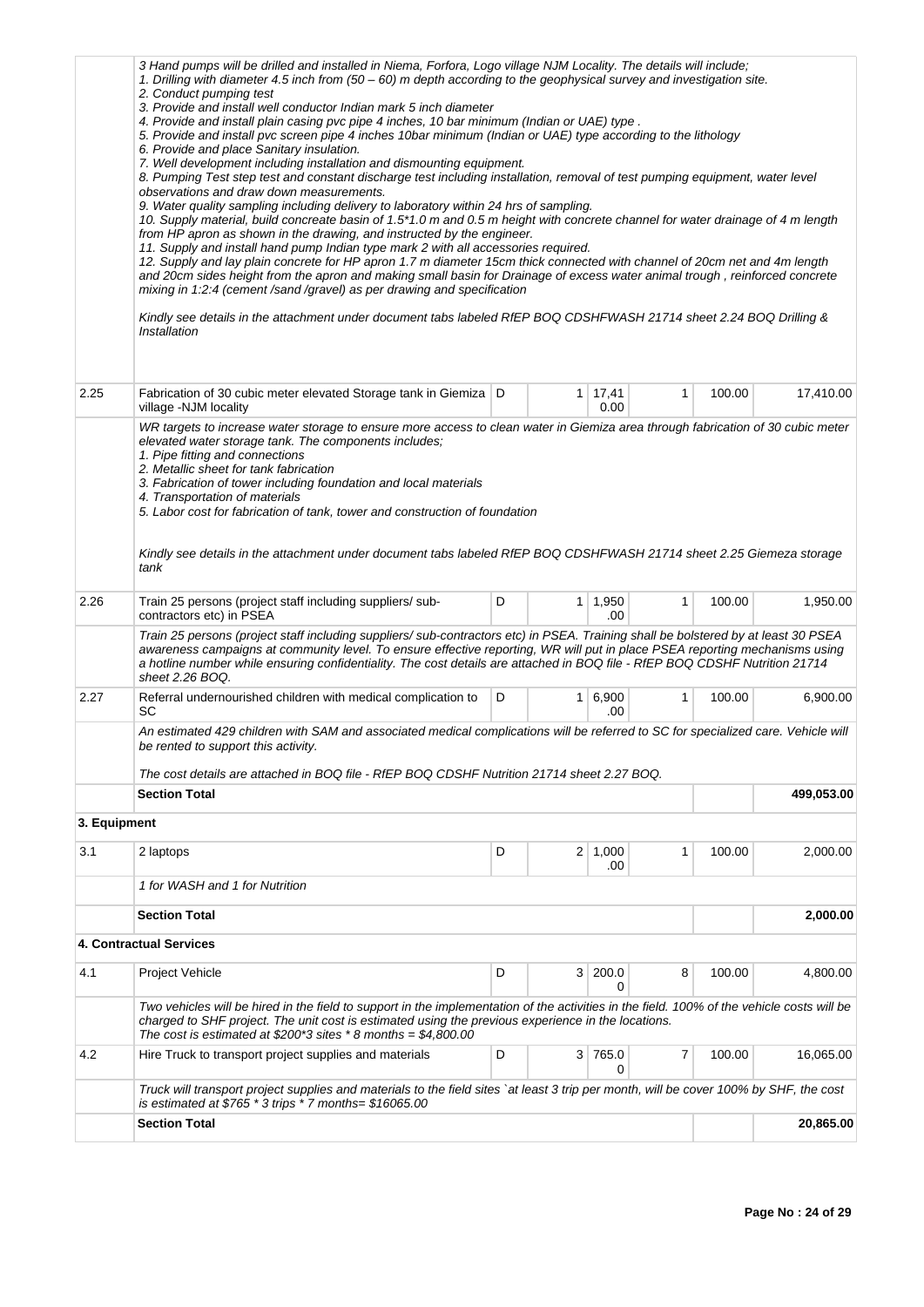|              | 3 Hand pumps will be drilled and installed in Niema, Forfora, Logo village NJM Locality. The details will include;<br>1. Drilling with diameter 4.5 inch from (50 – 60) m depth according to the geophysical survey and investigation site.<br>2. Conduct pumping test<br>3. Provide and install well conductor Indian mark 5 inch diameter<br>4. Provide and install plain casing pvc pipe 4 inches, 10 bar minimum (Indian or UAE) type.<br>5. Provide and install pvc screen pipe 4 inches 10bar minimum (Indian or UAE) type according to the lithology<br>6. Provide and place Sanitary insulation.<br>7. Well development including installation and dismounting equipment.<br>8. Pumping Test step test and constant discharge test including installation, removal of test pumping equipment, water level<br>observations and draw down measurements.<br>9. Water quality sampling including delivery to laboratory within 24 hrs of sampling.<br>10. Supply material, build concreate basin of 1.5*1.0 m and 0.5 m height with concrete channel for water drainage of 4 m length<br>from HP apron as shown in the drawing, and instructed by the engineer.<br>11. Supply and install hand pump Indian type mark 2 with all accessories required.<br>12. Supply and lay plain concrete for HP apron 1.7 m diameter 15cm thick connected with channel of 20cm net and 4m length<br>and 20cm sides height from the apron and making small basin for Drainage of excess water animal trough, reinforced concrete<br>mixing in 1:2:4 (cement /sand /gravel) as per drawing and specification<br>Kindly see details in the attachment under document tabs labeled RfEP BOQ CDSHFWASH 21714 sheet 2.24 BOQ Drilling &<br>Installation |   |   |                       |              |        |            |  |  |
|--------------|-----------------------------------------------------------------------------------------------------------------------------------------------------------------------------------------------------------------------------------------------------------------------------------------------------------------------------------------------------------------------------------------------------------------------------------------------------------------------------------------------------------------------------------------------------------------------------------------------------------------------------------------------------------------------------------------------------------------------------------------------------------------------------------------------------------------------------------------------------------------------------------------------------------------------------------------------------------------------------------------------------------------------------------------------------------------------------------------------------------------------------------------------------------------------------------------------------------------------------------------------------------------------------------------------------------------------------------------------------------------------------------------------------------------------------------------------------------------------------------------------------------------------------------------------------------------------------------------------------------------------------------------------------------------------------------------------------------------------------------------|---|---|-----------------------|--------------|--------|------------|--|--|
| 2.25         | Fabrication of 30 cubic meter elevated Storage tank in Giemiza   D<br>village -NJM locality                                                                                                                                                                                                                                                                                                                                                                                                                                                                                                                                                                                                                                                                                                                                                                                                                                                                                                                                                                                                                                                                                                                                                                                                                                                                                                                                                                                                                                                                                                                                                                                                                                             |   |   | 1 17,41<br>0.00       | 1            | 100.00 | 17,410.00  |  |  |
|              | WR targets to increase water storage to ensure more access to clean water in Giemiza area through fabrication of 30 cubic meter<br>elevated water storage tank. The components includes;<br>1. Pipe fitting and connections<br>2. Metallic sheet for tank fabrication<br>3. Fabrication of tower including foundation and local materials<br>4. Transportation of materials<br>5. Labor cost for fabrication of tank, tower and construction of foundation<br>Kindly see details in the attachment under document tabs labeled RfEP BOQ CDSHFWASH 21714 sheet 2.25 Giemeza storage<br>tank                                                                                                                                                                                                                                                                                                                                                                                                                                                                                                                                                                                                                                                                                                                                                                                                                                                                                                                                                                                                                                                                                                                                              |   |   |                       |              |        |            |  |  |
| 2.26         | Train 25 persons (project staff including suppliers/sub-<br>contractors etc) in PSEA                                                                                                                                                                                                                                                                                                                                                                                                                                                                                                                                                                                                                                                                                                                                                                                                                                                                                                                                                                                                                                                                                                                                                                                                                                                                                                                                                                                                                                                                                                                                                                                                                                                    | D |   | $1 \mid 1,950$<br>.00 | $\mathbf{1}$ | 100.00 | 1,950.00   |  |  |
|              | Train 25 persons (project staff including suppliers/sub-contractors etc) in PSEA. Training shall be bolstered by at least 30 PSEA<br>awareness campaigns at community level. To ensure effective reporting, WR will put in place PSEA reporting mechanisms using<br>a hotline number while ensuring confidentiality. The cost details are attached in BOQ file - RfEP BOQ CDSHF Nutrition 21714<br>sheet 2.26 BOQ.                                                                                                                                                                                                                                                                                                                                                                                                                                                                                                                                                                                                                                                                                                                                                                                                                                                                                                                                                                                                                                                                                                                                                                                                                                                                                                                      |   |   |                       |              |        |            |  |  |
| 2.27         | Referral undernourished children with medical complication to<br>SC                                                                                                                                                                                                                                                                                                                                                                                                                                                                                                                                                                                                                                                                                                                                                                                                                                                                                                                                                                                                                                                                                                                                                                                                                                                                                                                                                                                                                                                                                                                                                                                                                                                                     | D |   | $1 \ 6,900$<br>.00    | 1            | 100.00 | 6,900.00   |  |  |
|              | An estimated 429 children with SAM and associated medical complications will be referred to SC for specialized care. Vehicle will<br>be rented to support this activity.                                                                                                                                                                                                                                                                                                                                                                                                                                                                                                                                                                                                                                                                                                                                                                                                                                                                                                                                                                                                                                                                                                                                                                                                                                                                                                                                                                                                                                                                                                                                                                |   |   |                       |              |        |            |  |  |
|              | The cost details are attached in BOQ file - RfEP BOQ CDSHF Nutrition 21714 sheet 2.27 BOQ.<br><b>Section Total</b>                                                                                                                                                                                                                                                                                                                                                                                                                                                                                                                                                                                                                                                                                                                                                                                                                                                                                                                                                                                                                                                                                                                                                                                                                                                                                                                                                                                                                                                                                                                                                                                                                      |   |   |                       |              |        | 499,053.00 |  |  |
| 3. Equipment |                                                                                                                                                                                                                                                                                                                                                                                                                                                                                                                                                                                                                                                                                                                                                                                                                                                                                                                                                                                                                                                                                                                                                                                                                                                                                                                                                                                                                                                                                                                                                                                                                                                                                                                                         |   |   |                       |              |        |            |  |  |
| 3.1          | 2 laptops                                                                                                                                                                                                                                                                                                                                                                                                                                                                                                                                                                                                                                                                                                                                                                                                                                                                                                                                                                                                                                                                                                                                                                                                                                                                                                                                                                                                                                                                                                                                                                                                                                                                                                                               | D |   | $2 \mid 1,000$<br>.00 | 1            | 100.00 | 2,000.00   |  |  |
|              | 1 for WASH and 1 for Nutrition                                                                                                                                                                                                                                                                                                                                                                                                                                                                                                                                                                                                                                                                                                                                                                                                                                                                                                                                                                                                                                                                                                                                                                                                                                                                                                                                                                                                                                                                                                                                                                                                                                                                                                          |   |   |                       |              |        |            |  |  |
|              | <b>Section Total</b>                                                                                                                                                                                                                                                                                                                                                                                                                                                                                                                                                                                                                                                                                                                                                                                                                                                                                                                                                                                                                                                                                                                                                                                                                                                                                                                                                                                                                                                                                                                                                                                                                                                                                                                    |   |   |                       |              |        | 2,000.00   |  |  |
|              | <b>4. Contractual Services</b>                                                                                                                                                                                                                                                                                                                                                                                                                                                                                                                                                                                                                                                                                                                                                                                                                                                                                                                                                                                                                                                                                                                                                                                                                                                                                                                                                                                                                                                                                                                                                                                                                                                                                                          |   |   |                       |              |        |            |  |  |
| 4.1          | Project Vehicle                                                                                                                                                                                                                                                                                                                                                                                                                                                                                                                                                                                                                                                                                                                                                                                                                                                                                                                                                                                                                                                                                                                                                                                                                                                                                                                                                                                                                                                                                                                                                                                                                                                                                                                         | D | 3 | 200.0<br>0            | 8            | 100.00 | 4,800.00   |  |  |
|              | Two vehicles will be hired in the field to support in the implementation of the activities in the field. 100% of the vehicle costs will be<br>charged to SHF project. The unit cost is estimated using the previous experience in the locations.<br>The cost is estimated at \$200*3 sites *8 months = $$4,800.00$                                                                                                                                                                                                                                                                                                                                                                                                                                                                                                                                                                                                                                                                                                                                                                                                                                                                                                                                                                                                                                                                                                                                                                                                                                                                                                                                                                                                                      |   |   |                       |              |        |            |  |  |
| 4.2          | Hire Truck to transport project supplies and materials                                                                                                                                                                                                                                                                                                                                                                                                                                                                                                                                                                                                                                                                                                                                                                                                                                                                                                                                                                                                                                                                                                                                                                                                                                                                                                                                                                                                                                                                                                                                                                                                                                                                                  | D |   | 3 765.0<br>0          | 7            | 100.00 | 16,065.00  |  |  |
|              | Truck will transport project supplies and materials to the field sites `at least 3 trip per month, will be cover 100% by SHF, the cost<br>is estimated at $$765 * 3$ trips * 7 months= $$16065.00$                                                                                                                                                                                                                                                                                                                                                                                                                                                                                                                                                                                                                                                                                                                                                                                                                                                                                                                                                                                                                                                                                                                                                                                                                                                                                                                                                                                                                                                                                                                                      |   |   |                       |              |        |            |  |  |
|              | <b>Section Total</b>                                                                                                                                                                                                                                                                                                                                                                                                                                                                                                                                                                                                                                                                                                                                                                                                                                                                                                                                                                                                                                                                                                                                                                                                                                                                                                                                                                                                                                                                                                                                                                                                                                                                                                                    |   |   |                       |              |        | 20,865.00  |  |  |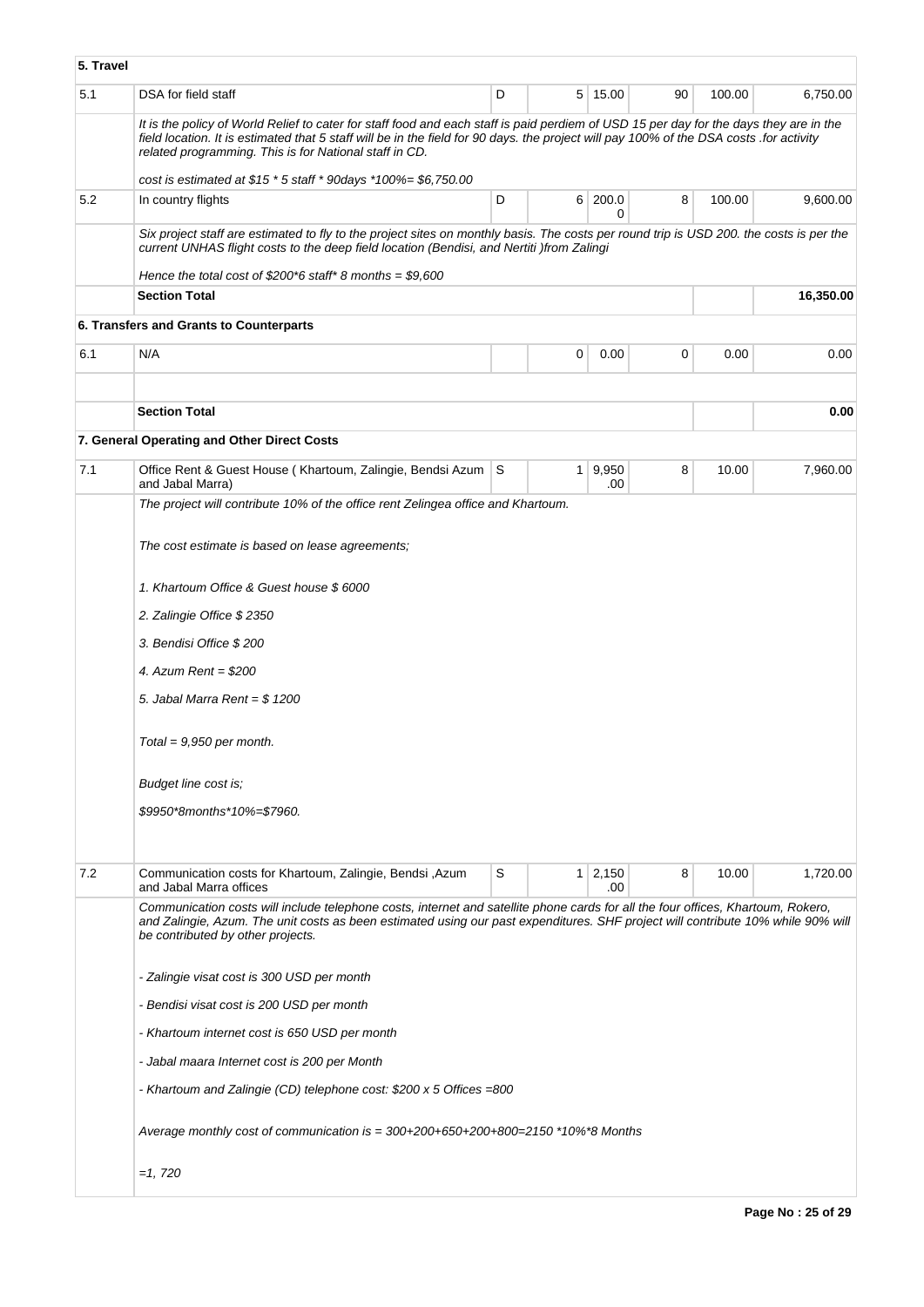| 5. Travel |                                                                                                                                                                                                                                                                                                                                             |   |                |               |    |        |           |  |
|-----------|---------------------------------------------------------------------------------------------------------------------------------------------------------------------------------------------------------------------------------------------------------------------------------------------------------------------------------------------|---|----------------|---------------|----|--------|-----------|--|
| 5.1       | DSA for field staff                                                                                                                                                                                                                                                                                                                         | D |                | 5 15.00       | 90 | 100.00 | 6,750.00  |  |
|           | It is the policy of World Relief to cater for staff food and each staff is paid perdiem of USD 15 per day for the days they are in the<br>field location. It is estimated that 5 staff will be in the field for 90 days. the project will pay 100% of the DSA costs .for activity<br>related programming. This is for National staff in CD. |   |                |               |    |        |           |  |
|           | cost is estimated at $$15 * 5$ staff * 90days *100%= \$6,750.00                                                                                                                                                                                                                                                                             |   |                |               |    |        |           |  |
| 5.2       | In country flights                                                                                                                                                                                                                                                                                                                          | D |                | 6 200.0<br>0  | 8  | 100.00 | 9,600.00  |  |
|           | Six project staff are estimated to fly to the project sites on monthly basis. The costs per round trip is USD 200. the costs is per the<br>current UNHAS flight costs to the deep field location (Bendisi, and Nertiti) from Zalingi                                                                                                        |   |                |               |    |        |           |  |
|           | Hence the total cost of $$200*6$ staff* 8 months = \$9,600<br><b>Section Total</b>                                                                                                                                                                                                                                                          |   |                |               |    |        | 16,350.00 |  |
|           |                                                                                                                                                                                                                                                                                                                                             |   |                |               |    |        |           |  |
|           | 6. Transfers and Grants to Counterparts                                                                                                                                                                                                                                                                                                     |   |                |               |    |        |           |  |
| 6.1       | N/A                                                                                                                                                                                                                                                                                                                                         |   | 0              | 0.00          | 0  | 0.00   | 0.00      |  |
|           |                                                                                                                                                                                                                                                                                                                                             |   |                |               |    |        |           |  |
|           | <b>Section Total</b>                                                                                                                                                                                                                                                                                                                        |   |                |               |    |        | 0.00      |  |
|           | 7. General Operating and Other Direct Costs                                                                                                                                                                                                                                                                                                 |   |                |               |    |        |           |  |
| 7.1       | Office Rent & Guest House (Khartoum, Zalingie, Bendsi Azum   S<br>and Jabal Marra)                                                                                                                                                                                                                                                          |   | 1 <sup>1</sup> | 9,950<br>.00. | 8  | 10.00  | 7,960.00  |  |
|           | The project will contribute 10% of the office rent Zelingea office and Khartoum.                                                                                                                                                                                                                                                            |   |                |               |    |        |           |  |
|           | The cost estimate is based on lease agreements;<br>1. Khartoum Office & Guest house \$6000<br>2. Zalingie Office \$ 2350<br>3. Bendisi Office \$200<br>4. Azum Rent = $$200$                                                                                                                                                                |   |                |               |    |        |           |  |
|           | 5. Jabal Marra Rent = $$1200$                                                                                                                                                                                                                                                                                                               |   |                |               |    |        |           |  |
|           | Total = $9,950$ per month.                                                                                                                                                                                                                                                                                                                  |   |                |               |    |        |           |  |
|           | Budget line cost is;                                                                                                                                                                                                                                                                                                                        |   |                |               |    |        |           |  |
|           | \$9950*8months*10%=\$7960.                                                                                                                                                                                                                                                                                                                  |   |                |               |    |        |           |  |
|           |                                                                                                                                                                                                                                                                                                                                             |   |                |               |    |        |           |  |
|           |                                                                                                                                                                                                                                                                                                                                             |   |                |               |    |        |           |  |
| 7.2       | Communication costs for Khartoum, Zalingie, Bendsi, Azum<br>and Jabal Marra offices                                                                                                                                                                                                                                                         | S | 1 <sup>1</sup> | 2,150<br>.00  | 8  | 10.00  | 1,720.00  |  |
|           | Communication costs will include telephone costs, internet and satellite phone cards for all the four offices, Khartoum, Rokero,<br>and Zalingie, Azum. The unit costs as been estimated using our past expenditures. SHF project will contribute 10% while 90% will<br>be contributed by other projects.                                   |   |                |               |    |        |           |  |
|           | - Zalingie visat cost is 300 USD per month                                                                                                                                                                                                                                                                                                  |   |                |               |    |        |           |  |
|           | - Bendisi visat cost is 200 USD per month                                                                                                                                                                                                                                                                                                   |   |                |               |    |        |           |  |
|           | - Khartoum internet cost is 650 USD per month                                                                                                                                                                                                                                                                                               |   |                |               |    |        |           |  |
|           | - Jabal maara Internet cost is 200 per Month                                                                                                                                                                                                                                                                                                |   |                |               |    |        |           |  |
|           | - Khartoum and Zalingie (CD) telephone cost: \$200 x 5 Offices =800                                                                                                                                                                                                                                                                         |   |                |               |    |        |           |  |
|           | Average monthly cost of communication is $=$ 300+200+650+200+800=2150 $*$ 10% $*$ 8 Months                                                                                                                                                                                                                                                  |   |                |               |    |        |           |  |
|           | $=1,720$                                                                                                                                                                                                                                                                                                                                    |   |                |               |    |        |           |  |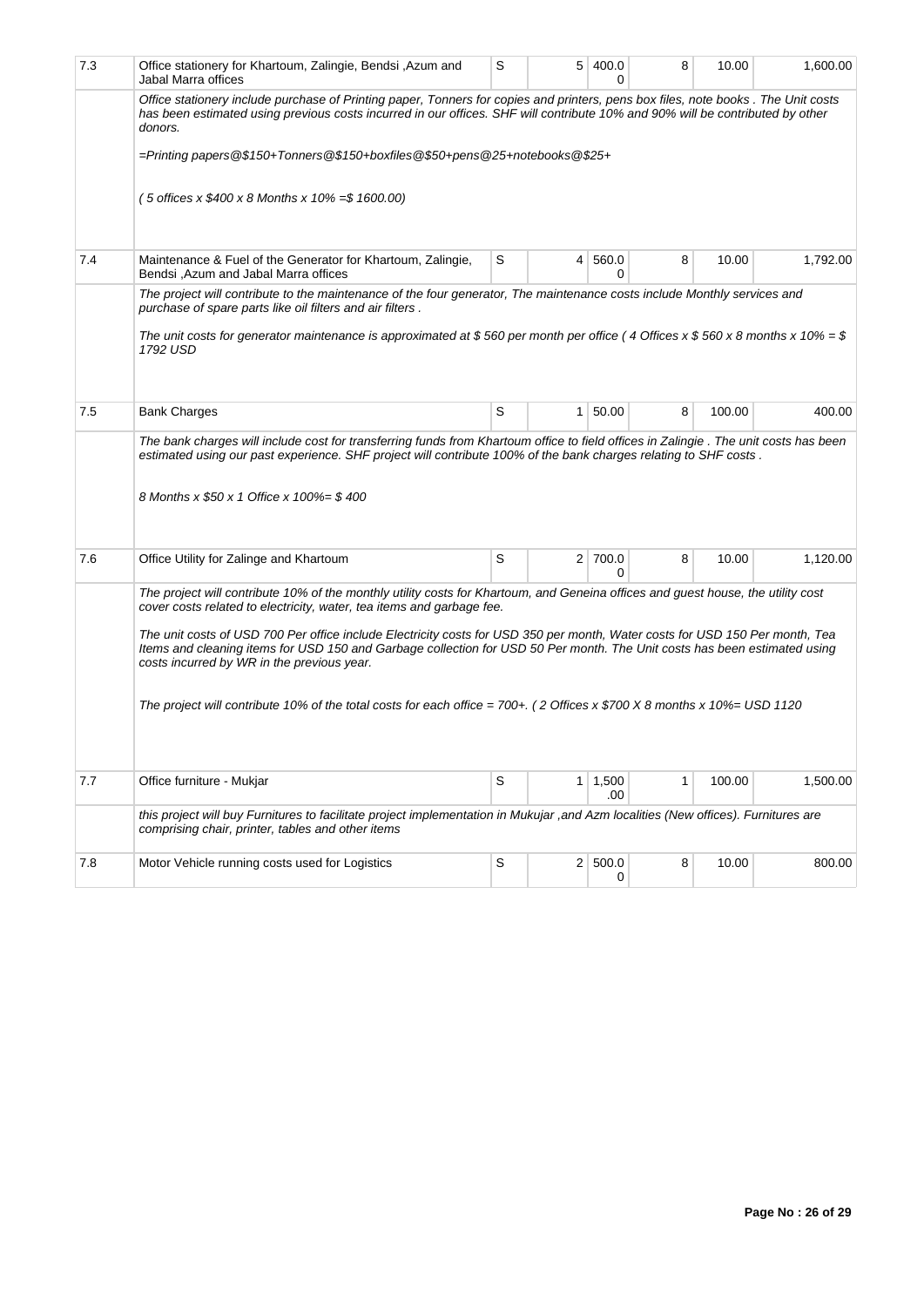| 7.3 | Office stationery for Khartoum, Zalingie, Bendsi , Azum and<br>Jabal Marra offices                                                                                                                                                                                                                      | S |                 | 5 400.0<br>0 | 8 | 10.00  | 1,600.00 |  |  |
|-----|---------------------------------------------------------------------------------------------------------------------------------------------------------------------------------------------------------------------------------------------------------------------------------------------------------|---|-----------------|--------------|---|--------|----------|--|--|
|     | Office stationery include purchase of Printing paper, Tonners for copies and printers, pens box files, note books . The Unit costs<br>has been estimated using previous costs incurred in our offices. SHF will contribute 10% and 90% will be contributed by other<br>donors.                          |   |                 |              |   |        |          |  |  |
|     | =Printing papers @\$150+Tonners @\$150+boxfiles @\$50+pens @25+notebooks @\$25+                                                                                                                                                                                                                         |   |                 |              |   |        |          |  |  |
|     | $(5 \text{ offices} \times \$400 \times 8 \text{ months} \times 10\% = \$1600.00)$                                                                                                                                                                                                                      |   |                 |              |   |        |          |  |  |
| 7.4 | Maintenance & Fuel of the Generator for Khartoum, Zalingie,<br>Bendsi, Azum and Jabal Marra offices                                                                                                                                                                                                     | S | $\vert 4 \vert$ | 560.0<br>0   | 8 | 10.00  | 1,792.00 |  |  |
|     | The project will contribute to the maintenance of the four generator, The maintenance costs include Monthly services and<br>purchase of spare parts like oil filters and air filters.                                                                                                                   |   |                 |              |   |        |          |  |  |
|     | The unit costs for generator maintenance is approximated at \$560 per month per office (4 Offices x \$560 x 8 months x 10% = \$<br>1792 USD                                                                                                                                                             |   |                 |              |   |        |          |  |  |
|     |                                                                                                                                                                                                                                                                                                         |   |                 |              |   |        |          |  |  |
| 7.5 | <b>Bank Charges</b>                                                                                                                                                                                                                                                                                     | S | 1 <sup>1</sup>  | 50.00        | 8 | 100.00 | 400.00   |  |  |
|     | The bank charges will include cost for transferring funds from Khartoum office to field offices in Zalingie. The unit costs has been<br>estimated using our past experience. SHF project will contribute 100% of the bank charges relating to SHF costs.                                                |   |                 |              |   |        |          |  |  |
|     | 8 Months x \$50 x 1 Office x 100%= \$ 400                                                                                                                                                                                                                                                               |   |                 |              |   |        |          |  |  |
| 7.6 | Office Utility for Zalinge and Khartoum                                                                                                                                                                                                                                                                 | S |                 | 2 700.0<br>0 | 8 | 10.00  | 1,120.00 |  |  |
|     | The project will contribute 10% of the monthly utility costs for Khartoum, and Geneina offices and guest house, the utility cost<br>cover costs related to electricity, water, tea items and garbage fee.                                                                                               |   |                 |              |   |        |          |  |  |
|     | The unit costs of USD 700 Per office include Electricity costs for USD 350 per month, Water costs for USD 150 Per month, Tea<br>Items and cleaning items for USD 150 and Garbage collection for USD 50 Per month. The Unit costs has been estimated using<br>costs incurred by WR in the previous year. |   |                 |              |   |        |          |  |  |
|     | The project will contribute 10% of the total costs for each office = 700+. (2 Offices x \$700 X 8 months x 10%= USD 1120                                                                                                                                                                                |   |                 |              |   |        |          |  |  |
|     |                                                                                                                                                                                                                                                                                                         |   |                 |              |   |        |          |  |  |
| 7.7 | Office furniture - Mukjar                                                                                                                                                                                                                                                                               | S | 1               | 1,500<br>.00 | 1 | 100.00 | 1,500.00 |  |  |
|     | this project will buy Furnitures to facilitate project implementation in Mukujar, and Azm localities (New offices). Furnitures are<br>comprising chair, printer, tables and other items                                                                                                                 |   |                 |              |   |        |          |  |  |
| 7.8 | Motor Vehicle running costs used for Logistics                                                                                                                                                                                                                                                          | S |                 | 2 500.0<br>0 | 8 | 10.00  | 800.00   |  |  |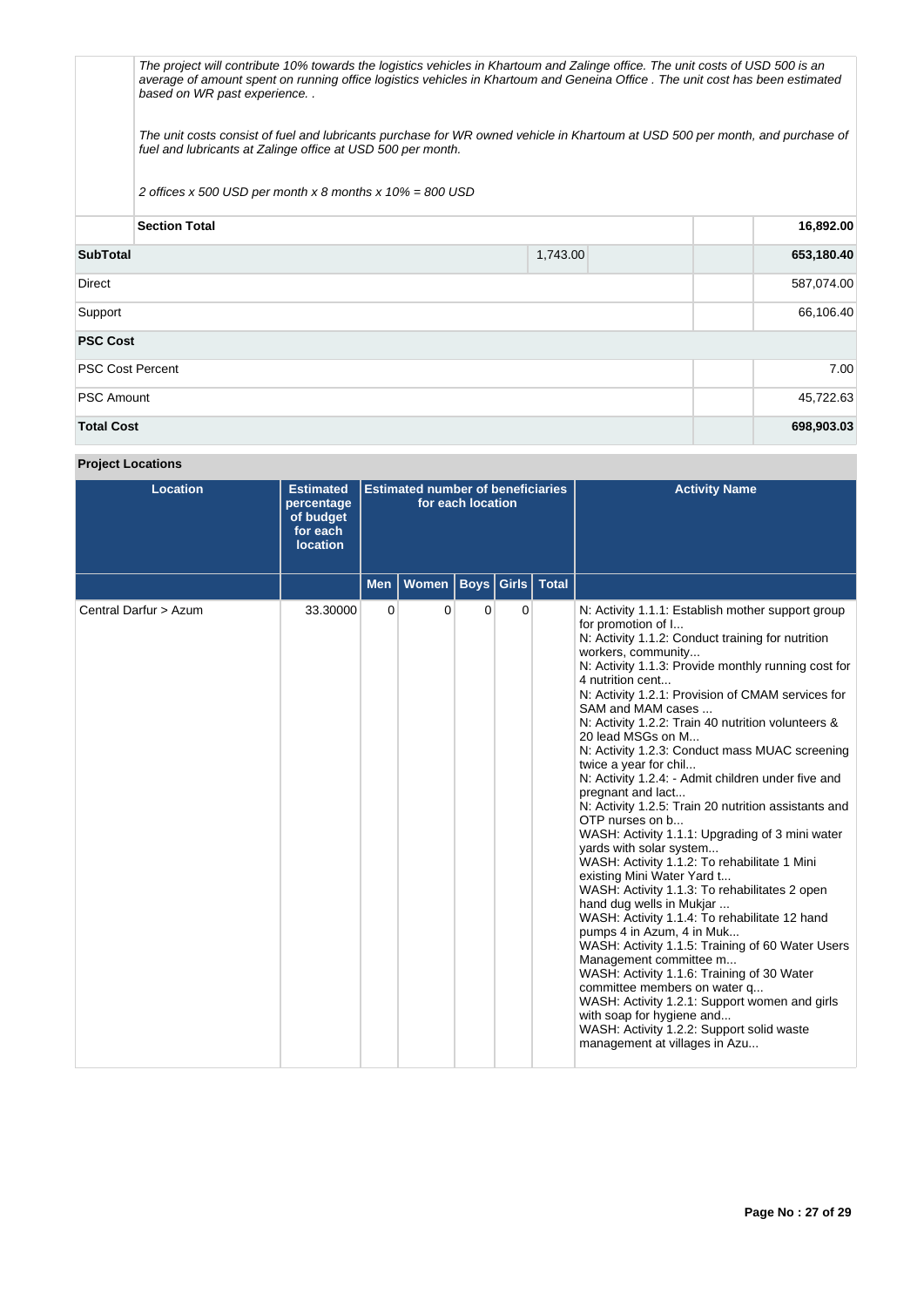The project will contribute 10% towards the logistics vehicles in Khartoum and Zalinge office. The unit costs of USD 500 is an average of amount spent on running office logistics vehicles in Khartoum and Geneina Office . The unit cost has been estimated based on WR past experience. .

The unit costs consist of fuel and lubricants purchase for WR owned vehicle in Khartoum at USD 500 per month, and purchase of fuel and lubricants at Zalinge office at USD 500 per month.

2 offices  $x$  500 USD per month  $x$  8 months  $x$  10% = 800 USD

| <b>Section Total</b>    |          | 16,892.00  |  |
|-------------------------|----------|------------|--|
| <b>SubTotal</b>         | 1,743.00 | 653,180.40 |  |
| <b>Direct</b>           |          | 587,074.00 |  |
| Support                 |          |            |  |
| <b>PSC Cost</b>         |          |            |  |
| <b>PSC Cost Percent</b> |          | 7.00       |  |
| <b>PSC Amount</b>       |          |            |  |
| <b>Total Cost</b>       |          | 698,903.03 |  |

# **Project Locations**

| <b>Location</b>       | <b>Estimated</b><br>percentage<br>of budget<br>for each<br><b>location</b> | <b>Estimated number of beneficiaries</b><br>for each location |                              |   |   | <b>Activity Name</b>                                                                                                                                                                                                                                                                                                                                                                                                                                                                                                                                                                                                                                                                                                                                                                                                                                                                                                                                                                                                                                                                                                                                                                                                                                               |
|-----------------------|----------------------------------------------------------------------------|---------------------------------------------------------------|------------------------------|---|---|--------------------------------------------------------------------------------------------------------------------------------------------------------------------------------------------------------------------------------------------------------------------------------------------------------------------------------------------------------------------------------------------------------------------------------------------------------------------------------------------------------------------------------------------------------------------------------------------------------------------------------------------------------------------------------------------------------------------------------------------------------------------------------------------------------------------------------------------------------------------------------------------------------------------------------------------------------------------------------------------------------------------------------------------------------------------------------------------------------------------------------------------------------------------------------------------------------------------------------------------------------------------|
|                       |                                                                            | <b>Men</b>                                                    | Women   Boys   Girls   Total |   |   |                                                                                                                                                                                                                                                                                                                                                                                                                                                                                                                                                                                                                                                                                                                                                                                                                                                                                                                                                                                                                                                                                                                                                                                                                                                                    |
| Central Darfur > Azum | 33.30000                                                                   | 0                                                             | 0                            | 0 | 0 | N: Activity 1.1.1: Establish mother support group<br>for promotion of I<br>N: Activity 1.1.2: Conduct training for nutrition<br>workers, community<br>N: Activity 1.1.3: Provide monthly running cost for<br>4 nutrition cent<br>N: Activity 1.2.1: Provision of CMAM services for<br>SAM and MAM cases<br>N: Activity 1.2.2: Train 40 nutrition volunteers &<br>20 lead MSGs on M<br>N: Activity 1.2.3: Conduct mass MUAC screening<br>twice a year for chil<br>N: Activity 1.2.4: - Admit children under five and<br>pregnant and lact<br>N: Activity 1.2.5: Train 20 nutrition assistants and<br>OTP nurses on b<br>WASH: Activity 1.1.1: Upgrading of 3 mini water<br>yards with solar system<br>WASH: Activity 1.1.2: To rehabilitate 1 Mini<br>existing Mini Water Yard t<br>WASH: Activity 1.1.3: To rehabilitates 2 open<br>hand dug wells in Mukjar<br>WASH: Activity 1.1.4: To rehabilitate 12 hand<br>pumps 4 in Azum, 4 in Muk<br>WASH: Activity 1.1.5: Training of 60 Water Users<br>Management committee m<br>WASH: Activity 1.1.6: Training of 30 Water<br>committee members on water q<br>WASH: Activity 1.2.1: Support women and girls<br>with soap for hygiene and<br>WASH: Activity 1.2.2: Support solid waste<br>management at villages in Azu |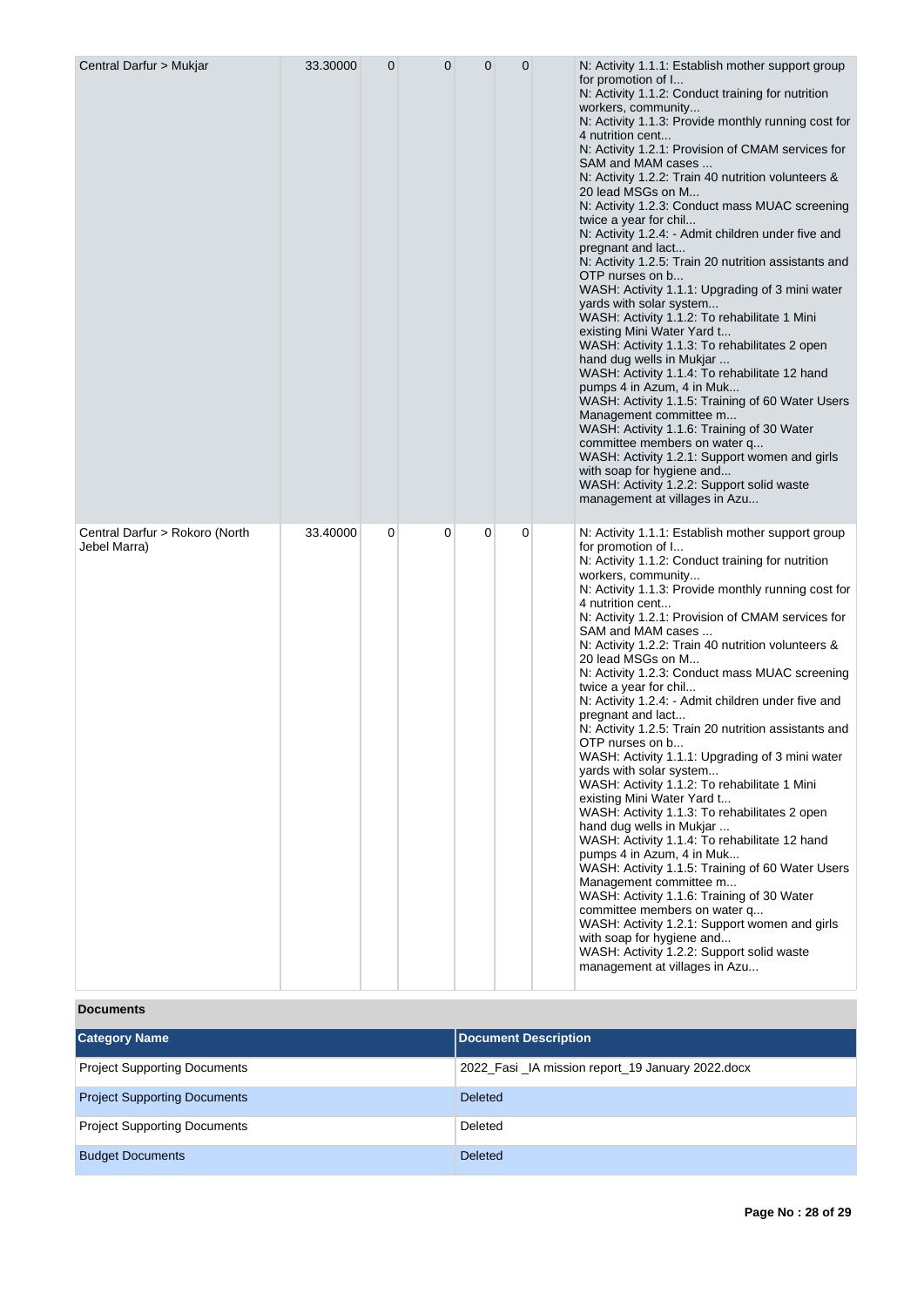| Central Darfur > Mukjar                        | 33.30000 | 0 | $\mathbf 0$ | $\mathbf{0}$ | $\mathbf 0$ | N: Activity 1.1.1: Establish mother support group<br>for promotion of I<br>N: Activity 1.1.2: Conduct training for nutrition<br>workers, community<br>N: Activity 1.1.3: Provide monthly running cost for<br>4 nutrition cent<br>N: Activity 1.2.1: Provision of CMAM services for<br>SAM and MAM cases<br>N: Activity 1.2.2: Train 40 nutrition volunteers &<br>20 lead MSGs on M<br>N: Activity 1.2.3: Conduct mass MUAC screening<br>twice a year for chil<br>N: Activity 1.2.4: - Admit children under five and<br>pregnant and lact<br>N: Activity 1.2.5: Train 20 nutrition assistants and<br>OTP nurses on b<br>WASH: Activity 1.1.1: Upgrading of 3 mini water<br>yards with solar system<br>WASH: Activity 1.1.2: To rehabilitate 1 Mini<br>existing Mini Water Yard t<br>WASH: Activity 1.1.3: To rehabilitates 2 open<br>hand dug wells in Mukjar<br>WASH: Activity 1.1.4: To rehabilitate 12 hand<br>pumps 4 in Azum, 4 in Muk<br>WASH: Activity 1.1.5: Training of 60 Water Users<br>Management committee m<br>WASH: Activity 1.1.6: Training of 30 Water<br>committee members on water q<br>WASH: Activity 1.2.1: Support women and girls<br>with soap for hygiene and<br>WASH: Activity 1.2.2: Support solid waste<br>management at villages in Azu |
|------------------------------------------------|----------|---|-------------|--------------|-------------|--------------------------------------------------------------------------------------------------------------------------------------------------------------------------------------------------------------------------------------------------------------------------------------------------------------------------------------------------------------------------------------------------------------------------------------------------------------------------------------------------------------------------------------------------------------------------------------------------------------------------------------------------------------------------------------------------------------------------------------------------------------------------------------------------------------------------------------------------------------------------------------------------------------------------------------------------------------------------------------------------------------------------------------------------------------------------------------------------------------------------------------------------------------------------------------------------------------------------------------------------------------------|
| Central Darfur > Rokoro (North<br>Jebel Marra) | 33.40000 | 0 | 0           | 0            | 0           | N: Activity 1.1.1: Establish mother support group<br>for promotion of I<br>N: Activity 1.1.2: Conduct training for nutrition<br>workers, community<br>N: Activity 1.1.3: Provide monthly running cost for<br>4 nutrition cent<br>N: Activity 1.2.1: Provision of CMAM services for<br>SAM and MAM cases<br>N: Activity 1.2.2: Train 40 nutrition volunteers &<br>20 lead MSGs on M<br>N: Activity 1.2.3: Conduct mass MUAC screening<br>twice a year for chil<br>N: Activity 1.2.4: - Admit children under five and<br>pregnant and lact<br>N: Activity 1.2.5: Train 20 nutrition assistants and<br>OTP nurses on b<br>WASH: Activity 1.1.1: Upgrading of 3 mini water<br>yards with solar system<br>WASH: Activity 1.1.2: To rehabilitate 1 Mini<br>existing Mini Water Yard t<br>WASH: Activity 1.1.3: To rehabilitates 2 open<br>hand dug wells in Mukjar<br>WASH: Activity 1.1.4: To rehabilitate 12 hand<br>pumps 4 in Azum, 4 in Muk<br>WASH: Activity 1.1.5: Training of 60 Water Users<br>Management committee m<br>WASH: Activity 1.1.6: Training of 30 Water<br>committee members on water q<br>WASH: Activity 1.2.1: Support women and girls<br>with soap for hygiene and<br>WASH: Activity 1.2.2: Support solid waste<br>management at villages in Azu |

**Documents**

| <b>Category Name</b>                | Document Description                             |
|-------------------------------------|--------------------------------------------------|
| <b>Project Supporting Documents</b> | 2022_Fasi_IA mission report_19 January 2022.docx |
| <b>Project Supporting Documents</b> | <b>Deleted</b>                                   |
| <b>Project Supporting Documents</b> | Deleted                                          |
| <b>Budget Documents</b>             | <b>Deleted</b>                                   |